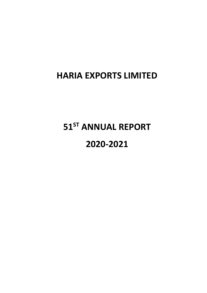## **HARIA EXPORTS LIMITED**

# **51ST ANNUAL REPORT 2020-2021**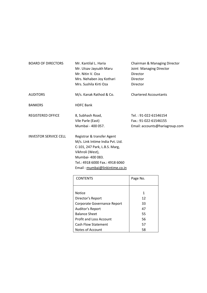| <b>BOARD OF DIRECTORS</b>    | Mr. Kantilal L. Haria            | Chairman & Managing Director   |  |  |
|------------------------------|----------------------------------|--------------------------------|--|--|
|                              | Mr. Utsav Jaysukh Maru           | Joint Managing Director        |  |  |
|                              | Mr. Nitin V. Oza                 | Director                       |  |  |
|                              | Mrs. Nehaben Joy Kothari         | Director                       |  |  |
|                              | Mrs. Sushila Kirti Oza           | Director                       |  |  |
| <b>AUDITORS</b>              | M/s. Kanak Rathod & Co.          | <b>Chartered Accountants</b>   |  |  |
| <b>BANKERS</b>               | <b>HDFC Bank</b>                 |                                |  |  |
| <b>REGISTERED OFFICE</b>     | 8, Subhash Road,                 | Tel.: 91-022-61546154          |  |  |
|                              | Vile Parle (East)                | Fax.: 91-022-61546155          |  |  |
|                              | Mumbai - 400 057.                | Email: accounts@hariagroup.com |  |  |
| <b>INVESTOR SERVICE CELL</b> | Registrar & transfer Agent       |                                |  |  |
|                              | M/s. Link Intime India Pvt. Ltd. |                                |  |  |
|                              | C-101, 247 Park, L.B.S. Marg,    |                                |  |  |
|                              | Vikhroli (West),                 |                                |  |  |
|                              | Mumbai- 400 083.                 |                                |  |  |
|                              | Tel.: 4918 6000 Fax.: 4918 6060  |                                |  |  |
|                              | Email: mumbai@linkintime.co.in   |                                |  |  |
|                              |                                  |                                |  |  |

| <b>CONTENTS</b>                | Page No. |
|--------------------------------|----------|
|                                |          |
| <b>Notice</b>                  | 1        |
| Director's Report              | 12       |
| Corporate Governance Report    | 33       |
| Auditor's Report               | 47       |
| <b>Balance Sheet</b>           | 55       |
| <b>Profit and Loss Account</b> | 56       |
| <b>Cash Flow Statement</b>     | 57       |
| Notes of Account               | 58       |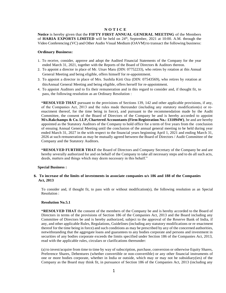#### **N O T I C E**

**Notice** is hereby given that the **FIFTY FIRST ANNUAL GENERAL MEETING** of the Members of HARIA EXPORTS LIMITED will be held on 24<sup>th</sup>, September, 2021 at 10:00. A.M. through the Video Conferencing (VC) and Other Audio Visual Medium (OAVM) to transact the following business:

#### **Ordinary Business:**

- 1. To receive, consider, approve and adopt the Audited Financial Statements of the Company for the year ended March 31, 2021, together with the Reports of the Board of Directors & Auditors thereon.
- 2. To appoint a director in place of Mr. Utsav Maru (DIN: 07752233), who retires by rotation at this Annual General Meeting and being eligible, offers himself for re-appointment.
- 3. To appoint a director in place of Mrs. Sushila Kirti Oza (DIN: 07543569), who retires by rotation at thisAnnual General Meeting and being eligible, offers herself for re-appointment.
- 4. To appoint Auditors and to fix their remuneration and in this regard to consider and, if thought fit, to pass, the following resolution as an Ordinary Resolution :

**"RESOLVED THAT** pursuant to the provisions of Sections 139, 142 and other applicable provisions, if any, of the Companies Act, 2013 and the rules made thereunder (including any statutory modification(s) or re‐ enactment thereof, for the time being in force), and pursuant to the recommendation made by the Audit Committee, the consent of the Board of Directors of the Company be and is hereby accorded to appoint **M/s.Rakchamps & Co. LLP, Chartered Accountants (Firm Registration No.: 131094W)**, be and are hereby appointed as the Statutory Auditors of the Company to hold office for a term of five years from the conclusion of ensuing Annual General Meeting until the conclusion of the annual general meeting to be held during year ended March 31, 2027 in the with respect to the financial years beginning April 1, 2021 and ending March 31, 2026 at such remuneration as may be mutually agreed between the Board of Directors / Audit Committee of the Company and the Statutory Auditors.

**"RESOLVED FURTHER THAT** the Board of Directors and Company Secretary of the Company be and are hereby severally authorized for and on behalf of the Company to take all necessary steps and to do all such acts, deeds, matters and things which may deem necessary in this behalf."

#### **Special Business :**

#### **5. To increase of the limits of investments in associate companies u/s 186 and 188 of the Companies Act, 2013**

To consider and, if thought fit, to pass with or without modification(s), the following resolution as an Special Resolution :

#### **Resolution No.5.1**

**"RESOLVED THAT** the consent of the members of the Company be and is hereby accorded to the Board of Directors in terms of the provisions of Section 186 of the Companies Act, 2013 and the Board including any Committee of Directors be and is hereby authorized, subject to the approval of the Reserve Bank of India, if any, and other applicable Rules, Regulations, Guidelines (including any statutory modifications or re-enactment thereof for the time being in force) and such conditions as may be prescribed by any of the concerned authorities, notwithstanding that the aggregate loans and guarantees to any bodies corporate and persons and investment in securities of any bodies corporate exceeds the limits specified under Section 186 of the Companies Act, 2013, read with the applicable rules, circulars or clarifications thereunder:

(a) to invest/acquire from time to time by way of subscription, purchase, conversion or otherwise Equity Shares, Preference Shares, Debentures (whether convertible or non-convertible) or any other financial instruments of one or more bodies corporate, whether in India or outside, which may or may not be subsidiary(ies) of the Company as the Board may think fit, in pursuance of Section 186 of the Companies Act, 2013 (including any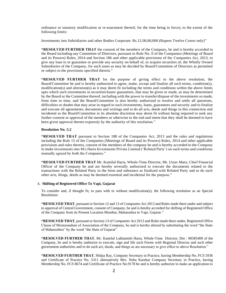ordinance or statutory modification or re-enactment thereof, for the time being in force), to the extent of the following limits:

Investments into Subsidiaries and other Bodies Corporate: Rs.12,00,00,000 (Rupees Twelve Crores only)"

**"RESOLVED FURTHER THAT** the consent of the members of the Company, be and is hereby accorded to the Board including any Committee of Directors, pursuant to Rule No. ll of the Companies (Meetings of Board and its Powers) Rules, 2014 and Section 186 and other applicable provisions of the Companies Act, 2013, to give any loan to or guarantee or provide any security on behalf of, or acquire securities of, the Wholly Owned Subsidiaries of the Company, for such sums as may be decided by Board/Committee of Directors as permitted or subject to the provisions specified therein."

**"RESOLVED FURTHER THAT** for the purpose of giving effect to the above resolution, the Board/Committee be and is hereby authorized to agree, make, accept and finalize all such terms, condition(s), modification(s) and alteration(s) as it may deem fit including the terms and conditions within the above limits upto which such investments in securities/loans/ guarantees, that may be given or made, as may be determined by the Board or the Committee thereof, including with the power to transfer/dispose of the investments so made, from time to time, and the Board/Committee is also hereby authorized to resolve and settle all questions, difficulties or doubts that may arise in regard to such investments, loans, guarantees and security and to finalize and execute all agreements, documents and writings and to do all acts, deeds and things in this connection and incidental as the Board/Committee in its absolute discretion may deem fit without being required to seek any further consent or approval of the members or otherwise to the end and intent that they shall be deemed to have been given approval thereto expressly by the authority of this resolution."

#### **Resolution No. 5.2**

**"RESOLVED THAT** pursuant to Section 188 of the Companies Act, 2013 and the rules and regulations including the Rule 15 of the Companies (Meetings of Board and its Powers) Rules, 2014 and other applicable provisions and rules thereto, consent of the members of the company be and is hereby accorded to the Company to make investments into M/s Haria Investments Private Limited ('Related Party') on such terms and conditions mutually agreed by both the Companies."

**"RESOLVED FURTHER THAT** Mr. Kantilal Haria, Whole-Time Director, Mr. Utsav Maru, Chief Financial Officer of the Company be and are hereby severally authorized to execute the documents related to the transactions with the Related Party in the form and substance as finalized with Related Party and to do such other acts, things, deeds as may be deemed essential and incidental for the purpose."

#### 6. **Shifting of Registered Office To Vapi, Gujarat**

To consider and, if thought fit, to pass with or without modification(s), the following resolution as an Special Resolution:

**"RESOLVED THAT**, pursuant to Section 12 and 13 of Companies Act 2013 and Rules made there under and subject to approval of Central Government, consent of Company, be and is hereby accorded for shifting of Registered Office of the Company from its Present Location Mumbai, Maharashra to Vapi, Gujarat."

**"RESOLVED THAT**, pursuant to Section 13 of Companies Act 2013 and Rules made there under, Registered Office Clause of Memorandum of Association of the Company, be and is hereby altered by substituting the word "the State of Maharashtra" by the word "the State of Gujarat"

**"RESOLVED FURTHER THAT**, Mr. Kantilal Lakhamshi Haria, Whole-Time Director, Din : 00585400 of the Company, be and is hereby authorize to execute, sign and file such Forms with Regional Director and such other government authorities and to do such act, deeds, and things as are necessary to give effect to above Resolution."

**"RESOLVED FURTHER THAT**, Shilpa Ray, Company Secretary in Practice, having Membership No. FCS 5936 and Certificate of Practice No. 5311 alternatively Mrs. Neha Karekar Company Secretary in Practice, having Membership No. FCS 8674 and Certificate of Practice No.9178 be and is hereby authorize to make an application to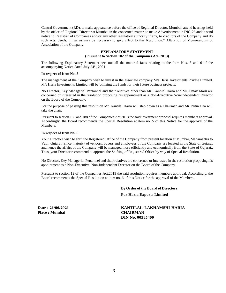Central Government (RD), to make appearance before the office of Regional Director, Mumbai, attend hearings held by the office of Regional Director at Mumbai in the concerned matter, to make Advertisement in INC-26 and to send notice to Registrar of Companies and/or any other regulatory authority if any, to creditors of the Company and do such acts, deeds, things as may be necessary to give effect to this Resolution." Alteration of Memorandum of Association of the Company.

## **EXPLANATORY STATEMENT (Pursuant to Section 102 of the Companies Act, 2013)**

The following Explanatory Statement sets out all the material facts relating to the Item Nos. 5 and 6 of the accompanying Notice dated July 24<sup>th</sup>, 2021.

#### **In respect of Item No. 5**

The management of the Company wish to invest in the associate company M/s Haria Investments Private Limited. M/s Haria Investments Limited will be utilizing the funds for their future business projects.

No Director, Key Managerial Personnel and their relatives other than Mr. Kantilal Haria and Mr. Utsav Maru are concerned or interested in the resolution proposing his appointment as a Non-Executive,Non-Independent Director on the Board of the Company.

For the purpose of passing this resolution Mr. Kantilal Haria will step down as a Chairman and Mr. Nitin Oza will take the chair.

Pursuant to section 186 and 188 of the Companies Act,2013 the said investment proposal requires members approval. Accordingly, the Board recommends the Special Resolution at item no. 5 of this Notice for the approval of the Members.

#### **In respect of Item No. 6**

Your Directors wish to shift the Registered Office of the Company from present location at Mumbai, Maharashtra to Vapi, Gujarat. Since majority of vendors, buyers and employees of the Company are located in the State of Gujarat and hence the affairs of the Company will be managed more efficiently and economically from the State of Gujarat.. Thus, your Director recommend to approve the Shifting of Registered Office by way of Special Resolution.

No Director, Key Managerial Personnel and their relatives are concerned or interested in the resolution proposing his appointment as a Non-Executive, Non-Independent Director on the Board of the Company.

Pursuant to section 12 of the Companies Act,2013 the said resolution requires members approval. Accordingly, the Board recommends the Special Resolution at item no. 6 of this Notice for the approval of the Members.

> **By Order of the Board of Directors For Haria Exports Limited**

**Place : Mumbai CHAIRMAN**

**Date : 21/06/2021 KANTILAL LAKHAMSHI HARIA DIN No. 00585400**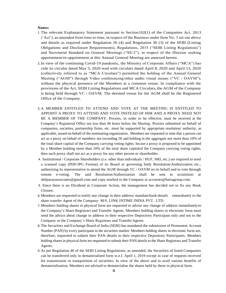#### **Notes:**

- 1.The relevant Explanatory Statement pursuant to Section102(1) of the Companies Act, 2013 ('Act'), as amended from time to time, in respect of the Business under Item No. 3 set out above and details as required under Regulation 26 (4) and Regulation 36 (3) of the SEBI (Listing Obligations and Disclosure Requirements), Regulations, 2015 ("SEBI Listing Regulations") and Secretarial Standard on General Meetings ("SS-2"), in respect of the Director seeking appointment/re-appointment at this Annual General Meeting are annexed hereto.
- 2.In view of the continuing Covid-19 pandemic, the Ministry of Corporate Affairs ("MCA") has vide its circular dated May 5, 2020 read with circulars dated April 8, 2020 and April 13, 2020 (collectively referred to as "MCA Circulars") permitted the holding of the Annual General Meeting ("AGM") through Video conferencing/other audio visual means ("VC / OAVM"), without the physical presence of the Members at a common venue. In compliance with the provisions of the Act, SEBI Listing Regulations and MCA Circulars, the AGM of the Company is being held through VC / OAVM. The deemed venue for the AGM shall be the Registered Office of the Company.
- 3.A MEMBER ENTITLED TO ATTEND AND VOTE AT THE MEETING IS ENTITLED TO APPOINT A PROXY TO ATTEND AND VOTE INSTEAD OF HIM AND A PROXY NEED NOT BE A MEMBER OF THE COMPANY. Proxies, in order to be effective, must be received at the Company's Registered Office not less than 48 hours before the Meeting. Proxies submitted on behalf of companies, societies, partnership firms, etc. must be supported by appropriate resolution/ authority, as applicable, issued on behalf of the nominating organization. Members are requested to note that a person can act as a proxy on behalf of members not exceeding 50 and holding in the aggregate not more than 10% of the total share capital of the Company carrying voting rights. Incase a proxy is proposed to be appointed by a Member holding more than 10% of the total share capitalof the Company carrying voting rights, then such proxy shall not act as a proxy for any other person or shareholder.
- 4. Institutional / Corporate Shareholders (i.e. other than individuals / HUF, NRI, etc.) are required to send a scanned copy (PDF/JPG Format) of its Board or governing body Resolution/Authorization etc., authorizing its representative to attend the AGM through VC / OAVM on its behalf and to vote through remote e-voting. The said Resolution/Authorization shall be sent to scruitnizer at shilparayassociates@gmail.com and copy marked to the Company at accounts@hariagroup.com.
- 5. Since there is no Dividend or Corporate Action, the management has decided not to fix any Book Closure.
- 6.Members are requested to notify any change in their address/ mandate/bank details immediately to the share transfer Agent of the Company- M/S. LINK INTIME INDIA PVT. LTD.
- 7.Members holding shares in physical form are requested to advise any change of address immediatelyto the Company's Share Registrars and Transfer Agents. Members holding shares in electronic form must send the advice about change in address to their respective Depository Participant only and not to the Company or the Company's Share Registrars and Transfer Agents.
- 8.The Securities and Exchange Board of India (SEBl) has mandated the submission of Permanent Account Number (PAN) by every participant in the securities market. Members holding shares in electronic form are, therefore, requested to submit their PAN details to their respective Depository Participants. Members holding shares in physical form are requested to submit their PAN details to the Share Registrars and Transfer Agents.
- 9.As per Regulation 40 of the SEBI Listing Regulations, as amended, the Securities of listed Companies can be transferred only in dematerialised form w.e.f. April 1, 2019 except in case of requests received for transmission or transposition of securities. In view of the above and to avail various benefits of dematerialisation, Members are advised to dematerialise the shares held by them in physical form.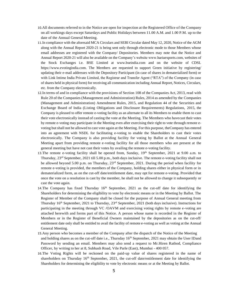- 10.All documents referred to in the Notice are open for inspection at the Registered Office of the Company on all workings days except Saturdays and Public Holidays between 11.00 A.M. and 1.00 P.M. up to the date of the Annual General Meeting.
- 11.In compliance with the aforesaid MCA Circulars and SEBI Circular dated May 12, 2020, Notice of the AGM along with the Annual Report 2020-21 is being sent only through electronic mode to those Members whose email addresses are registered with the Company/ Depositories. Members may note that the Notice and Annual Report 2020-21 will also be available on the Company's website www.hariaexports.com, websites of the Stock Exchanges i.e. BSE Limited at www.bseindia.com and on the website of CDSL [https://www.evotingindia.com.](https://www.evotingindia.com/) The Members are requested to support Green initiative by registering/ updating their e-mail addresses with the Depository Participant (in case of shares in dematerialized form) or with Link Intime India Private Limited, the Registrar and Transfer Agent ("RTA") of the Company (in case of shares held in physical form) for receiving all communication including Annual Report, Notices, Circulars, etc. from the Company electronically.
- 12.In terms of and in compliance with the provisions of Section 108 of the Companies Act, 2013, read with Rule 20 of the Companies (Management and Administration) Rules, 2014 as amended by the Companies (Management and Administration) Amendment Rules, 2015, and Regulation 44 of the Securities and Exchange Board of India (Listing Obligations and Disclosure Requirements) Regulations, 2015, the Company is pleased to offer remote e-voting facility as an alternate to all its Members to enable them to cast their vote electronically instead of casting the vote at the Meeting. The Members who havecast their votes by remote e-voting may participate in the Meeting even after exercising their right to vote through remote evoting but shall not be allowed to cast vote again at the Meeting. For this purpose, theCompany has entered into an agreement with NSDL for facilitating e-voting to enable the Shareholders to cast their votes electronically. The Company is also providing facility for voting by Ballot at the Annual General Meeting apart from providing remote e-voting facility for all those members who are present at the general meeting but have not cast their votes by availing the remote e-voting facility.
- 13. The remote e-voting facility shall be opened from, Sunday,  $19<sup>th</sup>$  September, 2021 at 9.00 a.m. to Thursday, 23rd September, 2021 till 5.00 p.m., both days inclusive. The remote e-voting facility shall not be allowed beyond 5.00 p.m. on Thursday, 23rd September, 2021. During the period when facility for remote e-voting is provided, the members of the Company, holding shares either in physical form or in dematerialized form, as on the cut-off date/entitlement date, may opt for remote e-voting. Provided that once the vote on a resolution is cast by the member, he shall not be allowed to change it subsequently or cast the vote again.
- 14. The Company has fixed Thursday  $16<sup>th</sup>$  September, 2021 as the cut-off date for identifying the Shareholders for determining the eligibility to vote by electronic means or in the Meeting by Ballot. The Register of Member of the Company shall be closed for the purpose of Annual General meeting from Thursday 16th September, 2021 to Thursday, 23rd September, 2021 (both days inclusive). Instructions for participating in the meeting through VC /OAVM and exercising voting rights by remote e-voting are attached herewith and forms part of this Notice. A person whose name is recorded in the Register of Members or in the Register of Beneficial Owners maintained by the depositories as on the cut-off/ entitlement date only shall be entitled to avail the facility of remote e-voting as well as voting at the Annual General Meeting.
- 15.Any person who becomes a member of the Company after the dispatch of the Notice of the Meeting and holding shares as on the cut-off date i.e., Thursday 16<sup>th</sup> September, 2021 may obtain the User IDand Password by sending an email. Members may also send a request to Mr.Hiren Rathod, Compliance Officer, by writing to her at 8, Subhash Road, Vile Parle (East), Mumbai - 400 057.
- 16.The Voting Rights will be reckoned on the paid-up value of shares registered in the name of shareholders on Thursday 16<sup>th</sup> September, 2021, the cut-off date/entitlement date for identifying the Shareholders for determining the eligibility to vote by electronic means or at the Meeting by Ballot.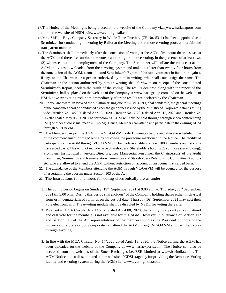- 17.The Notice of the Meeting is being placed on the website of the Company viz., [www.hariaexports.com](http://www.hariaexports.com/) and on the website of NSDL viz., [www.evoting.nsdl.com.](http://www.evoting.nsdl.com/)
- 18.Mrs. Shilpa Ray, Company Secretary in Whole Time Practice, (CP No. 5311) has been appointed as a Scrutinizer for conducting the voting by Ballot at the Meeting and remote e-voting process in a fair and transparent manner.
- 19.The Scrutinizer shall, immediately after the conclusion of voting at the AGM, first count the votes cast at the AGM, and thereafter unblock the votes cast through remote e-voting, in the presence of at least two (2) witnesses not in the employment of the Company. The Scrutinizer will collate the votes cast at the AGM and votes downloaded from the e-voting system and make, not later than twenty four hours from the conclusion of the AGM, a consolidated Scrutinizer's Report of the total votes cast in favour or against, if any, to the Chairman or a person authorized by him in writing, who shall countersign the same. The Chairman or the person authorized by him in writing shall forthwith on receipt of the consolidated Scrutinizer's Report, declare the result of the voting. The results declared along with the report of the Scrutinizer shall be placed on the website of the Company at [www.hariagroup.com](http://www.hariagroup.com/) and on the website of NSDL at [www.evoting.nsdl.com,](http://www.evoting.nsdl.com/) immediately after the results are declared by the Chairman.
- 20. As you are aware, in view of the situation arising due to COVID-19 global pandemic, the general meetings of the companies shall be conducted as per the guidelines issued by the Ministry of Corporate Affairs (MCA) vide Circular No. 14/2020 dated April 8, 2020, Circular No.17/2020 dated April 13, 2020 and Circular No. 20/2020 dated May 05, 2020. The forthcoming AGM will thus be held through through video conferencing (VC) or other audio visual means (OAVM). Hence, Members can attend and participate in the ensuing AGM through VC/OAVM.
- 21. The Members can join the AGM in the VC/OAVM mode 15 minutes before and after the scheduled time of the commencement of the Meeting by following the procedure mentioned in the Notice. The facility of participation at the AGM through VC/OAVM will be made available to atleast 1000 members on first come first served basis. This will not include large Shareholders (Shareholders holding 2% or more shareholding), Promoters, Institutional Investors, Directors, Key Managerial Personnel, the Chairpersons of the Audit Committee, Nomination and Remuneration Committee and Stakeholders Relationship Committee, Auditors etc. who are allowed to attend the AGM without restriction on account of first come first served basis.
- 22. The attendance of the Members attending the AGM through VC/OAVM will be counted for the purpose of ascertaining the quorum under Section 103 of the Act.
- 23. The instructions for members for voting electronically are as under :
- 1. The voting period begins on Sunday, 19<sup>th</sup> September, 2021 at 9.00 a.m. to Thursday, 23<sup>rd</sup> September, 2021 till 5.00 p.m., During this period shareholders' of the Company, holding shares either in physical form or in dematerialized form, as on the cut-off date, Thursday 16<sup>th</sup> September, 2021 may cast their vote electronically. The e-voting module shall be disabled by NSDL for voting thereafter.
- 2. Pursuant to MCA Circular No. 14/2020 dated April 08, 2020, the facility to appoint proxy to attend and cast vote for the members is not available for this AGM. However, in pursuance of Section 112 and Section 113 of the Act representatives of the members such as the President of India or the Governor of a State or body corporate can attend the AGM through VC/OAVM and cast their votes through e-voting.
- 3. In line with the MCA Circular No. 17/2020 dated April 13, 2020, the Notice calling the AGM has been uploaded on the website of the Company at www.hariaexports.com. The Notice can also be accessed from the websites of the Stock Exchanges i.e. BSE Limited at [www.bseindia.com](http://www.bseindia.com/) . The AGM Notice is also disseminated on the website of CDSL (agency for providing the Remote e-Voting facility and e-voting system during the AGM) i.e. www.evotingindia.com.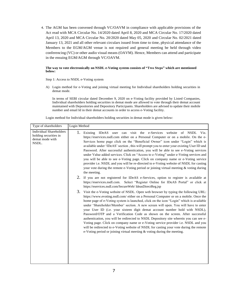4. The AGM has been convened through VC/OAVM in compliance with applicable provisions of the Act read with MCA Circular No. 14/2020 dated April 8, 2020 and MCA Circular No. 17/2020 dated April 13, 2020 and MCA Circular No. 20/2020 dated May 05, 2020 and Circular No. 02/2021 dated January 13, 2021 and all other relevant circulars issued from time to time, physical attendance of the Members to the EGM/AGM venue is not required and general meeting be held through video conferencing (VC) or other audio visual means (OAVM). Hence, Members can attend and participate in the ensuing EGM/AGM through VC/OAVM.

#### **The way to vote electronically on NSDL e-Voting system consists of "Two Steps" which are mentioned below:**

Step 1: Access to NSDL e-Voting system

A) Login method for e-Voting and joining virtual meeting for Individual shareholders holding securities in demat mode.

In terms of SEBI circular dated December 9, 2020 on e-Voting facility provided by Listed Companies, Individual shareholders holding securities in demat mode are allowed to vote through their demat account maintained with Depositories and Depository Participants. Shareholders are advised to update their mobile number and email Id in their demat accounts in order to access e-Voting facility.

Login method for Individual shareholders holding securities in demat mode is given below:

| Type of shareholders                                                                | Login Method                                                                                                                                                                                                                                                                                                                                                                                                                                                                                                                                                                                                                                                                                                                                                                                                                                                                         |
|-------------------------------------------------------------------------------------|--------------------------------------------------------------------------------------------------------------------------------------------------------------------------------------------------------------------------------------------------------------------------------------------------------------------------------------------------------------------------------------------------------------------------------------------------------------------------------------------------------------------------------------------------------------------------------------------------------------------------------------------------------------------------------------------------------------------------------------------------------------------------------------------------------------------------------------------------------------------------------------|
| <b>Individual Shareholders</b><br>holding securities in<br>demat mode with<br>NSDL. | 1. Existing<br>can visit the e-Services website of NSDL<br><b>IDeAS</b><br>user<br>Viz.<br>https://eservices.nsdl.com either on a Personal Computer or on a mobile. On the e-<br>Services home page click on the "Beneficial Owner" icon under "Login" which is<br>available under 'IDeAS' section, this will prompt you to enter your existing User ID and<br>Password. After successful authentication, you will be able to see e-Voting services<br>under Value added services. Click on "Access to e-Voting" under e-Voting services and<br>you will be able to see e-Voting page. Click on company name or e-Voting service<br>provider i.e. NSDL and you will be re-directed to e-Voting website of NSDL for casting<br>your vote during the remote e-Voting period or joining virtual meeting & voting during<br>the meeting.                                                 |
|                                                                                     | 2. If you are not registered for IDeAS e-Services, option to register is available at<br>https://eservices.nsdl.com. Select "Register Online for IDeAS Portal" or click at<br>https://eservices.nsdl.com/SecureWeb/ IdeasDirectReg.jsp                                                                                                                                                                                                                                                                                                                                                                                                                                                                                                                                                                                                                                               |
|                                                                                     | 3.<br>Visit the e-Voting website of NSDL. Open web browser by typing the following URL:<br>https://www.evoting.nsdl.com/ either on a Personal Computer or on a mobile. Once the<br>home page of e-Voting system is launched, click on the icon "Login" which is available<br>under 'Shareholder/Member' section. A new screen will open. You will have to enter<br>your User ID (i.e. your sixteen digit demat account number hold with NSDL),<br>Password/OTP and a Verification Code as shown on the screen. After successful<br>authentication, you will be redirected to NSDL Depository site wherein you can see e-<br>Voting page. Click on company name or e-Voting service provider i.e. NSDL and you<br>will be redirected to e-Voting website of NSDL for casting your vote during the remote<br>e-Voting period or joining virtual meeting $&$ voting during the meeting. |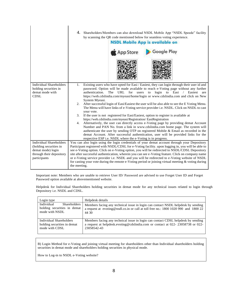|                                                                                                                           | 4.<br>Shareholders/Members can also download NSDL Mobile App "NSDL Speede" facility<br>by scanning the QR code mentioned below for seamless voting experience.<br><b>NSDL Mobile App is available on</b><br>Google Play<br>App Store                                                                                                                                                                                                                                                                                                                                                                                                                                                                                                                                                                                                                                                                                                                                                                                                                                                                                                                                                                              |
|---------------------------------------------------------------------------------------------------------------------------|-------------------------------------------------------------------------------------------------------------------------------------------------------------------------------------------------------------------------------------------------------------------------------------------------------------------------------------------------------------------------------------------------------------------------------------------------------------------------------------------------------------------------------------------------------------------------------------------------------------------------------------------------------------------------------------------------------------------------------------------------------------------------------------------------------------------------------------------------------------------------------------------------------------------------------------------------------------------------------------------------------------------------------------------------------------------------------------------------------------------------------------------------------------------------------------------------------------------|
| <b>Individual Shareholders</b><br>holding securities in<br>demat mode with<br><b>CDSL</b>                                 | Existing users who have opted for Easi / Easiest, they can login through their user id and<br>1.<br>password. Option will be made available to reach e-Voting page without any further<br>authentication.<br>URL<br>for<br>login<br>to Easi<br>The<br>users<br>to<br>$\sqrt{2}$<br>Easiest<br>are<br>https://web.cdslindia.com/myeasi/home/login or www.cdslindia.com and click on New<br>System Myeasi.<br>2.<br>After successful login of Easi/Easiest the user will be also able to see the E Voting Menu.<br>The Menu will have links of e-Voting service provider i.e. NSDL. Click on NSDL to cast<br>your vote.<br>3.<br>If the user is not registered for Easi/Easiest, option to register is available at<br>https://web.cdslindia.com/myeasi/Registration/EasiRegistration<br>Alternatively, the user can directly access e-Voting page by providing demat Account<br>4.<br>Number and PAN No. from a link in www.cdslindia.com home page. The system will<br>authenticate the user by sending OTP on registered Mobile & Email as recorded in the<br>demat Account. After successful authentication, user will be provided links for the<br>respective ESP i.e. NSDL where the e-Voting is in progress. |
| <b>Individual Shareholders</b><br>(holding securities in<br>demat mode) login<br>through their depository<br>participants | You can also login using the login credentials of your demat account through your Depository<br>Participant registered with NSDL/CDSL for e-Voting facility. upon logging in, you will be able to<br>see e-Voting option. Click on e-Voting option, you will be redirected to NSDL/CDSL Depository<br>site after successful authentication, wherein you can see e-Voting feature. Click on company name<br>or e-Voting service provider i.e. NSDL and you will be redirected to e-Voting website of NSDL<br>for casting your vote during the remote e-Voting period or joining virtual meeting & voting during<br>the meeting.                                                                                                                                                                                                                                                                                                                                                                                                                                                                                                                                                                                    |

Important note: Members who are unable to retrieve User ID/ Password are advised to use Forget User ID and Forget Password option available at abovementioned website.

Helpdesk for Individual Shareholders holding securities in demat mode for any technical issues related to login through Depository i.e. NSDL and CDSL.

| Login type                                                                  | Helpdesk details                                                                                                                                                                  |
|-----------------------------------------------------------------------------|-----------------------------------------------------------------------------------------------------------------------------------------------------------------------------------|
| Individual<br>Shareholders<br>holding securities in demat<br>mode with NSDL | Members facing any technical issue in login can contact NSDL helpdesk by sending<br>a request at evoting@nsdl.co.in or call at toll free no.: 1800 1020 990 and 1800 22<br>44 30  |
| Individual Shareholders<br>holding securities in demat<br>mode with CDSL    | Members facing any technical issue in login can contact CDSL helpdesk by sending<br>a request at helpdesk.evoting@cdslindia.com or contact at 022-23058738 or 022-<br>23058542-43 |

B) Login Method for e-Voting and joining virtual meeting for shareholders other than Individual shareholders holding securities in demat mode and shareholders holding securities in physical mode.

How to Log-in to NSDL e-Voting website?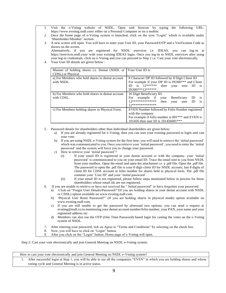|  |                                                                             |  |  |  |  | 1. Visit the e-Voting website of NSDL. Open web browser by typing the following URL: |  |
|--|-----------------------------------------------------------------------------|--|--|--|--|--------------------------------------------------------------------------------------|--|
|  | https://www.evoting.nsdl.com/ either on a Personal Computer or on a mobile. |  |  |  |  |                                                                                      |  |
|  |                                                                             |  |  |  |  |                                                                                      |  |

- 2. Once the home page of e-Voting system is launched, click on the icon "Login" which is available under 'Shareholder/Member' section.
- 3. A new screen will open. You will have to enter your User ID, your Password/OTP and a Verification Code as shown on the screen.

Alternatively, if you are registered for NSDL eservices i.e. IDEAS, you can log-in at <https://eservices.nsdl.com/> with your existing IDEAS login. Once you log-in to NSDL eservices after using your log-in credentials, click on e-Voting and you can proceed to Step 2 i.e. Cast your vote electronically. 4. Your User ID details are given below :

| Manner of holding shares i.e. Demat (NSDL or Your User ID is:<br>CDSL) or Physical |                                                                                                                                                                                              |
|------------------------------------------------------------------------------------|----------------------------------------------------------------------------------------------------------------------------------------------------------------------------------------------|
| a) For Members who hold shares in demat account<br>with NSDL.                      | 8 Character DP ID followed by 8 Digit Client ID<br>For example if your DP ID is IN300*** and Client<br>is $12******$<br>then<br>ID.<br>your<br>user<br>ID<br><b>1S</b><br>$IN300***12******$ |
| b) For Members who hold shares in demat account<br>with CDSL.                      | 16 Digit Beneficiary ID<br>example if<br>Beneficiary<br>For<br>ID<br>your<br><b>1S</b><br>$12*********************$<br>is<br>then<br>ID<br>your<br>user<br>17**************                  |
| c) For Members holding shares in Physical Form.                                    | EVEN Number followed by Folio Number registered<br>with the company<br>For example if folio number is $001***$ and EVEN is<br>101456 then user ID is 101456001***                            |

5. Password details for shareholders other than Individual shareholders are given below:

- a) If you are already registered for e-Voting, then you can user your existing password to login and cast your vote.
- b) If you are using NSDL e-Voting system for the first time, you will need to retrieve the 'initial password' which was communicated to you. Once you retrieve your 'initial password', you need to enter the 'initial password' and the system will force you to change your password.
- c) How to retrieve your 'initial password'?
	- (i) If your email ID is registered in your demat account or with the company, your 'initial password' is communicated to you on your email ID. Trace the email sent to you from NSDL from your mailbox. Open the email and open the attachment i.e. a .pdf file. Open the .pdf file. The password to open the .pdf file is your 8 digit client ID for NSDL account, last 8 digits of client ID for CDSL account or folio number for shares held in physical form. The .pdf file contains your 'User ID' and your 'initial password'.
	- (ii) If your email ID is not registered, please follow steps mentioned below in process for those shareholders whose email ids are not registered.
- 6. If you are unable to retrieve or have not received the " Initial password" or have forgotten your password:
	- a) Click on "[Forgot User Details/Password?](https://www.evoting.nsdl.com/eVotingWeb/commonhtmls/NewUser.jsp)"(If you are holding shares in your demat account with NSDL or CDSL) option available on www.evoting.nsdl.com.
	- b) [Physical User Reset Password?](https://www.evoting.nsdl.com/eVotingWeb/commonhtmls/PhysicalUser.jsp)" (If you are holding shares in physical mode) option available on [www.evoting.nsdl.com.](http://www.evoting.nsdl.com/)
	- c) If you are still unable to get the password by aforesaid two options, you can send a request at [evoting@nsdl.co.in](mailto:evoting@nsdl.co.in) mentioning your demat account number/folio number, your PAN, your name and your registered address etc.
	- d) Members can also use the OTP (One Time Password) based login for casting the votes on the e-Voting system of NSDL.
- 7. After entering your password, tick on Agree to "Terms and Conditions" by selecting on the check box.
- 8. Now, you will have to click on "Login" button.
- 9. After you click on the "Login" button, Home page of e-Voting will open.

Step 2: Cast your vote electronically and join General Meeting on NSDL e-Voting system.

How to cast your vote electronically and join General Meeting on NSDL e-Voting system?

1. After successful login at Step 1, you will be able to see all the companies "EVEN" in which you are holding shares and whose voting cycle and General Meeting is in active status.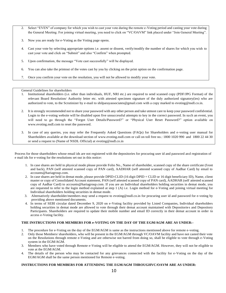- 2. Select "EVEN" of company for which you wish to cast your vote during the remote e-Voting period and casting your vote during the General Meeting. For joining virtual meeting, you need to click on "VC/OAVM" link placed under "Join General Meeting".
- 3. Now you are ready for e-Voting as the Voting page opens.
- 4. Cast your vote by selecting appropriate options i.e. assent or dissent, verify/modify the number of shares for which you wish to cast your vote and click on "Submit" and also "Confirm" when prompted.
- 5. Upon confirmation, the message "Vote cast successfully" will be displayed.
- 6. You can also take the printout of the votes cast by you by clicking on the print option on the confirmation page.
- 7. Once you confirm your vote on the resolution, you will not be allowed to modify your vote.

#### General Guidelines for shareholders

- 1. Institutional shareholders (i.e. other than individuals, HUF, NRI etc.) are required to send scanned copy (PDF/JPG Format) of the relevant Board Resolution/ Authority letter etc. with attested specimen signature of the duly authorized signatory(ies) who are authorized to vote, to the Scrutinizer by e-mail to shilparayassociates@gmail.com with a copy marked to [evoting@nsdl.co.in.](mailto:evoting@nsdl.co.in)
- 2. It is strongly recommended not to share your password with any other person and take utmost care to keep your password confidential. Login to the e-voting website will be disabled upon five unsuccessful attempts to key in the correct password. In such an event, you will need to go through the "[Forgot User Details/Password?](https://www.evoting.nsdl.com/eVotingWeb/commonhtmls/NewUser.jsp)" or "[Physical User Reset Password?](https://www.evoting.nsdl.com/eVotingWeb/commonhtmls/PhysicalUser.jsp)" option available on www.evoting.nsdl.com to reset the password.
- 3. In case of any queries, you may refer the Frequently Asked Questions (FAQs) for Shareholders and e-voting user manual for Shareholders available at the download section of [www.evoting.nsdl.com](http://www.evoting.nsdl.com/) or call on toll free no.: 1800 1020 990 and 1800 22 44 30 or send a request to (Name of NSDL Official) at [evoting@nsdl.co.in](mailto:evoting@nsdl.co.in)

Process for those shareholders whose email ids are not registered with the depositories for procuring user id and password and registration of e mail ids for e-voting for the resolutions set out in this notice:

- 1. In case shares are held in physical mode please provide Folio No., Name of shareholder, scanned copy of the share certificate (front and back), PAN (self attested scanned copy of PAN card), AADHAR (self attested scanned copy of Aadhar Card) by email to accounts@hariagroup.com.
- 2. In case shares are held in demat mode, please provide DPID-CLID (16 digit DPID + CLID or 16 digit beneficiary ID), Name, client master or copy of Consolidated Account statement, PAN (self attested scanned copy of PAN card), AADHAR (self attested scanned copy of Aadhar Card) to accounts@hariagroup.com. If you are an Individual shareholders holding securities in demat mode, you are requested to refer to the login method explained at step 1 (A) i.e. Login method for e-Voting and joining virtual meeting for Individual shareholders holding securities in demat mode.
- 3. Alternatively shareholder/members may send a request to [evoting@nsdl.co.in](mailto:evoting@nsdl.co.in) for procuring user id and password for e-voting by providing above mentioned documents.
- 4. In terms of SEBI circular dated December 9, 2020 on e-Voting facility provided by Listed Companies, Individual shareholders holding securities in demat mode are allowed to vote through their demat account maintained with Depositories and Depository Participants. Shareholders are required to update their mobile number and email ID correctly in their demat account in order to access e-Voting facility.

#### **THE INSTRUCTIONS FOR MEMBERS FOR e-VOTING ON THE DAY OF THE EGM/AGM ARE AS UNDER:-**

- 1. The procedure for e-Voting on the day of the EGM/AGM is same as the instructions mentioned above for remote e-voting.
- 2. Only those Members/ shareholders, who will be present in the EGM/AGM through VC/OAVM facility and have not casted their vote on the Resolutions through remote e-Voting and are otherwise not barred from doing so, shall be eligible to vote through e-Voting system in the EGM/AGM.
- 3. Members who have voted through Remote e-Voting will be eligible to attend the EGM/AGM. However, they will not be eligible to vote at the EGM/AGM.
- 4. The details of the person who may be contacted for any grievances connected with the facility for e-Voting on the day of the EGM/AGM shall be the same person mentioned for Remote e-voting.

## **INSTRUCTIONS FOR MEMBERS FOR ATTENDING THE EGM/AGM THROUGHVC/OAVM ARE AS UNDER:**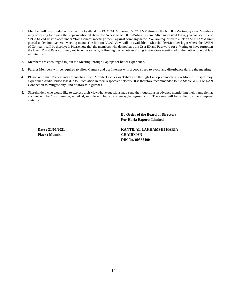- 1. Member will be provided with a facility to attend the EGM/AGM through VC/OAVM through the NSDL e-Voting system. Members may access by following the steps mentioned above for Access to NSDL e-Voting system. After successful login, you can see link of "VC/OAVM link" placed under "Join General meeting" menu against company name. You are requested to click on VC/OAVM link placed under Join General Meeting menu. The link for VC/OAVM will be available in Shareholder/Member login where the EVEN of Company will be displayed. Please note that the members who do not have the User ID and Password for e-Voting or have forgotten the User ID and Password may retrieve the same by following the remote e-Voting instructions mentioned in the notice to avoid last minute rush.
- 2. Members are encouraged to join the Meeting through Laptops for better experience.
- 3. Further Members will be required to allow Camera and use Internet with a good speed to avoid any disturbance during the meeting.
- 4. Please note that Participants Connecting from Mobile Devices or Tablets or through Laptop connecting via Mobile Hotspot may experience Audio/Video loss due to Fluctuation in their respective network. It is therefore recommended to use Stable Wi-Fi or LAN Connection to mitigate any kind of aforesaid glitches.
- 5. Shareholders who would like to express their views/have questions may send their questions in advance mentioning their name demat account number/folio number, email id, mobile number at accounts@hariagroup.com. The same will be replied by the company suitably.

**By Order of the Board of Directors For Haria Exports Limited**

**Place : Mumbai CHAIRMAN** 

**Date : 21/06/2021 KANTILAL LAKHAMSHI HARIA DIN No. 00585400**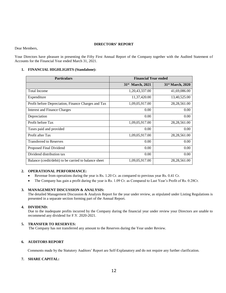#### **DIRECTORS' REPORT**

Dear Members,

Your Directors have pleasure in presenting the Fifty First Annual Report of the Company together with the Audited Statement of Accounts for the Financial Year ended March 31, 2021.

#### **1. FINANCIAL HIGHLIGHTS (Standalone):**

| <b>Particulars</b>                                    | <b>Financial Year ended</b> |                              |  |  |
|-------------------------------------------------------|-----------------------------|------------------------------|--|--|
|                                                       | $31st$ March, 2021          | 31 <sup>st</sup> March, 2020 |  |  |
| <b>Total Income</b>                                   | 1,20,43,337.00              | 41,69,086.00                 |  |  |
| Expenditure                                           | 11,37,420.00                | 13,40,525.00                 |  |  |
| Profit before Depreciation, Finance Charges and Tax   | 1,09,05,917.00              | 28,28,561.00                 |  |  |
| Interest and Finance Charges                          | 0.00                        | 0.00                         |  |  |
| Depreciation                                          | 0.00                        | 0.00                         |  |  |
| Profit before Tax                                     | 1,09,05,917.00              | 28, 28, 561.00               |  |  |
| Taxes paid and provided                               | 0.00                        | 0.00                         |  |  |
| Profit after Tax                                      | 1,09,05,917.00              | 28, 28, 561.00               |  |  |
| <b>Transferred to Reserves</b>                        | 0.00                        | 0.00                         |  |  |
| Proposed Final Dividend                               | 0.00                        | 0.00                         |  |  |
| Dividend distribution tax                             | 0.00                        | 0.00                         |  |  |
| Balance (credit/debit) to be carried to balance sheet | 1,09,05,917.00              | 28, 28, 561.00               |  |  |

## **2. OPERATIONAL PERFORMANCE:**

- Revenue from operations during the year is Rs. 1.20 Cr. as compared to previous year Rs. 0.41 Cr.
- The Company has gain a profit during the year is Rs. 1.09 Cr. as Compared to Last Year's Profit of Rs. 0.28Cr.

## **3. MANAGEMENT DISCUSSION & ANALYSIS:**

The detailed Management Discussion & Analysis Report for the year under review, as stipulated under Listing Regulations is presented in a separate section forming part of the Annual Report.

#### **4. DIVIDEND:**

Due to the inadequate profits incurred by the Company during the financial year under review your Directors are unable to recommend any dividend for F.Y. 2020-2021.

#### **5. TRANSFER TO RESERVES:**

The Company has not transferred any amount to the Reserves during the Year under Review.

## **6. AUDITORS REPORT**

Comments made by the Statutory Auditors' Report are Self-Explanatory and do not require any further clarification.

## **7. SHARE CAPITAL:**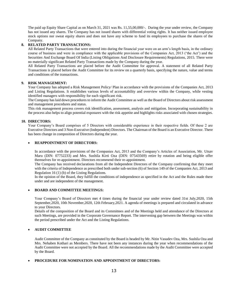The paid up Equity Share Capital as on March 31, 2021 was Rs. 11,55,00,000/-. During the year under review, the Company has not issued any shares. The Company has not issued shares with differential voting rights. It has neither issued employee stock options nor sweat equity shares and does not have any scheme to fund its employees to purchase the shares of the Company.

## **8. RELATED PARTY TRANSACTIONS:**

All Related Party Transactions that were entered into during the financial year were on an arm's length basis, in the ordinary course of business and were in compliance with the applicable provisions of the Companies Act, 2013 ('the Act') and the Securities And Exchange Board Of India (Listing Obligations And Disclosure Requirements) Regulations, 2015. There were no materially significant Related Party Transactions made by the Company during the year.

All Related Party Transactions are placed before the Audit Committee for approval. A statement of all Related Party Transactions is placed before the Audit Committee for its review on a quarterly basis, specifying the nature, value and terms and conditions of the transactions.

#### **9. RISK MANAGEMENT:**

Your Company has adopted a Risk Management Policy/ Plan in accordance with the provisions of the Companies Act, 2013 and Listing Regulations. It establishes various levels of accountability and overview within the Company, while vesting identified managers with responsibility for each significant risk.

The Company has laid down procedures to inform the Audit Committee as well as the Board of Directors about risk assessment and management procedures and status.

This risk management process covers risk identification, assessment, analysis and mitigation. Incorporating sustainability in the process also helps to align potential exposures with the risk appetite and highlights risks associated with chosen strategies.

#### **10. DIRECTORS:**

Your Company's Board comprises of 5 Directors with considerable experience in their respective fields. Of these 2 are Executive Directors and 3 Non-Executive (Independent) Directors. The Chairman of the Board is an Executive Director. There has been change in composition of Directors during the year.

#### **REAPPOINTMENT OF DIRECTORS:**

In accordance with the provisions of the Companies Act, 2013 and the Company's Articles of Association, Mr. Utsav Maru (DIN: 07752233) and Mrs. Sushila Kirti Oza (DIN: 07543569) retire by rotation and being eligible offer themselves for re-appointment. Directors recommend their re-appointment.

The Company has received declarations from all the Independent Directors of the Company confirming that they meet with the criteria of Independence as prescribed both under sub-section (6) of Section 149 of the Companies Act, 2013 and Regulation 16 (1) (b) of the Listing Regulations.

In the opinion of the Board, they fulfill the conditions of independence as specified in the Act and the Rules made there under and are independent of the management.

#### **BOARD AND COMMITTEE MEETINGS:**

Your Company's Board of Directors met 4 times during the financial year under review dated 31st July,2020, 15th September,2020, 10th November,2020, 12th February,2021. A agenda of meetings is prepared and circulated in advance to your Directors.

Details of the composition of the Board and its Committees and of the Meetings held and attendance of the Directors at such Meetings, are provided in the Corporate Governance Report. The intervening gap between the Meetings was within the period prescribed under the Act and the Listing Regulations.

## **AUDIT COMMITTEE**

Audit Committee of the Company as constituted by the Board is headed by Mr. Nitin Vasudev Oza, Mrs. Sushila Oza and Mrs. Nehaben Kothari as Members. There have not been any instances during the year when recommendations of the Audit Committee were not accepted by the Board. All the recommendations made by the Audit Committee were accepted by the Board.

#### **PROCEDURE FOR NOMINATION AND APPOINTMENT OF DIRECTORS:**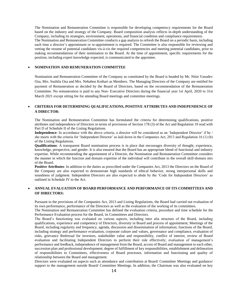The Nomination and Remuneration Committee is responsible for developing competency requirements for the Board based on the industry and strategy of the Company. Board composition analysis reflects in-depth understanding of the Company, including its strategies, environment, operations, and financial condition and compliance requirements. The Nomination and Remuneration Committee conducts a gap analysis to refresh the Board on a periodic basis, including each time a director's appointment or re-appointment is required. The Committee is also responsible for reviewing and vetting the resume of potential candidates vis-à-vis the required competencies and meeting potential candidates, prior to making recommendations of their nomination to the Board. At the time of appointment, specific requirements for the position, including expert knowledge expected, is communicated to the appointee.

#### **NOMINATION AND REMUNERATION COMMITTEE**

Nomination and Remuneration Committee of the Company as constituted by the Board is headed by Mr. Nitin Vasudev Oza, Mrs. Sushila Oza and Mrs. Nehaben Kothari as Members. The Managing Directors of the Company are entitled for payment of Remuneration as decided by the Board of Directors, based on the recommendation of the Remuneration Committee. No remuneration is paid to any Non- Executive Directors during the financial year 1st April, 2020 to 31st March 2021 except sitting fee for attending Board meetings and committee meetings.

## **CRITERIA FOR DETERMINING QUALIFICATIONS, POSITIVE ATTRIBUTES AND INDEPENDENCE OF A DIRECTOR:**

The Nomination and Remuneration Committee has formulated the criteria for determining qualifications, positive attributes and independence of Directors in terms of provisions of Section 178 (3) of the Act and Regulation 19 read with Part D of Schedule II of the Listing Regulations.

**Independence**: In accordance with the above criteria, a director will be considered as an 'Independent Director' if he / she meets with the criteria for 'Independent Director' as laid down in the Companies Act, 2013 and Regulation 16 (1) (b) of the Listing Regulations.

**Qualifications**: A transparent Board nomination process is in place that encourages diversity of thought, experience, knowledge, perspective, and gender. It is also ensured that the Board has an appropriate blend of functional and industry expertise. While recommending the appointment of a Director, the Nomination and Remuneration Committee considers the manner in which the function and domain expertise of the individual will contribute to the overall skill-domain mix of the Board.

**Positive Attributes**: In addition to the duties as prescribed under the Companies Act, 2013 the Directors on the Board of the Company are also expected to demonstrate high standards of ethical behavior, strong interpersonal skills and soundness of judgment. Independent Directors are also expected to abide by the 'Code for Independent Directors' as outlined in Schedule IV to the Act.

## **ANNUAL EVALUATION OF BOARD PERFORMANCE AND PERFORMANCE OF ITS COMMITTEES AND OF DIRECTORS:**

Pursuant to the provisions of the Companies Act, 2013 and Listing Regulations, the Board had carried out evaluation of its own performance, performance of the Directors as well as the evaluation of the working of its committees.

The Nomination and Remuneration Committee has defined the evaluation criteria, procedure and time schedule for the Performance Evaluation process for the Board, its Committees and Directors.

The Board's functioning was evaluated on various aspects, including inter alia structure of the Board, including qualifications, experience and competency of Directors, diversity in Board and process of appointment; Meetings of the Board, including regularity and frequency, agenda, discussion and dissemination of information; functions of the Board, including strategy and performance evaluation, corporate culture and values, governance and compliance, evaluation of risks, grievance Redressal for investors, stakeholder value and responsibility, conflict of interest, review of Board evaluation and facilitating Independent Directors to perform their role effectively; evaluation of management's performance and feedback, independence of management from the Board, access of Board and management to each other, succession plan and professional development; degree of fulfillment of key responsibilities, establishment and delineation of responsibilities to Committees, effectiveness of Board processes, information and functioning and quality of relationship between the Board and management.

Directors were evaluated on aspects such as attendance and contribution at Board/ Committee Meetings and guidance/ support to the management outside Board/ Committee Meetings. In addition, the Chairman was also evaluated on key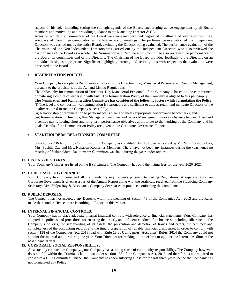aspects of his role, including setting the strategic agenda of the Board, encouraging active engagement by all Board members and motivating and providing guidance to the Managing Director & CEO.

Areas on which the Committees of the Board were assessed included degree of fulfillment of key responsibilities, adequacy of Committee composition and effectiveness of meetings. The performance evaluation of the Independent Directors was carried out by the entire Board, excluding the Director being evaluated. The performance evaluation of the Chairman and the Non-Independent Directors was carried out by the Independent Directors who also reviewed the performance of the Board as a whole. The Nomination and Remuneration Committee also reviewed the performance of the Board, its committees and of the Directors. The Chairman of the Board provided feedback to the Directors on an individual basis, as appropriate. Significant highlights, learning and action points with respect to the evaluation were presented to the Board.

#### **REMUNERATION POLICY:**

Your Company has adopted a Remuneration Policy for the Directors, Key Managerial Personnel and Senior Management, pursuant to the provisions of the Act and Listing Regulations.

The philosophy for remuneration of Directors, Key Managerial Personnel of the Company is based on the commitment of fostering a culture of leadership with trust. The Remuneration Policy of the Company is aligned to this philosophy. **The Nomination and Remuneration Committee has considered the following factors while formulating the Policy:** (i) The level and composition of remuneration is reasonable and sufficient to attract, retain and motivate Directors of the quality required to run the Company successfully;

(ii) Relationship of remuneration to performance is clear and meets appropriate performance benchmarks; and (iii) Remuneration to Directors, Key Managerial Personnel and Senior Management involves a balance between fixed and incentive pay reflecting short and long-term performance objectives appropriate to the working of the Company and its goals. Details of the Remuneration Policy are given in the Corporate Governance Report.

#### **STAKEHOLDERS' RELATIONSHIP COMMITTEE**

Stakeholders' Relationship Committee of the Company as constituted by the Board is headed by Mr. Nitin Vasudev Oza, Mrs. Sushila Oza and Mrs. Nehaben Kothari as Members. There have not been any instances during the year hence no meeting of Stakeholders' Relationship Committee was held during the year under review.

#### **11. LISTING OF SHARES:**

Your Company's shares are listed on the BSE Limited. The Company has paid the listing fees for the year 2020-2021.

#### **12. CORPORATE GOVERNANCE:**

Your Company has implemented all the mandatory requirements pursuant to Listing Regulations. A separate report on Corporate Governance is given as a part of the Annual Report along with the certificate received from the Practicing Company Secretary, M/s. Shilpa Ray & Associates, Company Secretaries in practice, confirming the compliance.

#### **13. PUBLIC DEPOSITS:**

The Company has not accepted any Deposits within the meaning of Section 73 of the Companies Act, 2013 and the Rules made there under. Hence, there is nothing to Report in this Matter.

#### **14. INTERNAL FINANCIAL CONTROLS:**

Your Company has in place adequate internal financial controls with reference to financial statements. Your Company has adopted the policies and procedures for ensuring the orderly and efficient conduct of its business, including adherence to the Company's policies, the safeguarding of its assets, the prevention and detection of frauds and errors, the accuracy and completeness of the accounting records and the timely preparation of reliable financial disclosures. In order to comply with section 138 of the Companies Act, 2013 read with **Rule 13 of Companies (Accounts) Rules, 2014** the Company could not appoint the internal auditor during the year. Your Directors are making all the efforts to appoint the Internal Auditor in the next financial year.

## **15. CORPORATE SOCIAL RESPONSIBILITY:**

As a socially responsible Company, your Company has a strong sense of community responsibility. The Company however, does not fall within the Criteria as laid down under section 135 of the Companies Act, 2013 and therefore is not required to constitute a CSR Committee. Further the Company has been suffering a loss for the last three years; hence the Company has not formulated any Policy.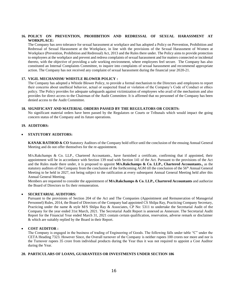#### **16. POLICY ON PREVENTION, PROHIBITION AND REDRESSAL OF SEXUAL HARASSMENT AT WORKPLACE:**

The Company has zero tolerance for sexual harassment at workplace and has adopted a Policy on Prevention, Prohibition and Redressal of Sexual Harassment at the Workplace, in line with the provisions of the Sexual Harassment of Women at Workplace (Prevention, Prohibition and Redressal) Act, 2013 and the Rules there under. The Policy aims to provide protection to employees at the workplace and prevent and redress complaints of sexual harassment and for matters connected or incidental thereto, with the objective of providing a safe working environment, where employees feel secure. The Company has also constituted an Internal Complaints Committee, to inquire into complaints of sexual harassment and recommend appropriate action. The Company has not received any complaint of sexual harassment during the financial year 2020-21.

#### **17. VIGIL MECHANISM/ WHISTLE BLOWER POLICY :**

The Company has adopted a Whistle Blower Policy, to provide a formal mechanism to the Directors and employees to report their concerns about unethical behavior, actual or suspected fraud or violation of the Company's Code of Conduct or ethics policy. The Policy provides for adequate safeguards against victimization of employees who avail of the mechanism and also provides for direct access to the Chairman of the Audit Committee. It is affirmed that no personnel of the Company has been denied access to the Audit Committee.

#### **18. SIGNIFICANT AND MATERIAL ORDERS PASSED BY THE REGULATORS OR COURTS:**

No significant material orders have been passed by the Regulators or Courts or Tribunals which would impact the going concern status of the Company and its future operations.

#### **19. AUDITORS:**

#### **STATUTORY AUDITORS:**

**KANAK RATHOD & CO** Statutory Auditors of the Company hold office until the conclusion of the ensuing Annual General Meeting and do not offer themselves for the re-appointment.

M/s.Rakchamps & Co. LLP., Chartered Accountants., have furnished a certificate, confirming that if appointed, their appointment will be in accordance with Section 139 read with Section 141 of the Act. Pursuant to the provisions of the Act and the Rules made there under, it is proposed to appoint **M/s.Rakchamps & Co. LLP., Chartered Accountants.,** as the statutory auditors of the Company from the conclusion of the forthcoming AGM till the conclusion of the 56<sup>th</sup> Annual General Meeting to be held in 2027, not being subject to the ratification at every subsequent Annual General Meeting held after this Annual General Meeting.

Members are requested to consider the appointment of **M/s.Rakchamps & Co. LLP., Chartered Accountants** and authorize the Board of Directors to fix their remuneration.

#### **SECRETARIAL AUDITORS:**

Pursuant to the provisions of Section 204 of the Act and The Companies (Appointment and Remuneration of Managerial Personnel) Rules, 2014, the Board of Directors of the Company had appointed CS Shilpa Ray, Practicing Company Secretary, Practicing under the name & style M/S Shilpa Ray & Associates, CP No: 5311 to undertake the Secretarial Audit of the Company for the year ended 31st March, 2021. The Secretarial Audit Report is annexed as Annexure. The Secretarial Audit Report for the Financial Year ended March 31, 2021 contain certain qualification, reservation, adverse remark or disclaimer & which are suitably replied by the Board in their Report.

#### **COST AUDITOR :**

The Company is engaged in the business of trading of Engineering of Goods. The following falls under table "C" under the CETA Heading 7323. However Since, the Overall turnover of the Company is neither rupees 100 crores nor more and nor is the Turnover rupees 35 crore from individual products during the Year thus it was not required to appoint a Cost Auditor during the Year.

#### **20. PARTICULARS OF LOANS, GUARANTEES OR INVESTMENTS UNDER SECTION 186**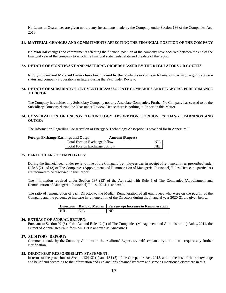No Loans or Guarantees are given nor are any Investments made by the Company under Section 186 of the Companies Act, 2013.

#### **21. MATERIAL CHANGES AND COMMITMENTS AFFECTING THE FINANCIAL POSITION OF THE COMPANY**

**No Material** changes and commitments affecting the financial position of the company have occurred between the end of the financial year of the company to which the financial statements relate and the date of the report.

#### **22. DETAILS OF SIGNIFICANT AND MATERIAL ORDERS PASSED BY THE REGULATORS OR COURTS**

**No Significant and Material Orders have been passed by the** regulators or courts or tribunals impacting the going concern status and company's operations in future during the Year under Review.

#### **23. DETAILS OF SUBSIDIARY/JOINT VENTURES/ASSOCIATE COMPANIES AND FINANCIAL PERFORMANCE THEREOF**

The Company has neither any Subsidiary Company nor any Associate Companies. Further No Company has ceased to be the Subsidiary Company during the Year under Review. Hence there is nothing to Report in this Matter.

#### **24. CONSERVATION OF ENERGY, TECHNOLOGY ABSORPTION, FOREIGN EXCHANGE EARNINGS AND OUTGO:**

The Information Regarding Conservation of Energy & Technology Absorption is provided for in Annexure II

| <b>Foreign Exchange Earnings and Outgo:</b> |                                      | <b>Amount</b> (Rupees) |
|---------------------------------------------|--------------------------------------|------------------------|
|                                             | <b>Total Foreign Exchange Inflow</b> |                        |
|                                             | Total Foreign Exchange outflow       | NIL                    |

#### **25. PARTICULARS OF EMPLOYEES:**

During the financial year under review, none of the Company's employees was in receipt of remuneration as prescribed under Rule 5 (2) and (3) of The Companies (Appointment and Remuneration of Managerial Personnel) Rules. Hence, no particulars are required to be disclosed in this Report.

The information required under Section 197 (12) of the Act read with Rule 5 of The Companies (Appointment and Remuneration of Managerial Personnel) Rules, 2014, is annexed.

The ratio of remuneration of each Director to the Median Remuneration of all employees who were on the payroll of the Company and the percentage increase in remuneration of the Directors during the financial year 2020-21 are given below:

|      |      | Directors   Ratio to Median   Percentage Increase in Remuneration |
|------|------|-------------------------------------------------------------------|
| NII. | NIL. | <b>NII</b>                                                        |

#### **26. EXTRACT OF ANNUAL RETURN:**

Pursuant to Section 92 (3) of the Act and Rule 12 (1) of The Companies (Management and Administration) Rules, 2014, the extract of Annual Return in form MGT-9 is annexed as Annexure I.

#### **27. AUDITORS' REPORT:**

Comments made by the Statutory Auditors in the Auditors' Report are self- explanatory and do not require any further clarification.

#### **28. DIRECTORS' RESPONSIBILITY STATEMENT:**

In terms of the provisions of Section 134 (3) (c) and 134 (5) of the Companies Act, 2013, and to the best of their knowledge and belief and according to the information and explanations obtained by them and same as mentioned elsewhere in this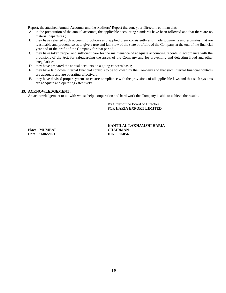Report, the attached Annual Accounts and the Auditors' Report thereon, your Directors confirm that:

- A. in the preparation of the annual accounts, the applicable accounting standards have been followed and that there are no material departures ;
- B. they have selected such accounting policies and applied them consistently and made judgments and estimates that are reasonable and prudent, so as to give a true and fair view of the state of affairs of the Company at the end of the financial year and of the profit of the Company for that period;
- C. they have taken proper and sufficient care for the maintenance of adequate accounting records in accordance with the provisions of the Act, for safeguarding the assets of the Company and for preventing and detecting fraud and other irregularities;
- D. they have prepared the annual accounts on a going concern basis;
- E. they have laid down internal financial controls to be followed by the Company and that such internal financial controls are adequate and are operating effectively;
- F. they have devised proper systems to ensure compliance with the provisions of all applicable laws and that such systems are adequate and operating effectively.

#### **29. ACKNOWLEDGEMENT :**

An acknowledgement to all with whose help, cooperation and hard work the Company is able to achieve the results.

 By Order of the Board of Directors FOR **HARIA EXPORT LIMITED**

Place : MUMBAI **CHAIRMAN Date : 21/06/2021 DIN : 00585400**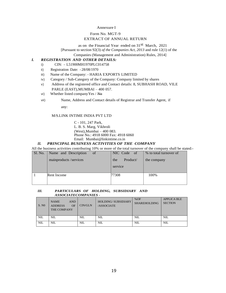## Annexure I

## Form No. MGT-9 EXTRACT OF ANNUAL RETURN

as on the Financial Year ended on 31st March, 2021 [Pursuant to section 92(3) *of the Companies Act, 2013* and rule 12(1) of the

Companies (Management and Administration) Rules, 2014]

## *I. REGISTRATION AND OTHER DETAILS:*

- i) CIN: L51900MH1970PLC014758
- ii) Registration Date: 28/08/1970
- iii) Name of the Company: HARIA EXPORTS LIMITED
- iv) Category / Sub-Category of the Company: Company limited by shares
- v) Address of the registered office and Contact details: 8, SUBHASH ROAD, VILE PARLE (EAST),MUMBAI – 400 057.
- vi) Whether listed company Yes /  $N_{\Theta}$
- vii) Name, Address and Contact details of Registrar and Transfer Agent, if

any:

## M/S.LINK INTIME INDIA PVT LTD

C - 101, 247 Park,

L. B. S. Marg, Vikhroli

(West),Mumbai – 400 083.

Phone No.: 4918 6000 Fax: 4918 6060

Email: [Mumbai@linkintime.co.in](mailto:Mumbai@linkintime.co.in)

## *II. PRINCIPAL BUSINESS ACTIVITIES OF THE COMPANY*

All the business activities contributing 10% or more of the total turnover of the company shall be stated:-

| Sl. No. | Name and Description<br>of | NIC Code of     | % to total turnover of |
|---------|----------------------------|-----------------|------------------------|
|         | mainproducts / services    | Product/<br>the | the company            |
|         |                            | service         |                        |
|         | <b>Rent Income</b>         | 77308           | 100%                   |
|         |                            |                 |                        |

#### *III. PARTICULARS OF HOLDING, SUBSIDIARY AND ASSOCIATECOMPANIES -*

| S. NO      | <b>AND</b><br><b>NAME</b><br><b>ADDRESS</b><br><b>OF</b><br>THE COMPANY | CIN/GLN    | <b>HOLDING/ SUBSIDIARY</b><br>/ASSOCIATE | $%$ OF<br><b>SHAREHOLDING</b> | <b>APPLICA BLE</b><br><b>SECTION</b> |
|------------|-------------------------------------------------------------------------|------------|------------------------------------------|-------------------------------|--------------------------------------|
| <b>NIL</b> | NIL.                                                                    | <b>NIL</b> | NIL.                                     | ΝIL                           | NIL                                  |
| <b>NIL</b> | NIL                                                                     | <b>NIL</b> | NIL                                      | $_{\rm NIL}$                  | NIL                                  |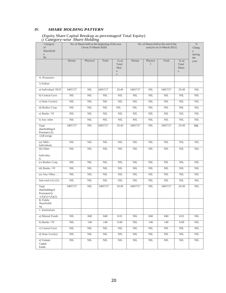## *IV. SHARE HOLDING PATTERN*

#### (Equity Share Capital Breakup as percentageof Total Equity) *i) Category-wise Share Holding*

| Category<br>of<br>Sharehold                                              |                         | No. of Shares held at the beginning of the year<br>[Ason 31-March-2020] |                         |                                                     | No. of Shares held at the end of the<br>year[As on 31-March-2021] |                         |                         | $\%$<br>Chang<br>$\rm e$                |                         |
|--------------------------------------------------------------------------|-------------------------|-------------------------------------------------------------------------|-------------------------|-----------------------------------------------------|-------------------------------------------------------------------|-------------------------|-------------------------|-----------------------------------------|-------------------------|
| $\mathbf{e}$<br>Rs                                                       |                         |                                                                         |                         |                                                     |                                                                   |                         |                         |                                         | during<br>the           |
|                                                                          | Demat                   | Physical                                                                | Total                   | $%$ of<br>Total<br>Shar<br>${\rm e}$<br>$\mathbf S$ | Demat                                                             | Physica<br>$\mathbf{1}$ | Total                   | $%$ of<br>Total<br>Share<br>$\mathbf S$ | year                    |
| A. Promoters                                                             |                         |                                                                         |                         |                                                     |                                                                   |                         |                         |                                         |                         |
| 1) Indian                                                                |                         |                                                                         |                         |                                                     |                                                                   |                         |                         |                                         |                         |
| a) Individual/HUF                                                        | 3405727                 | $\mbox{NIL}$                                                            | 3405727                 | 29.49                                               | 3405727                                                           | $\mbox{NIL}$            | 3405727                 | 29.49                                   | $\text{NIL}$            |
| b) Central Govt                                                          | NIL                     | $\overline{\text{NIL}}$                                                 | $\overline{\text{NIL}}$ | $\overline{\text{NIL}}$                             | NIL                                                               | $\overline{\text{NIL}}$ | $\overline{\text{NIL}}$ | $\overline{\text{NIL}}$                 | NIL                     |
| c) State Govt(s)                                                         | $\text{NIL}$            | $\mbox{NIL}$                                                            | $\mbox{NIL}$            | $\overline{\text{NIL}}$                             | $\overline{\text{NIL}}$                                           | $\overline{\text{NIL}}$ | $\mbox{NIL}$            | $\mbox{NIL}$                            | $\overline{\text{NIL}}$ |
| d) Bodies Corp.                                                          | $\mbox{NIL}$            | $\mbox{NIL}$                                                            | $\mbox{NIL}$            | $\mbox{NIL}$                                        | $\text{NIL}$                                                      | $\mbox{NIL}$            | $\text{NIL}$            | $\mbox{NIL}$                            | $\text{NIL}$            |
| e) Banks / FI                                                            | NIL                     | NIL                                                                     | $NIL$                   | NIL                                                 | $\overline{\text{NIL}}$                                           | $NIL$                   | NIL                     | $\text{NIL}$                            | NIL                     |
| f) Any other                                                             | $\text{NIL}$            | $\mbox{NIL}$                                                            | $\overline{\text{NIL}}$ | $\overline{\text{NIL}}$                             | $NIL$                                                             | $\overline{\text{NIL}}$ | $\overline{\text{NIL}}$ | $\mbox{NIL}$                            | $NIL$                   |
| Total<br>shareholding of<br>Promoter $(A)$                               | 3405727                 | $\overline{\text{NIL}}$                                                 | 3405727                 | 29.49                                               | 3405727                                                           | NIL                     | 3405727                 | 29.49                                   | $\mbox{NIL}$            |
| $(2)$ Foreign                                                            |                         |                                                                         |                         |                                                     |                                                                   |                         |                         |                                         |                         |
| $(a)$ NRIs -<br>Individuals                                              | $\text{NIL}$            | $\mbox{NIL}$                                                            | $\mbox{NIL}$            | $\text{NIL}$                                        | $\text{NIL}$                                                      | $\mbox{NIL}$            | $\text{NIL}$            | $\mbox{NIL}$                            | $\text{NIL}$            |
| (b) Other                                                                | $\text{NIL}$            | $\text{NIL}$                                                            | $\mbox{NIL}$            | $\text{NIL}$                                        | $\text{NIL}$                                                      | $\mbox{NIL}$            | $\text{NIL}$            | $\mbox{NIL}$                            | $\rm NIL$               |
| Individua<br>1s                                                          |                         |                                                                         |                         |                                                     |                                                                   |                         |                         |                                         |                         |
| (c) Bodies Corp.                                                         | NIL                     | $\text{NIL}$                                                            | $\text{NIL}$            | NIL                                                 | NIL                                                               | NIL                     | NIL                     | $\text{NIL}$                            | NIL                     |
| $(d)$ Banks / FI                                                         | $\mbox{NIL}$            | $\mbox{NIL}$                                                            | $\mbox{NIL}$            | $\text{NIL}$                                        | $\text{NIL}$                                                      | $\text{NIL}$            | $\mbox{NIL}$            | $\text{NIL}$                            | $\text{NIL}$            |
| (e) Any Other                                                            | NIL                     | $\mbox{NIL}$                                                            | NIL                     | $\text{NIL}$                                        | $NIL$                                                             | NIL                     | NIL                     | $\text{NIL}$                            | NIL                     |
| Sub-total $(A)$ $(2)$ :-                                                 | $\overline{\text{NIL}}$ | $\overline{\text{NIL}}$                                                 | $\overline{\text{NIL}}$ | $\overline{\text{NIL}}$                             | $\overline{\text{NIL}}$                                           | $\overline{\text{NIL}}$ | $\overline{\text{NIL}}$ | $\mbox{NIL}$                            | $\overline{\text{NIL}}$ |
| Total<br>shareholding of<br>Promoter(A)<br>$=(A)(1)+(A)(2)$<br>B. Public | 3405727                 | $\text{NIL}$                                                            | 3405727                 | 29.49                                               | 3405727                                                           | $\overline{\text{NIL}}$ | 3405727                 | 29.49                                   | $NIL$                   |
| Shareholdi<br>ng<br>1. Institutions                                      |                         |                                                                         |                         |                                                     |                                                                   |                         |                         |                                         |                         |
| a) Mutual Funds                                                          | NIL                     | 840                                                                     | 840                     | 0.01                                                | $\overline{\text{NIL}}$                                           | 840                     | 840                     | 0.01                                    | $\overline{\text{NIL}}$ |
| b) Banks / FI                                                            | $\overline{\text{NIL}}$ | 140                                                                     | 140                     | 0.00                                                | $\overline{\text{NIL}}$                                           | 140                     | 140                     | 0.00                                    | NIL                     |
| c) Central Govt                                                          | $\mbox{NIL}$            | $\mbox{NIL}$                                                            | $\mbox{NIL}$            | $\text{NIL}$                                        | $\mbox{NIL}$                                                      | $\mbox{NIL}$            | $\mbox{NIL}$            | $\mbox{NIL}$                            | $\mbox{NIL}$            |
| $d)$ State Govt $(s)$                                                    | $\overline{\text{NIL}}$ | $\overline{\text{NIL}}$                                                 | $\overline{\text{NIL}}$ | $\overline{\text{NIL}}$                             | $\overline{\text{NIL}}$                                           | $\overline{\text{NIL}}$ | $\overline{\text{NIL}}$ | $\mbox{NIL}$                            | $\overline{\text{NIL}}$ |
|                                                                          |                         |                                                                         |                         |                                                     |                                                                   |                         |                         |                                         |                         |
| e) Venture<br>Capital<br>Funds                                           | $\text{NIL}$            | $\overline{\text{NIL}}$                                                 | $\text{NIL}$            | $\overline{\text{NIL}}$                             | $\text{NIL}$                                                      | $\overline{\text{NIL}}$ | $\rm NIL$               | $\overline{\text{NIL}}$                 | $\rm NIL$               |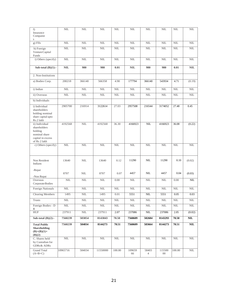| f)<br>Insurance<br>Companie<br>S                                                                | <b>NIL</b>              | <b>NIL</b>              | NIL                     | <b>NIL</b>              | <b>NIL</b>   | <b>NIL</b>              | <b>NIL</b>       | NIL                     | $\text{NIL}$                |
|-------------------------------------------------------------------------------------------------|-------------------------|-------------------------|-------------------------|-------------------------|--------------|-------------------------|------------------|-------------------------|-----------------------------|
| g) FIIs                                                                                         | $\text{NIL}$            | NIL                     | $\text{NIL}$            | <b>NIL</b>              | $\text{NIL}$ | <b>NIL</b>              | <b>NIL</b>       | $\text{NIL}$            | NIL                         |
| h) Foreign<br>Venture Capital<br>Funds                                                          | <b>NIL</b>              | <b>NIL</b>              | NIL                     | <b>NIL</b>              | <b>NIL</b>   | <b>NIL</b>              | <b>NIL</b>       | $\text{NIL}$            | NIL                         |
| i) Others (specify)                                                                             | <b>NIL</b>              | <b>NIL</b>              | NIL                     | <b>NIL</b>              | <b>NIL</b>   | <b>NIL</b>              | <b>NIL</b>       | NIL                     | <b>NIL</b>                  |
| Sub-total $(B)(1)$ :-                                                                           | NIL                     | 980                     | 980                     | 0.01                    | <b>NIL</b>   | 980                     | 980              | 0.01                    | NIL                         |
| 2. Non-Institutions                                                                             |                         |                         |                         |                         |              |                         |                  |                         |                             |
| a) Bodies Corp.                                                                                 | 200218                  | 366140                  | 566358                  | 4.90                    | 177794       | 366140                  | 543934           | 4.71                    | (0.19)                      |
| i) Indian                                                                                       | NIL                     | NIL                     | NIL                     | <b>NIL</b>              | $\text{NIL}$ | <b>NIL</b>              | <b>NIL</b>       | $\text{NIL}$            | <b>NIL</b>                  |
| ii) Overseas                                                                                    | <b>NIL</b>              | <b>NIL</b>              | NIL                     | <b>NIL</b>              | <b>NIL</b>   | <b>NIL</b>              | $\text{NIL}$     | <b>NIL</b>              | <b>NIL</b>                  |
| b) Individuals                                                                                  |                         |                         |                         |                         |              |                         |                  |                         |                             |
| i) Individual<br>shareholders<br>holding nominal<br>share capital upto<br>Rs.2 lakh             | 2905700                 | 216914                  | 3122614                 | 27.03                   | 2957508      | 216544                  | 3174052          | 27.48                   | 0.45                        |
| ii) Individual<br>shareholders<br>holding<br>nominal share<br>capital in excess<br>of Rs 2 lakh | 4192568                 | <b>NIL</b>              | 4192568                 | 36.30                   | 4166923      | NIL                     | 4166923          | 36.08                   | (0.22)                      |
| c) Others (specify)                                                                             | NIL                     | NIL                     | NIL                     | NIL                     | <b>NIL</b>   | NIL                     | <b>NIL</b>       | NIL                     | NIL                         |
| Non Resident<br>Indians                                                                         | 13640                   | <b>NIL</b>              | 13640                   | 0.12                    | 11290        | <b>NIL</b>              | 11290            | 0.10                    | (0.02)                      |
| -Repat<br>-Non Repat                                                                            | 8707                    | $\text{NIL}$            | 8707                    | 0.07                    | 4457         | <b>NIL</b>              | 4457             | 0.04                    | (0.03)                      |
| Overseas<br>Corporate Bodies                                                                    | $\text{NIL}$            | NIL                     | $\mbox{NIL}$            | 0.00                    | $\text{NIL}$ | <b>NIL</b>              | <b>NIL</b>       | 0.00                    | NIL                         |
| Foreign Nationals                                                                               | $\mbox{NIL}$            | $\text{NIL}$            | $\text{NIL}$            | NIL                     | $\mbox{NIL}$ | $\mbox{NIL}$            | $\text{NIL}$     | $\text{NIL}$            | $\mbox{NIL}$                |
| <b>Clearing Members</b>                                                                         | 1495                    | <b>NIL</b>              | 1495                    | 0.01                    | 5551         | <b>NIL</b>              | 5551             | 0.05                    | 0.03                        |
| <b>Trusts</b>                                                                                   | NIL                     | $\text{NIL}$            | $\mbox{NIL}$            | $\text{NIL}$            | $\mbox{NIL}$ | $\text{NIL}$            | $\text{NIL}$     | $\mbox{NIL}$            | $\mbox{NIL}$                |
| Foreign Bodies - D<br>R                                                                         | $\mbox{NIL}$            | $\text{NIL}$            | $\overline{\text{NIL}}$ | $\mbox{NIL}$            | $\mbox{NIL}$ | $\text{NIL}$            | $\text{NIL}$     | $\mbox{NIL}$            | $\mbox{NIL}$                |
| <b>HUF</b>                                                                                      | 237911                  | $\overline{\text{NIL}}$ | 237911                  | 2.07                    | 237086       | $\overline{\text{NIL}}$ | 237086           | 2.05                    | (0.02)                      |
| Sub-total $(B)(2)$ :-                                                                           | 7560239                 | 583054                  | 8143043                 | 70.50                   | 7560609      | 582684                  | 8143293          | 70.50                   | $\ensuremath{\mathbf{NIL}}$ |
| <b>Total Public</b><br><b>Shareholding</b><br>$(B)=(B)(1)+$<br>(B)(2)                           | 7560239                 | 584034                  | 8144273                 | 70.51                   | 7560609      | 583664                  | 8144273          | 70.51                   | $\overline{\text{NIL}}$     |
| C. Shares held<br>by Custodian for<br><b>GDRs &amp; ADRs</b>                                    | $\overline{\text{NIL}}$ | $\overline{\text{NIL}}$ | $\overline{\text{NIL}}$ | $\overline{\text{NIL}}$ | $\mbox{NIL}$ | $\mbox{NIL}$            | $\mbox{NIL}$     | $\overline{\text{NIL}}$ | $\text{NIL}$                |
| <b>Grand Total</b><br>$(A+B+C)$                                                                 | 10965716                | 584034                  | 11550000                | 100.00                  | 109659<br>66 | 58403<br>$\overline{4}$ | 115500<br>$00\,$ | 100.00                  | $\mbox{NIL}$                |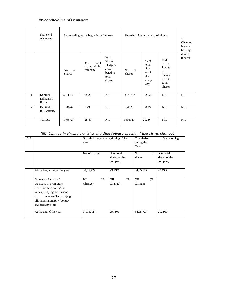## *(ii)Shareholding of Promoters*

|                | Sharehold<br>er's Name         |                                    | Shareholding at the beginning of the year |                                                                          | Share hol ing at the end of theyear |                                                        | $\%$<br>Change<br>inshare<br>holding                                    |                   |
|----------------|--------------------------------|------------------------------------|-------------------------------------------|--------------------------------------------------------------------------|-------------------------------------|--------------------------------------------------------|-------------------------------------------------------------------------|-------------------|
|                |                                | $\alpha$ f<br>No.<br><b>Shares</b> | %of<br>total<br>shares of the<br>company  | %of<br><b>Shares</b><br>Pledged/<br>encum<br>bered to<br>total<br>shares | $\alpha$ f<br>No.<br><b>Shares</b>  | $%$ of<br>total<br>Shar<br>es of<br>the<br>comp<br>any | %of<br><b>Shares</b><br>Pledged<br>encumb<br>ered to<br>total<br>shares | during<br>theyear |
| 1              | Kantilal<br>Lakhamshi<br>Haria | 3371707                            | 29.20                                     | NIL                                                                      | 3371707                             | 29.20                                                  | NIL                                                                     | NIL               |
| $\overline{c}$ | Kantilal L<br>Haria(HUF)       | 34020                              | 0.29                                      | <b>NIL</b>                                                               | 34020                               | 0.29                                                   | NIL                                                                     | <b>NIL</b>        |
|                | <b>TOTAL</b>                   | 3405727                            | 29.49                                     | NIL                                                                      | 3405727                             | 29.49                                                  | <b>NIL</b>                                                              | <b>NIL</b>        |

## *(iii) Change in Promoters' Shareholding (please specify, if thereis no change)*

| SN |                               | Shareholding at the beginning of the<br>year |               | Cumulative<br>during the<br>Year | Shareholding  |
|----|-------------------------------|----------------------------------------------|---------------|----------------------------------|---------------|
|    |                               |                                              |               |                                  |               |
|    |                               | No. of shares                                | % of total    | No.<br>of                        | % of total    |
|    |                               |                                              | shares of the | shares                           | shares of the |
|    |                               |                                              | company       |                                  | company       |
|    |                               |                                              |               |                                  |               |
|    | At the beginning of the year  | 34,05,727                                    | 29.49%        | 34,05,727                        | 29.49%        |
|    |                               |                                              |               |                                  |               |
|    | Date wise Increase /          | <b>NIL</b><br>(No)                           | NIL<br>(No)   | <b>NIL</b><br>(No)               |               |
|    | Decrease in Promoters         | Change)                                      | Change)       | Change)                          |               |
|    | Share holding during the      |                                              |               |                                  |               |
|    | year specifying the reasons   |                                              |               |                                  |               |
|    | for<br>increase/decrease(e.g. |                                              |               |                                  |               |
|    | allotment/transfer/bonus/     |                                              |               |                                  |               |
|    | sweatequity etc):             |                                              |               |                                  |               |
|    | At the end of the year        | 34,05,727                                    | 29.49%        | 34,05,727                        | 29.49%        |
|    |                               |                                              |               |                                  |               |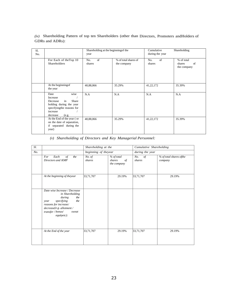*(iv)* Shareholding Pattern of top ten Shareholders (other than Directors, Promoters andHolders of GDRs and ADRs):

| S1.<br>No. |                                                                                                                                               | Shareholding at the beginning of the<br>year |                                     | Cumulative<br>Shareholding<br>during the year |                                           |  |
|------------|-----------------------------------------------------------------------------------------------------------------------------------------------|----------------------------------------------|-------------------------------------|-----------------------------------------------|-------------------------------------------|--|
|            | For Each of the Top 10<br><b>Shareholders</b>                                                                                                 | $\sigma$ f<br>No.<br>shares                  | % of total shares of<br>the company | $\sigma$ f<br>No.<br>shares                   | % of total<br>of<br>shares<br>the company |  |
|            | At the beginning of<br>the year                                                                                                               | 40,88,066                                    | 35.29%                              | 41,22,172                                     | 35.39%                                    |  |
|            | wise<br>Date<br>Increase<br>Share<br>in<br>Decrease<br>holding during the year<br>specifying the reasons for<br>increase<br>decrease<br>(e.g. | N.A                                          | N.A                                 | N.A                                           | N.A                                       |  |
|            | At the End of the year (or<br>on the date of separation,<br>separated during the<br>if<br>year)                                               | 40,88,066                                    | 35.29%                              | 41,22,172                                     | 35.39%                                    |  |

## *(v) Shareholding of Directors and Key Managerial Personnel:*

| Sl. |                                                                                                                                                                                                   | Shareholding at the  |                                                   | Cumulative Shareholding     |                                    |  |
|-----|---------------------------------------------------------------------------------------------------------------------------------------------------------------------------------------------------|----------------------|---------------------------------------------------|-----------------------------|------------------------------------|--|
| No. |                                                                                                                                                                                                   | beginning of theyear |                                                   | during the year             |                                    |  |
|     | $\sigma f$<br>Each<br>the<br>For<br>Directors and KMP                                                                                                                                             | No. of<br>shares     | % of total<br>shares<br>$\sigma f$<br>the company | No.<br>$\sigma f$<br>shares | % of total shares ofthe<br>company |  |
|     | At the beginning of theyear                                                                                                                                                                       | 33,71,707            | 29.19%                                            | 33,71,707                   | 29.19%                             |  |
|     | Date wise Increase / Decrease<br>in Shareholding<br>during<br>the<br>the<br>specifying<br>year<br>reasons for increase/<br>decrease(e.g. allotment /<br>transfer / bonus/<br>sweat<br>equityetc): |                      |                                                   |                             |                                    |  |
|     | At the End of the year                                                                                                                                                                            | 33,71,707            | 29.19%                                            | 33,71,707                   | 29.19%                             |  |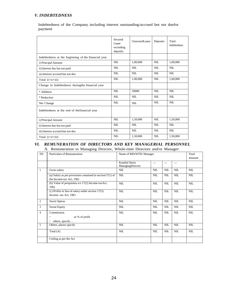## *V. INDEBTEDNESS*

Indebtedness of the Company including interest outstanding/accrued but not duefor payment

|                                                     | Secured<br>Loans<br>excluding<br>deposits | UnsecuredLoans | Deposits  | Total<br>Indebtedness |
|-----------------------------------------------------|-------------------------------------------|----------------|-----------|-----------------------|
| Indebtedness at the beginning of the financial year |                                           |                |           |                       |
| i) Principal Amount                                 | NII.                                      | 1,00,000       | NIL       | 1,00,000              |
| ii) Interest due but not paid                       | NII.                                      | NII.           | NII.      | NII.                  |
| iii) Interest accrued but not due                   | NIL                                       | NII.           | NII.      | NII.                  |
| Total (i+ii+iii)                                    | <b>NIL</b>                                | 1,00,000       | NII.      | 1,00,000              |
| Change in Indebtedness during the financial year    |                                           |                |           |                       |
| * Addition                                          | NII.                                      | 50000          | NIL       | NII.                  |
| * Reduction                                         | NII.                                      | NII.           | $\rm NIL$ | NII.                  |
| Net Change                                          | <b>NIL</b>                                | NII.           | NIL.      | NIL                   |
| Indebtedness at the end of the financial year       |                                           |                |           |                       |
| i) Principal Amount                                 | NIL                                       | 1,50,000       | NIL       | 1,50,000              |
| ii) Interest due but not paid                       | NII.                                      | NII.           | NIL.      | NII.                  |
| iii) Interest accrued but not due                   | NII.                                      | NII.           | $\rm NIL$ | NII.                  |
| Total $(i+i i+i i j)$                               | NII.                                      | 1,50,000       | NII.      | 1,50,000              |

## *VI. REMUNERATION OF DIRECTORS AND KEY MANAGERIAL PERSONNEL*

A. Remuneration to Managing Director, Whole-time Directors and/or Manager:

| SN.            | Particulars of Remuneration                                                              | Name of MD/WTD/Manager             |              |              |              | Total        |
|----------------|------------------------------------------------------------------------------------------|------------------------------------|--------------|--------------|--------------|--------------|
|                |                                                                                          |                                    |              |              |              |              |
|                |                                                                                          | Kantilal Haria<br>ManagingDirector | $---$        | $---$        | ---          |              |
| 1              | Gross salary                                                                             | NIL                                | NIL          | NIL          | NIL          | NIL          |
|                | (a) Salary as per provisions contained in section $17(1)$ of<br>the Income-tax Act, 1961 | NIL                                | $\text{NIL}$ | NIL          | $\text{NIL}$ | NIL          |
|                | (b) Value of perquisites $u/s$ 17(2) Income-taxAct,<br>1961                              | NII.                               | NIL          | NIL          | NIL          | NIL          |
|                | $(c)$ Profits in lieu of salary under section $17(3)$<br>Income-tax Act, 1961            | NIL                                | NIL          | NIL          | NIL          | NIL          |
| $\mathfrak{2}$ | <b>Stock Option</b>                                                                      | <b>NIL</b>                         | $\text{NIL}$ | NIL          | NIL          | NIL          |
| 3              | <b>Sweat Equity</b>                                                                      | NIL                                | NIL          | NIL          | NIL          | NIL          |
| $\overline{4}$ | Commission<br>as % of profit<br>others, specify                                          | <b>NIL</b>                         | NIL          | NIL          | NIL          | NIL          |
| 5              | Others, please specify                                                                   | <b>NIL</b>                         | NIL          | $\text{NIL}$ | NIL          | $\text{NIL}$ |
|                | Total $(A)$                                                                              | NIL                                | NIL          | NIL          | NIL          | NIL          |
|                | Ceiling as per the Act                                                                   |                                    |              |              |              |              |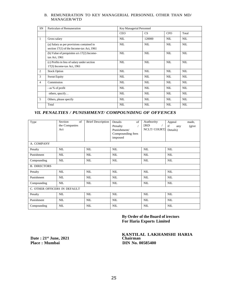## B. REMUNERATION TO KEY MANAGERIAL PERSONNEL OTHER THAN MD/ MANAGER/WTD

| <b>SN</b>      | Particulars of Remuneration                                                              |            | Key Managerial Personnel |            |            |  |  |
|----------------|------------------------------------------------------------------------------------------|------------|--------------------------|------------|------------|--|--|
|                |                                                                                          | <b>CEO</b> | CS                       | <b>CFO</b> | Total      |  |  |
| 1              | Gross salary                                                                             | NIL        | 120000                   | NIL        | NIL        |  |  |
|                | (a) Salary as per provisions contained in<br>section $17(1)$ of the Income-tax Act, 1961 | NIL        | <b>NIL</b>               | NIL        | NIL        |  |  |
|                | (b) Value of perquisites $u/s$ 17(2) Income-<br>tax Act, 1961                            | NIL        | <b>NIL</b>               | NIL        | <b>NIL</b> |  |  |
|                | (c) Profits in lieu of salary under section<br>17(3) Income-tax Act, 1961                | NIL        | <b>NIL</b>               | NIL        | <b>NIL</b> |  |  |
| $\overline{c}$ | <b>Stock Option</b>                                                                      | NIL        | <b>NIL</b>               | NIL        | NIL        |  |  |
| 3              | <b>Sweat Equity</b>                                                                      | NIL        | <b>NIL</b>               | <b>NIL</b> | NIL        |  |  |
| $\overline{4}$ | Commission                                                                               | NIL        | <b>NIL</b>               | NIL        | NIL        |  |  |
|                | - as % of profit                                                                         | NIL        | <b>NIL</b>               | NIL        | NIL        |  |  |
|                | others, specify                                                                          | NIL        | <b>NIL</b>               | NIL        | $\rm NIL$  |  |  |
| 5              | Others, please specify                                                                   | NIL        | <b>NIL</b>               | NIL        | NIL        |  |  |
|                | Total                                                                                    | NIL        | <b>NIL</b>               | <b>NIL</b> | <b>NIL</b> |  |  |

## *VII. PENALTIES / PUNISHMENT/ COMPOUNDING OF OFFENCES*

| Type                         | of<br>Section<br>the Companies<br>Act | <b>Brief Description</b> | $\sigma$ f<br>Details<br>Penalty<br>Punishment/<br>Compounding fees<br>imposed | Authority<br>[RD]<br>$\overline{1}$<br>NCLT/COURT] | Appeal<br>made,<br>if<br>(give<br>any<br>Details) |
|------------------------------|---------------------------------------|--------------------------|--------------------------------------------------------------------------------|----------------------------------------------------|---------------------------------------------------|
| A. COMPANY                   |                                       |                          |                                                                                |                                                    |                                                   |
| Penalty                      | <b>NIL</b>                            | NIL                      | <b>NIL</b>                                                                     | NIL                                                | <b>NIL</b>                                        |
| Punishment                   | NIL                                   | $\text{NIL}$             | $\text{NIL}$                                                                   | NIL                                                | NIL                                               |
| Compounding                  | NIL                                   | NIL                      | <b>NIL</b>                                                                     | NIL                                                | <b>NIL</b>                                        |
| <b>B. DIRECTORS</b>          |                                       |                          |                                                                                |                                                    |                                                   |
| Penalty                      | <b>NIL</b>                            | NIL                      | <b>NIL</b>                                                                     | NIL                                                | <b>NIL</b>                                        |
| Punishment                   | <b>NIL</b>                            | NIL                      | <b>NIL</b>                                                                     | NIL                                                | <b>NIL</b>                                        |
| Compounding                  | <b>NIL</b>                            | NIL                      | <b>NIL</b>                                                                     | NIL                                                | <b>NIL</b>                                        |
| C. OTHER OFFICERS IN DEFAULT |                                       |                          |                                                                                |                                                    |                                                   |
| Penalty                      | <b>NIL</b>                            | NIL                      | <b>NIL</b>                                                                     | NIL                                                | NIL                                               |
| Punishment                   | NIL                                   | $\text{NIL}$             | NIL                                                                            | $\text{NIL}$                                       | NIL                                               |
| Compounding                  | NIL                                   | NIL                      | <b>NIL</b>                                                                     | NIL                                                | <b>NIL</b>                                        |

**By Order of the Board of irectors For Haria Exports Limited**

**Date : 21 st June, 2021 Chairman Place : Mumbai DIN No. 00585400**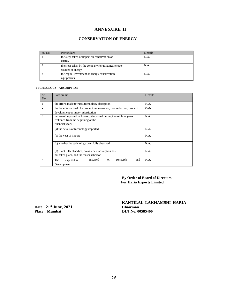## **ANNEXURE II**

## **CONSERVATION OF ENERGY**

| Sr. No. | Particulars                                            | Details |
|---------|--------------------------------------------------------|---------|
|         | the steps taken or impact on conservation of           | N.A.    |
|         | energy                                                 |         |
|         | the steps taken by the company for utilizing alternate | N.A.    |
|         | sources of energy                                      |         |
|         | the capital investment on energy conservation          | N.A.    |
|         | equipments                                             |         |

## TECHNOLOGY ABSORPTION

| Sr.<br>No.     | Particulars                                                                                                                     | Details |
|----------------|---------------------------------------------------------------------------------------------------------------------------------|---------|
|                | the efforts made towards technology absorption                                                                                  | N.A.    |
| $\overline{c}$ | the benefits derived like product improvement, cost reduction, product<br>development or import substitution                    | N.A.    |
| 3              | in case of imported technology (imported during the last three years)<br>reckoned from the beginning of the<br>financial year)- | N.A.    |
|                | (a) the details of technology imported                                                                                          | N.A.    |
|                | (b) the year of import                                                                                                          | N.A.    |
|                | (c) whether the technology been fully absorbed                                                                                  | N.A.    |
|                | (d) if not fully absorbed, areas where absorption has<br>not taken place, and the reasons thereof                               | N.A.    |
| 4              | Research<br>incurred<br>and<br>expenditure<br>on<br>The<br>Development.                                                         | N.A.    |

**By Order of Board of Directors For Haria Exports Limited**

**Date : 21 st June, 2021 Chairman Place : Mumbai DIN No. 00585400**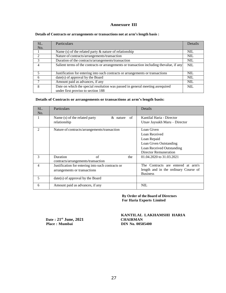## **Annexure III**

#### **Details of Contracts or arrangements or transactions not at arm's length basis :**

| SL.                         | Particulars                                                                                                         | Details    |
|-----------------------------|---------------------------------------------------------------------------------------------------------------------|------------|
| No.                         |                                                                                                                     |            |
|                             | Name (s) of the related party $\&$ nature of relationship                                                           | <b>NIL</b> |
| $\mathcal{D}_{\mathcal{L}}$ | Nature of contracts/arrangements/transaction                                                                        | <b>NIL</b> |
| 3                           | Duration of the contracts/arrangements/transaction                                                                  | <b>NIL</b> |
| 4                           | Salient terms of the contracts or arrangements or transaction including thevalue, if any                            | <b>NIL</b> |
| 5                           | Justification for entering into such contracts or arrangements or transactions                                      | <b>NIL</b> |
| 6                           | $date(s)$ of approval by the Board                                                                                  | <b>NIL</b> |
|                             | Amount paid as advances, if any                                                                                     | <b>NIL</b> |
| 8                           | Date on which the special resolution was passed in general meeting asrequired<br>under first proviso to section 188 | <b>NIL</b> |

#### **Details of Contracts or arrangements or transactions at arm's length basis:**

| SL.<br>No.     | Particulars                                                                       | Details                                                                                                                           |
|----------------|-----------------------------------------------------------------------------------|-----------------------------------------------------------------------------------------------------------------------------------|
|                | Name (s) of the related party<br>of<br>& nature<br>relationship                   | Kantilal Haria - Director<br>Utsav Jaysukh Maru – Director                                                                        |
| $\mathfrak{D}$ | Nature of contracts/arrangements/transaction                                      | Loan Given<br>Loan Received<br>Loan Repaid<br>Loan Given Outstanding<br>Loan Received Outstanding<br><b>Director Remuneration</b> |
| 3              | $\sigma$ f<br><b>Duration</b><br>the<br>contracts/arrangements/transaction        | 01.04.2020 to 31.03.2021                                                                                                          |
| 4              | Justification for entering into such contracts or<br>arrangements or transactions | The Contracts are entered at arm's<br>length and in the ordinary Course of<br><b>Business</b>                                     |
| 5              | $date(s)$ of approval by the Board                                                |                                                                                                                                   |
| 6              | Amount paid as advances, if any                                                   | <b>NIL</b>                                                                                                                        |

**By Order of the Board of Directors For Haria Exports Limited**

**Date : 21 st June, 2021 CHAIRMAN Place : Mumbai DIN No. 00585400**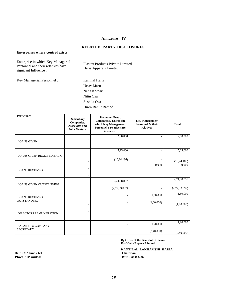## **Annexure IV**

## **RELATED PARTY DISCLOSURES:**

#### **Enterprises where control exists**

Enterprise in which Key Managerial Personnel and their relatives have signicant Influence :

Plastex Products Private Limited Haria Apparels Limited

Key Managerial Personnel : Kantilal Haria

Utsav Maru Neha Kothari Nitin Oza Sushila Oza Hiren Ranjit Rathod

| <b>Particulars</b>               | Subsidiary<br>Companies,<br><b>Associates and</b><br><b>Joint Venture</b> | <b>Promoter Group</b><br>Companies / Entities in<br>which Key Management<br><b>Personnel's relatives are</b><br>interested | <b>Key Management</b><br>Personnel & their<br>relatives | <b>Total</b>  |
|----------------------------------|---------------------------------------------------------------------------|----------------------------------------------------------------------------------------------------------------------------|---------------------------------------------------------|---------------|
|                                  |                                                                           | 2,60,000                                                                                                                   |                                                         | 2,60,000      |
| <b>LOANS GIVEN</b>               |                                                                           |                                                                                                                            |                                                         |               |
|                                  |                                                                           | 5,25,000                                                                                                                   |                                                         | 5,25,000      |
| <b>LOANS GIVEN RECEIVED BACK</b> |                                                                           | (10, 24, 186)                                                                                                              |                                                         | (10, 24, 186) |
|                                  |                                                                           |                                                                                                                            | 50,000                                                  | 50,000        |
| <b>LOANS RECEIVED</b>            |                                                                           |                                                                                                                            |                                                         |               |
| LOANS GIVEN OUTSTANDING          |                                                                           | 2,74,68,897                                                                                                                |                                                         | 2,74,68,897   |
|                                  |                                                                           | (2,77,33,897)                                                                                                              |                                                         | (2,77,33,897) |
| <b>LOANS RECEIVED</b>            |                                                                           |                                                                                                                            | 1,50,000                                                | 1,50,000      |
| <b>OUTSTANDING</b>               |                                                                           |                                                                                                                            | (1,00,000)                                              | (1,00,000)    |
| DIRECTORS REMUNERATION           |                                                                           |                                                                                                                            |                                                         |               |
|                                  |                                                                           |                                                                                                                            |                                                         |               |
| <b>SALARY TO COMPANY</b>         |                                                                           |                                                                                                                            | 1,20,000                                                | 1,20,000      |
| <b>SECRETARY</b>                 |                                                                           |                                                                                                                            | (2,40,000)                                              | (2,40,000)    |

**By Order of the Board of Directors For Haria Exports Limited**

**KANTILAL LAKHAMSHI HARIA**

**Date : 21st June 2021 Chairman Place : Mumbai DIN : 00585400**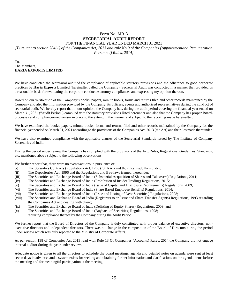## Form No. MR-3 **SECRETARIAL AUDIT REPORT** FOR THE FINANCIAL YEAR ENDED MARCH 31 2021

*[Pursuant to section 204(1) of the Companies Act, 2013 and rule No.9 of the Companies (Appointmentand Remuneration Personnel) Rules, 2014]*

To, The Members, **HARIA EXPORTS LIMITED**

We have conducted the secretarial audit of the compliance of applicable statutory provisions and the adherence to good corporate practices by **Haria Exports Limited** (hereinafter called the Company). Secretarial Audit was conducted in a manner that provided us a reasonable basis for evaluating the corporate conducts/statutory compliances and expressing my opinion thereon.

Based on our verification of the Company's books, papers, minute books, forms and returns filed and other records maintained by the Company and also the information provided by the Company, its officers, agents and authorized representatives during the conduct of secretarial audit, We hereby report that in our opinion, the Company has, during the audit period covering the financial year ended on March 31, 2021 ("Audit Period") complied with the statutory provisions listed hereunder and also that the Company has proper Boardprocesses and compliance-mechanism in place to the extent, in the manner and subject to the reporting made hereinafter:

We have examined the books, papers, minute books, forms and returns filed and other records maintained by the Company for the financial year ended on March 31, 2021 according to the provisions of the Companies Act, 2013 (the Act) and the rules made thereunder.

We have also examined compliance with the applicable clauses of the Secretarial Standards issued by The Institute of Company Secretaries of India.

During the period under review the Company has complied with the provisions of the Act, Rules, Regulations, Guidelines, Standards, etc. mentioned above subject to the following observations:

We further report that, there were no events/actions in pursuance of:

- (i) The Securities Contracts (Regulation) Act, 1956 ('SCRA') and the rules made thereunder;
- (ii) The Depositories Act, 1996 and the Regulations and Bye-laws framed thereunder;
- (iii) The Securities and Exchange Board of India (Substantial Acquisition of Shares and Takeovers) Regulations, 2011;
- (iv) The Securities and Exchange Board of India (Prohibition of Insider Trading) Regulations, 2015;
- (v) The Securities and Exchange Board of India (Issue of Capital and Disclosure Requirements) Regulations, 2009;
- (vi) The Securities and Exchange Board of India (Share Based Employee Benefits) Regulations, 2014;
- (vii) The Securities and Exchange Board of India (Issue and Listing of Debt Securities) Regulations, 2008;
- (viii) The Securities and Exchange Board of India (Registrars to an Issue and Share Transfer Agents) Regulations, 1993 regarding the Companies Act and dealing with client;
- (ix) The Securities and Exchange Board of India (Delisting of Equity Shares) Regulations, 2009; and
- (x) The Securities and Exchange Board of India (Buyback of Securities) Regulations, 1998; requiring compliance thereof by the Company during the Audit Period.

We further report that the Board of Directors of the Company is duly constituted with proper balance of executive directors, nonexecutive directors and independent directors. There was no change in the composition of the Board of Directors during the period under review which was duly reported to the Ministry of Corporate Affairs.

As per section 138 of Companies Act 2013 read with Rule 13 Of Companies (Accounts) Rules, 2014,the Company did not engage internal auditor during the year under review.

Adequate notice is given to all the directors to schedule the board meetings, agenda and detailed notes on agenda were sent at least seven days in advance, and a system exists for seeking and obtaining further information and clarifications on the agenda items before the meeting and for meaningful participation at the meeting.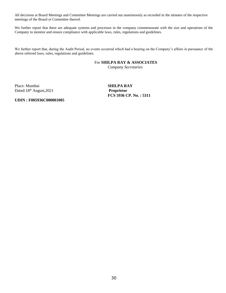All decisions at Board Meetings and Committee Meetings are carried out unanimously as recorded in the minutes of the respective meetings of the Board or Committee thereof.

We further report that there are adequate systems and processes in the company commensurate with the size and operations of the Company to monitor and ensure compliance with applicable laws, rules, regulations and guidelines.

We further report that, during the Audit Period, no events occurred which had a bearing on the Company's affairs in pursuance of the above referred laws, rules, regulations and guidelines.

For **SHILPA RAY & ASSOCIATES**

*Company Secretaries*

Place: Mumbai **SHILPA RAY** Dated:18th August,2021 **Proprietor** 

**FCS 5936 CP. No. : 5311**

**UDIN : F005936C000801005**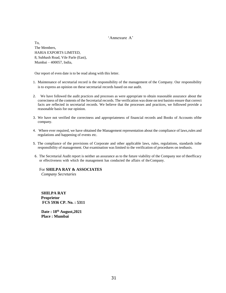'Annexure A'

To, The Members, HARIA EXPORTS LIMITED, 8, Subhash Road, Vile Parle (East), Mumbai – 400057, India,

Our report of even date is to be read along with this letter.

- 1. Maintenance of secretarial record is the responsibility of the management of the Company. Our responsibility is to express an opinion on these secretarial records based on our audit.
- 2. We have followed the audit practices and processes as were appropriate to obtain reasonable assurance about the correctness of the contents of the Secretarial records. The verification was done on test basisto ensure that correct facts are reflected in secretarial records. We believe that the processes and practices, we followed provide a reasonable basis for our opinion.
- 3. We have not verified the correctness and appropriateness of financial records and Books of Accounts ofthe company.
- 4. Where ever required, we have obtained the Management representation about the compliance of laws,rules and regulations and happening of events etc.
- 5. The compliance of the provisions of Corporate and other applicable laws, rules, regulations, standards isthe responsibility of management. Our examination was limited to the verification of procedures on testbasis.
- 6. The Secretarial Audit report is neither an assurance as to the future viability of the Company nor of theefficacy or effectiveness with which the management has conducted the affairs of theCompany.

For **SHILPA RAY & ASSOCIATES** *Company Secretaries*

**SHILPA RAY Proprietor FCS 5936 CP. No. : 5311**

**Date : 18th August,2021 Place : Mumbai**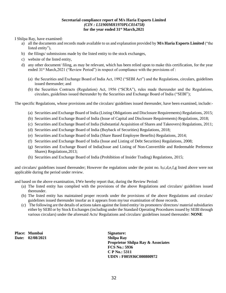## **Secretarial compliance report of M/s Haria Exports Limited** *(CIN : L51900MH1970PLC014758)* **for the year ended 31st March,2021**

I Shilpa Ray, have examined:

- a) all the documents and records made available to us and explanation provided by **M/s Haria Exports Limited** ("the listed entity"),
- b) the filings/ submissions made by the listed entity to the stock exchanges,
- c) website of the listed entity,
- d) any other document/ filing, as may be relevant, which has been relied upon to make this certification, for the year ended 31<sup>st</sup> March,2021 ("Review Period") in respect of compliance with the provisions of :
	- (a) the Securities and Exchange Board of India Act, 1992 ("SEBI Act") and the Regulations, circulars, guidelines issued thereunder; and
	- (b) the Securities Contracts (Regulation) Act, 1956 ("SCRA"), rules made thereunder and the Regulations, circulars, guidelines issued thereunder by the Securities and Exchange Board of India ("SEBI");

The specific Regulations, whose provisions and the circulars/ guidelines issued thereunder, have been examined, include:-

- (a) Securities and Exchange Board of India (Listing Obligations and Disclosure Requirements) Regulations, 2015;
- (b) Securities and Exchange Board of India (Issue of Capital and Disclosure Requirements) Regulations, 2018;
- (c) Securities and Exchange Board of India (Substantial Acquisition of Shares and Takeovers) Regulations, 2011;
- (d) Securities and Exchange Board of India (Buyback of Securities) Regulations, 2018;
- (e) Securities and Exchange Board of India (Share Based Employee Benefits) Regulations, 2014;
- (f) Securities and Exchange Board of India (Issue and Listing of Debt Securities) Regulations, 2008;
- (g) Securities and Exchange Board of India(Issue and Listing of Non-Convertible and Redeemable Preference Shares) Regulations,2013;
- (h) Securities and Exchange Board of India (Prohibition of Insider Trading) Regulations, 2015;

and circulars/ guidelines issued thereunder; However the regulations under the point no. b,c,d,e,f,g listed above were not applicable during the period under review.

and based on the above examination, I/We hereby report that, during the Review Period:

- (a) The listed entity has complied with the provisions of the above Regulations and circulars/ guidelines issued thereunder.
- (b) The listed entity has maintained proper records under the provisions of the above Regulations and circulars/ guidelines issued thereunder insofar as it appears from my/our examination of those records.
- (c) The following are the details of actions taken against the listed entity/ its promoters/ directors/ material subsidiaries either by SEBI or by Stock Exchanges (including under the Standard Operating Procedures issued by SEBI through various circulars) under the aforesaid Acts/ Regulations and circulars/ guidelines issued thereunder: **NONE**

**Place: Mumbai Signature: Date: 02/08/2021 Shilpa Ray**

**Proprietor Shilpa Ray & Associates FCS No.: 5936 C P No.: 5311 UDIN : F005936C000800972**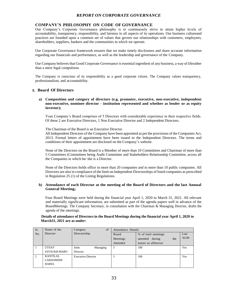## *REPORT ON CORPORATE GOVERNANCE*

## **COMPANY'S PHILOSOPHY ON CODE OF GOVERNANCE**

Our Company's Corporate Governance philosophy is to continuously strive to attain higher levels of accountability, transparency, responsibility, and fairness in all aspects of its operations. Our business cultureand practices are founded upon a common set of values that govern our relationships with customers, employees, shareholders, suppliers, bankers and the communities in which we operate.

Our Corporate Governance framework ensures that we make timely disclosures and share accurate information regarding our financials and performance, as well as the leadership and governance of the Company.

Our Company believes that Good Corporate Governance is essential ingredient of any business, a way of liferather than a mere legal compulsion.

The Company is conscious of its responsibility as a good corporate citizen. The Company values transparency, professionalism, and accountability.

## **1. Board Of Directors**

**a) Composition and category of directors (e.g. promoter, executive, non-executive, independent non-executive, nominee director - institution represented and whether as lender or as equity investor);**

Your Company's Board comprises of 5 Directors with considerable experience in their respective fields. Of these 2 are Executive Directors, 1 Non Executive Director and 2 Independent Directors.

The Chairman of the Board is an Executive Director.

All Independent Directors of the Company have been appointed as per the provisions of the Companies Act, 2013. Formal letters of appointment have been issued to the Independent Directors. The terms and conditions of their appointment are disclosed on the Company's website.

None of the Directors on the Board is a Member of more than 10 Committees and Chairman of more than 5 Committees (Committees being Audit Committee and Stakeholders Relationship Committee, across all the Companies in which he/ she is a Director.

None of the Directors holds office in more than 20 companies and in more than 10 public companies. All Directors are also in compliance of the limit on Independent Directorships of listed companies as prescribed in Regulation 25 (1) of the Listing Regulations.

## **b) Attendance of each Director at the meeting of the Board of Directors and the last Annual General Meeting;**

Four Board Meetings were held during the financial year April 1, 2020 to March 31, 2021. All relevant and materially significant information, are submitted as part of the agenda papers well in advance of the BoardMeetings. The Company Secretary, in consultation with the Chairman & Managing Director, drafts the agenda of the meetings.

#### **Details of attendance of Directors in the Board Meetings during the financial year April 1, 2020 to March31, 2021 are as under:**

| Sr. | Name of the         | of<br>Category            | Attendance Details |                        |            |
|-----|---------------------|---------------------------|--------------------|------------------------|------------|
| No. | Director            | Directorship              | Board              | % of total meetings    | Last       |
|     |                     |                           | Meetings           | attended during<br>the | <b>AGM</b> |
|     |                     |                           | Attended           | tenure as aDirector    |            |
|     | <b>UTSAV</b>        | Joint<br>Managing         |                    | 100                    | Yes        |
|     | <b>JAYSUKH MARU</b> | <b>Director</b>           |                    |                        |            |
| 2   | <b>KANTILAL</b>     | <b>Executive Director</b> |                    | 100                    | Yes        |
|     | <b>LAKHAMSHI</b>    |                           |                    |                        |            |
|     | <b>HARIA</b>        |                           |                    |                        |            |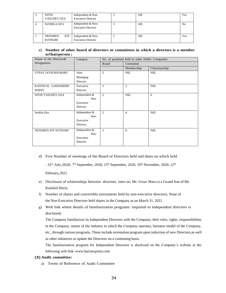| <b>NITIN</b><br><b>VASUDEV OZA</b> | Independent & Non-<br><b>Executive Director</b> | 100 | Yes            |
|------------------------------------|-------------------------------------------------|-----|----------------|
| <b>SUSHILA OZA</b>                 | Independent & Non-<br><b>Executive Director</b> | 100 | N <sub>0</sub> |
| JOY<br><b>NEHABEN</b><br>KOTHARI   | Independent & Non-<br><b>Executive Director</b> | 100 | Yes            |

## **c) Number of other board of directors or committees in which a directors is a member orChairperson ;**

| Name of the Director& | Category                                                    | No. of positions held in other Public Companies |                |              |
|-----------------------|-------------------------------------------------------------|-------------------------------------------------|----------------|--------------|
| Designation           |                                                             | Board                                           | Committee      |              |
|                       |                                                             |                                                 | Membership     | Chairmanship |
| UTSAV JAYSUKH MARU    | Joint                                                       | $\overline{2}$                                  | <b>NIL</b>     | <b>NIL</b>   |
|                       | Managing                                                    |                                                 |                |              |
|                       | Director                                                    |                                                 |                |              |
| KANTILAL LAKHAMSHI    | Executive                                                   | 2                                               | $\mathbf{2}$   | <b>NIL</b>   |
| HARIA                 | Director                                                    |                                                 |                |              |
| NITIN VASUDEV OZA     | Independent &                                               | $\overline{2}$                                  | <b>NIL</b>     | 6            |
|                       | Non-                                                        |                                                 |                |              |
|                       |                                                             |                                                 |                |              |
|                       |                                                             |                                                 |                |              |
| Sushila Oza           | Independent &                                               | $\overline{2}$                                  | $\overline{4}$ | <b>NIL</b>   |
|                       | Non-                                                        |                                                 |                |              |
|                       |                                                             |                                                 |                |              |
|                       |                                                             |                                                 |                |              |
| NEHABEN JOY KOTHARI   | Independent &                                               | $\mathcal{D}_{\alpha}$                          | 6              | <b>NIL</b>   |
|                       | Non-                                                        |                                                 |                |              |
|                       |                                                             |                                                 |                |              |
|                       | Director                                                    |                                                 |                |              |
|                       | Executive<br>Director<br>Executive<br>Director<br>Executive |                                                 |                |              |

- d) Five Number of meetings of the Board of Directors held and dates on which held : 31<sup>st</sup> July, 2020, 7<sup>th</sup> September, 2020, 15<sup>th</sup> September, 2020, 10<sup>th</sup> November, 2020, 12<sup>th</sup> February,2021.
- e) Disclosure of relationships between directors inter-se; Mr. Utsav Maru is a Grand Son of Mr. Kantilal Haria.
- f) Number of shares and convertible instruments held by non-executive directors; None of the Non-Executive Directors held shares in the Company as on March 31, 2021.
- g) Web link where details of familiarization programs imparted to independent directors is disclosed;

The Company familiarizes its Independent Directors with the Company, their roles, rights, responsibilities in the Company, nature of the industry in which the Company operates, business model of the Company, etc., through various programs. These include orientation program upon induction of new Directors,as well as other initiatives to update the Directors on a continuing basis.

The familiarization program for Independent Directors is disclosed on the Company's website at the following web link: [www.hariaexports.com](http://www.hariaexports.com/)

## **(3) Audit committee:**

a) Terms of Reference of Audit Committee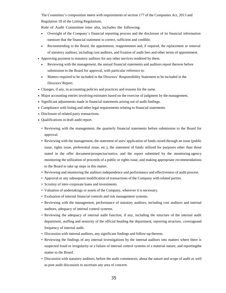The Committee's composition meets with requirements of section 177 of the Companies Act, 2013 and Regulation 18 of the Listing Regulations.

Role of Audit Committee inter alia, includes the following:

- Oversight of the Company's financial reporting process and the disclosure of its financial information toensure that the financial statement is correct, sufficient and credible.
- Recommending to the Board, the appointment, reappointment and, if required, the replacement or removal of statutory auditors, including cost auditors, and fixation of audit fees and other terms of appointment.
- Approving payment to statutory auditors for any other services rendered by them.
	- Reviewing with the management, the annual financial statements and auditors report thereon before submission to the Board for approval, with particular reference to:
	- Matters required to be included in the Directors' Responsibility Statement to be included in the Directors'Report.
- Changes, if any, in accounting policies and practices and reasons for the same.
- Major accounting entries involving estimates based on the exercise of judgment by the management.
- Significant adjustments made in financial statements arising out of audit findings.
- Compliance with listing and other legal requirements relating to financial statements.
- Disclosure of related party transactions.
- Qualifications in draft audit report.
	- Reviewing with the management, the quarterly financial statements before submission to the Board for approval.
	- Reviewing with the management, the statement of uses/ application of funds raised through an issue (public issue, rights issue, preferential issue, etc.), the statement of funds utilized for purposes other than those stated in the offer document/prospectus/notice, and the report submitted by the monitoring agency monitoring the utilization of proceeds of a public or rights issue, and making appropriate recommendations to the Board to take up steps in this matter.
	- Reviewing and monitoring the auditors independence and performance and effectiveness of audit process.
	- Approval or any subsequent modification of transactions of the Company with related parties.
	- Scrutiny of inter-corporate loans and investments.
	- Valuation of undertakings or assets of the Company, wherever it is necessary.
	- Evaluation of internal financial controls and risk management systems.
	- Reviewing with the management, performance of statutory auditors, including cost auditors and internal auditors, adequacy of internal control systems.
	- Reviewing the adequacy of internal audit function, if any, including the structure of the internal audit department, staffing and seniority of the official heading the department, reporting structure, coverageand frequency of internal audit.
	- Discussion with internal auditors, any significant findings and follow-up thereon.
	- Reviewing the findings of any internal investigations by the internal auditors into matters where there is suspected fraud or irregularity or a failure of internal control systems of a material nature, and reportingthe matter to the Board.
	- Discussion with statutory auditors, before the audit commences, about the nature and scope of audit as well as post audit discussion to ascertain any area of concern.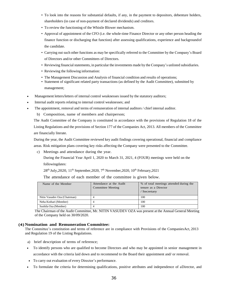- To look into the reasons for substantial defaults, if any, in the payment to depositors, debenture holders, shareholders (in case of non-payment of declared dividends) and creditors.
- To review the functioning of the Whistle Blower mechanism.
- Approval of appointment of the CFO (i.e. the whole-time Finance Director or any other person heading the finance function or discharging that function) after assessing qualifications, experience and backgroundof the candidate.
- Carrying out such other functions as may be specifically referred to the Committee by the Company's Board of Directors and/or other Committees of Directors.
- Reviewing financial statements, in particular the investments made by the Company's unlisted subsidiaries.
- Reviewing the following information:
- The Management Discussion and Analysis of financial condition and results of operations;
- Statement of significant related party transactions (as defined by the Audit Committee), submitted by management;
- Management letters/letters of internal control weaknesses issued by the statutory auditors;
- Internal audit reports relating to internal control weaknesses; and
- The appointment, removal and terms of remuneration of internal auditors / chief internal auditor.
	- b) Composition, name of members and chairperson;

The Audit Committee of the Company is constituted in accordance with the provisions of Regulation 18 of the Listing Regulations and the provisions of Section 177 of the Companies Act, 2013. All members of the Committee are financially literate.

During the year, the Audit Committee reviewed key audit findings covering operational, financial and compliance areas. Risk mitigation plans covering key risks affecting the Company were presented to the Committee.

c) Meetings and attendance during the year.

During the Financial Year April 1, 2020 to March 31, 2021, 4 (FOUR) meetings were held on the followingdates:

28<sup>th</sup> July, 2020, 11<sup>th</sup> September, 2020, 7<sup>th</sup> November, 2020, 10<sup>th</sup> February, 2021

The attendance of each member of the committee is given below.

| Name of the Member           | Attendance at the Audit | % of total meetings attended during the |  |
|------------------------------|-------------------------|-----------------------------------------|--|
|                              | Committee Meeting       | tenure as a Director                    |  |
|                              |                         | 'Secretary                              |  |
| Nitin Vasudev Oza (Chairman) |                         | 100                                     |  |
| Neha Kothari (Member)        |                         | 100                                     |  |
| Sushila Oza (Member)         |                         | 100                                     |  |

The Chairman of the Audit Committee, Mr. NITIN VASUDEV OZA was present at the Annual General Meeting of the Company held on 30/09/2020.

# **(4) Nomination and Remuneration Committee:**

The Committee's constitution and terms of reference are in compliance with Provisions of the CompaniesAct, 2013 and Regulation 19 of the Listing Regulations.

- a) brief description of terms of reference;
- To identify persons who are qualified to become Directors and who may be appointed in senior management in accordance with the criteria laid down and to recommend to the Board their appointment and/ or removal.
- To carry out evaluation of every Director's performance.
- To formulate the criteria for determining qualifications, positive attributes and independence of aDirector, and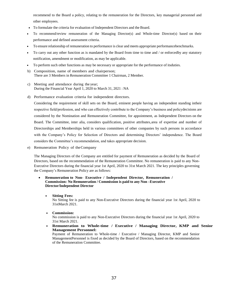recommend to the Board a policy, relating to the remuneration for the Directors, key managerial personnel and other employees.

- To formulate the criteria for evaluation of Independent Directors and the Board.
- To recommend/review remuneration of the Managing Director(s) and Whole-time Director(s) based on their performance and defined assessment criteria.
- To ensure relationship of remuneration to performance is clear and meets appropriate performancebenchmarks.
- To carry out any other function as is mandated by the Board from time to time and / or enforcedby any statutory notification, amendment or modification, as may be applicable.
- To perform such other functions as may be necessary or appropriate for the performance of itsduties.
- b) Composition, name of members and chairperson; There are 3 Members in Remuneration Committee 1 Chairman, 2 Member.
- c) Meeting and attendance during the year; During the Financial Year April 1, 2020 to March 31, 2021 : NA
- d) Performance evaluation criteria for independent directors.

Considering the requirement of skill sets on the Board, eminent people having an independent standing intheir respective field/profession, and who can effectively contribute to the Company's business and policydecisions are considered by the Nomination and Remuneration Committee, for appointment, as Independent Directors on the Board. The Committee, inter alia, considers qualification, positive attributes,area of expertise and number of Directorships and Memberships held in various committees of other companies by such persons in accordance with the Company's Policy for Selection of Directors and determining Directors' independence. The Board considers the Committee's recommendation, and takes appropriate decision.

e) Remuneration Policy of theCompany

The Managing Directors of the Company are entitled for payment of Remuneration as decided by the Board of Directors, based on the recommendation of the Remuneration Committee. No remuneration is paid to any Non-Executive Directors during the financial year 1st April, 2020 to 31st March 2021. The key principles governing the Company's Remuneration Policy are as follows:

- **Remuneration to Non- Executive / Independent Director, Remuneration / Commission: No Remuneration / Commission is paid to any Non –Executive Director/Independent Director**
	- **Sitting Fees:**

No Sitting fee is paid to any Non-Executive Directors during the financial year 1st April, 2020 to 31stMarch 2021.

- **Commission:** No commission is paid to any Non-Executive Directors during the financial year 1st April, 2020 to 31st March 2021.
- **Remuneration to Whole-time / Executive / Managing Director, KMP and Senior Management Personnel:** Payment of Remuneration to Whole-time / Executive / Managing Director, KMP and Senior

ManagementPersonnel is fixed as decided by the Board of Directors, based on the recommendation of the Remuneration Committee.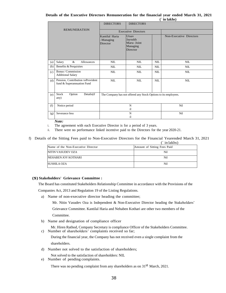#### **Details of the Executive Directors Remuneration for the financial year ended March 31, 2021 (` in lakhs)**

|                     |                                                                 |                                                                 |                                                         |      | $\mathbf{m}$ $\mathbf{a}$ $\mathbf{m}$ |  |
|---------------------|-----------------------------------------------------------------|-----------------------------------------------------------------|---------------------------------------------------------|------|----------------------------------------|--|
| <b>REMUNERATION</b> |                                                                 | <b>DIRECTORS</b>                                                | <b>DIRECTORS</b>                                        |      |                                        |  |
|                     |                                                                 |                                                                 | <b>Executive Directors</b>                              |      |                                        |  |
|                     |                                                                 | Kantilal Haria<br>-Managing<br>Director                         | Utsav<br>Jaysukh<br>Maru- Joint<br>Managing<br>Director |      | Non-Executive Directors                |  |
| (a)                 | $\&$<br>Salary<br>Allowances                                    | NII.                                                            | NII.                                                    | NII. | <b>NIL</b>                             |  |
| (b)                 | Benefits & Perquisites                                          | <b>NIL</b>                                                      | <b>NIL</b>                                              | NIL  | <b>NIL</b>                             |  |
| (c)                 | Bonus / Commission<br><b>Additional Salary</b>                  | NIL                                                             | <b>NIL</b>                                              | NIL  | NIL                                    |  |
| (d)                 | Pension, Contribution toProvident<br>fund & Superannuation Fund | NIL                                                             | <b>NIL</b>                                              | NIL  | NIL                                    |  |
| (e)                 | Option<br>Details(if<br>Stock<br>any)                           | The Company has not offered any Stock Options to its employees. |                                                         |      |                                        |  |
| (f)                 | Notice period                                                   | N<br>i1                                                         |                                                         |      | Nil                                    |  |
| (g)                 | Severance fess                                                  | N<br>i1                                                         |                                                         |      | Nil                                    |  |
|                     | $N$ oto $\cdot$                                                 |                                                                 |                                                         |      |                                        |  |

*Note:*

i. The agreement with each Executive Director is for a period of 3 years.

ii. There were no performance linked incentive paid to the Directors for the year 2020-21.

f) Details of the Sitting Fees paid to Non-Executive Directors for the Financial Yearended March 31, 2021  $\hat{C}$  in lakhs)

|                                    | $\frac{1}{1}$               |
|------------------------------------|-----------------------------|
| Name of the Non-Executive Director | Amount of Sitting Fees Paid |
| NITIN VASUDEV OZA                  | Nil                         |
| NEHABEN JOY KOTHARI                | Nil                         |
| SUSHILA OZA                        | Nil                         |

### **(5) Stakeholders' Grievance Committee :**

The Board has constituted Stakeholders Relationship Committee in accordance with the Provisions of the

Companies Act, 2013 and Regulation 19 of the Listing Regulations.

a) Name of non-executive director heading the committee;

Mr. Nitin Vasudev Oza is Independent & Non-Executive Director heading the Stakeholders'

Grievance Committee. Kantilal Haria and Nehaben Kothari are other two members of the Committee.

b) Name and designation of compliance officer

Mr. Hiren Rathod, Company Secretary is compliance Officer of the Stakeholders Committee. c) Number of shareholders' complaints received so far;

During the financial year, the Company has not received even a single complaint from the shareholders.

d) Number not solved to the satisfaction of shareholders;

Not solved to the satisfaction of shareholders: NIL

e) Number of pending complaints.

There was no pending complaint from any shareholders as on 31<sup>st</sup> March, 2021.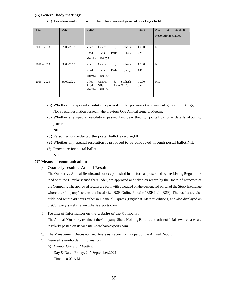#### **(6) General body meetings:**

(a) Location and time, where last three annual general meetings held:

| Year          | Date       | Venue                                              | Time  | No.<br>of<br>Special |
|---------------|------------|----------------------------------------------------|-------|----------------------|
|               |            |                                                    |       | Resolution(s)passed  |
|               |            |                                                    |       |                      |
| $2017 - 2018$ | 29/09/2018 | 8.<br>Centre,<br>Subhash<br>Vilco                  | 09.30 | NIL                  |
|               |            | Vile<br>Parle<br>(East),<br>Road,                  | a.m.  |                      |
|               |            | Mumbai - 400 057                                   |       |                      |
| $2018 - 2019$ | 30/09/2019 | 8.<br>Vilco<br>Subhash<br>Centre,                  | 09.30 | <b>NIL</b>           |
|               |            | Vile<br>Parle<br>Road,<br>(East),                  | a.m.  |                      |
|               |            | Mumbai - 400 057                                   |       |                      |
| $2019 - 2020$ | 30/09/2020 | 8.<br>Subhash<br>Vilco<br>Centre,                  | 10.00 | NIL                  |
|               |            | Vile<br>Parle (East),<br>Road,<br>Mumbai - 400 057 | a.m.  |                      |
|               |            |                                                    |       |                      |
|               |            |                                                    |       |                      |

- (b) Whether any special resolutions passed in the previous three annual generalmeetings; No, Special resolution passed in the previous One Annual General Meeting.
- (c) Whether any special resolution passed last year through postal ballot details ofvoting pattern;

NIL

- (d) Person who conducted the postal ballot exercise;NIL
- (e) Whether any special resolution is proposed to be conducted through postal ballot;NIL
- (f) Procedure for postal ballot.

NIL

### **(7) Means of communication:**

*(a)* Quarterly results / Annual Results

The Quarterly / Annual Results and notices published in the format prescribed by the Listing Regulations read with the Circular issued thereunder, are approved and taken on record by the Board of Directors of the Company. The approved results are forthwith uploaded on the designated portal of the Stock Exchange where the Company's shares are listed viz., BSE Online Portal of BSE Ltd. (BSE). The results are also published within 48 hours either in Financial Express (English & Marathi editions) and also displayed on theCompany's website [www.hariaexports.com](http://www.hariaexports.com/)

- *(b)* Posting of Information on the website of the Company: The Annual / Quarterly results ofthe Company, Share Holding Pattern, and other official newsreleases are regularly posted on its website [www.hariaexports.com.](http://www.hariaexports.com/)
- *(c)* The Management Discussion and Analysis Report forms a part of the Annual Report.
- *(d)* General shareholder information:
	- *(a)* Annual General Meeting

Day & Date: Friday, 24<sup>th</sup> September, 2021 Time : 10.00 A.M.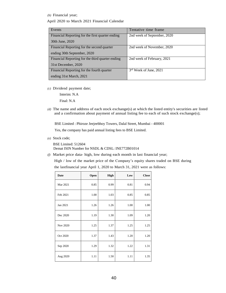*(b)* Financial year;

### April 2020 to March 2021 Financial Calendar

| Events                                           | Tentative time frame        |
|--------------------------------------------------|-----------------------------|
| Financial Reporting for the first quarter ending | 2nd week of September, 2020 |
| 30th June, 2020                                  |                             |
| Financial Reporting for the second quarter       | 2nd week of November, 2020  |
| ending 30th September, 2020                      |                             |
| Financial Reporting for the third quarter ending | 2nd week of February, 2021  |
| 31st December, 2020                              |                             |
| Financial Reporting for the fourth quarter       | 3rd Week of June, 2021      |
| ending 31st March, 2021                          |                             |

*(c)* Dividend payment date;

Interim: N.A

Final: N.A

*(d)* The name and address of each stock exchange(s) at which the listed entity's securities are listed and a confirmation about payment of annual listing fee to each of such stock exchange(s);

BSE Limited : Phiroze Jeejeebhoy Towers, Dalal Street, Mumbai - 400001

Yes, the company has paid annual listing fees to BSE Limited.

*(e)* Stock code;

BSE Limited: 512604 Demat ISIN Number for NSDL & CDSL: INE772B01014

*(f)* Market price data- high, low during each month in last financial year;

High / low of the market price of the Company's equity shares traded on BSE during the lastfinancial year April 1, 2020 to March 31, 2021 were as follows:

| <b>Date</b> | Open | <b>High</b> | Low  | <b>Close</b> |
|-------------|------|-------------|------|--------------|
| Mar 2021    | 0.85 | 0.99        | 0.81 | 0.94         |
| Feb 2021    | 1.00 | 1.03        | 0.85 | 0.85         |
| Jan 2021    | 1.26 | 1.26        | 1.00 | 1.00         |
| Dec 2020    | 1.19 | 1.30        | 1.09 | 1.20         |
| Nov 2020    | 1.25 | 1.37        | 1.25 | 1.25         |
| Oct 2020    | 1.37 | 1.43        | 1.20 | 1.20         |
| Sep 2020    | 1.29 | 1.32        | 1.22 | 1.31         |
| Aug 2020    | 1.11 | 1.50        | 1.11 | 1.35         |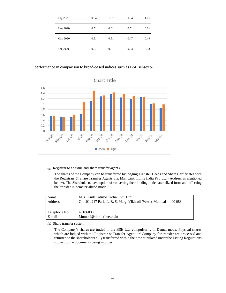| <b>July 2020</b> | 0.64 | 1.07 | 0.64 | 1.06 |
|------------------|------|------|------|------|
| June 2020        | 0.51 | 0.61 | 0.51 | 0.61 |
| May 2020         | 0.51 | 0.51 | 0.47 | 0.49 |
| Apr 2020         | 0.57 | 0.57 | 0.53 | 0.53 |

# performance in comparison to broad-based indices such as BSE sensex :-



*(g)* Registrar to an issue and share transfer agents;

The shares of the Company can be transferred by lodging Transfer Deeds and Share Certificates with the Registrars & Share Transfer Agents viz. M/s. Link Intime India Pvt. Ltd. (Address as mentioned below). The Shareholders have option of converting their holding in dematerialized form and effecting the transfer in dematerialized mode.

| Name          | M/s. Link Intime India Pvt. Ltd.                                     |
|---------------|----------------------------------------------------------------------|
| Address       | C - 101, 247 Park, L. B. S. Marg, Vikhroli (West), Mumbai – 400 083. |
|               |                                                                      |
| Telephone No. | 49186000                                                             |
| E mail        | Mumbai@link intime.co.in                                             |

*(h)* Share transfer system;

The Company's shares are traded in the BSE Ltd, compulsorily in Demat mode. Physical shares which are lodged with the Registrar & Transfer Agent or/ Company for transfer are processed and returned to the shareholders duly transferred within the time stipulated under the Listing Regulations subject to the documents being in order.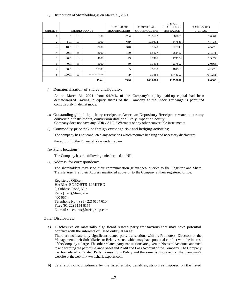*(i)* Distribution of Shareholding as on March 31, 2021

|                |       |    | <b>NUMBER OF</b>    | % OF TOTAL          | <b>TOTAL</b><br><b>SHARES FOR</b> | % OF ISSUED      |                |
|----------------|-------|----|---------------------|---------------------|-----------------------------------|------------------|----------------|
| <b>SERIAL#</b> |       |    | <b>SHARES RANGE</b> | <b>SHAREHOLDERS</b> | <b>SHAREHOLDERS</b>               | <b>THE RANGE</b> | <b>CAPITAL</b> |
|                |       | to | 500                 | 5234                | 79.9572                           | 882009           | 7.6364         |
| 2              | 501   | to | 1000                | 659                 | 10.0672                           | 547883           | 4.7436         |
| 3              | 1001  | to | 2000                | 340                 | 5.1940                            | 528743           | 4.5779         |
| 4              | 2001  | to | 3000                | 100                 | 1.5277                            | 251457           | 2.1771         |
| 5              | 3001  | to | 4000                | 49                  | 0.7485                            | 174134           | 1.5077         |
| 6              | 4001  | to | 5000                | 50                  | 0.7638                            | 237507           | 2.0563         |
| 7              | 5001  | to | 10000               | 65                  | 0.9930                            | 481967           | 4.1729         |
| 8              | 10001 | to | **********          | 49                  | 0.7485                            | 8446300          | 73.1281        |
| <b>Total</b>   |       |    |                     | 6546                | 100.0000                          | 11550000         | 0.0000         |

*(j)* Dematerialization of shares and liquidity;

As on March 31, 2021 about 94.94% of the Company's equity paid-up capital had been dematerialized. Trading in equity shares of the Company at the Stock Exchange is permitted compulsorily in demat mode.

- *(k)* Outstanding global depository receipts or American Depository Receipts or warrants or any convertible instruments, conversion date and likely impact on equity; Company does not have any GDR / ADR / Warrants or any other convertible instruments.
- *(l)* Commodity price risk or foreign exchange risk and hedging activities;

The company has not conducted any activities which requires hedging and necessary disclosures

thereofduring the Financial Year under review

*(m)* Plant locations;

The Company has the following units located at: NIL

*(n)* Address for correspondence.

The shareholders may send their communication grievances/ queries to the Registrar and Share TransferAgents at their Address mentioned above or to the Company at their registered office.

Registered Office: HARIA EXPORTS LIMITED 8, Subhash Road, Vile Parle (East),Mumbai – 400 057. Telephone No. : (91 - 22) 6154 6154 Fax : (91-22) 6154 6155 E - mail : [accounts@hariagroup.com](mailto:accounts@hariagroup.com)

### Other Disclosures:

- a) Disclosures on materially significant related party transactions that may have potential conflict with the interests of listed entity at large; There are no materially significant related party transactions with its Promoters, Directors or the Management, their Subsidiaries or Relatives etc., which may have potential conflict with the interest of theCompany at large. The other related party transactions are given in Notes to Accounts annexed to and forming the part of Balance Sheet and Profit and Loss Account of the Company. The Company has formulated a Related Party Transactions Policy and the same is displayed on the Company's website at theweb link [www.hariaexports.com](http://www.hariaexports.com/)
- b) details of non-compliance by the listed entity, penalties, strictures imposed on the listed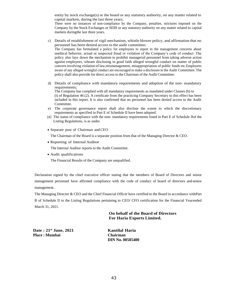entity by stock exchange(s) or the board or any statutory authority, on any matter related to capital markets, during the last three years;

There were no instances of non-compliance by the Company, penalties, strictures imposed on the Company by the Stock Exchanges or SEBI or any statutory authority on any matter related to capital markets duringthe last three years.

- c) Details of establishment of vigil mechanism, whistle blower policy, and affirmation that no personnel has been denied access to the audit committee; The Company has formulated a policy for employees to report to the management concerns about unethical behavior, actual or suspected fraud or violation of the Company's code of conduct .The policy also lays down the mechanism to prohibit managerial personnel from taking adverse action against employees, whoare disclosing in good faith alleged wrongful conduct on matter of public concern involving violation of law,mismanagement, misappropriation of public funds etc.Employees aware of any alleged wrongful conduct are encouraged to make a disclosure to the Audit Committee. The policy shall also provide for direct access to the Chairman of the Audit Committee.
- d) Details of compliance with mandatory requirements and adoption of the non- mandatory requirements; The Company has complied with all mandatory requirements as mandated under Clauses (b) to

(i) of Regulation 46 (2). A certificate from the practicing Company Secretary to this effect has been included in this report. It is also confirmed that no personnel has been denied access to the Audit Committee.

- e) The corporate governance report shall also disclose the extent to which the discretionary requirements as specified in Part E of Schedule II have been adopted.
- (d) The status of compliance with the non- mandatory requirements listed in Part E of Schedule IIof the Listing Regulations, is as under
- Separate post of Chairman andCEO

The Chairman of the Board is a separate position from that of the Managing Director & CEO.

• Reporting of Internal Auditor

The Internal Auditor reports to the Audit Committee.

• Audit qualifications

The Financial Results of the Company are unqualified.

Declaration signed by the chief executive officer stating that the members of Board of Directors and senior management personnel have affirmed compliance with the code of conduct of board of directors and senior management.

The Managing Director & CEO and the Chief Financial Officer have certified to the Board in accordance withPart B of Schedule II to the Listing Regulations pertaining to CEO/ CFO certification for the Financial Yearended March 31, 2021.

# **On behalf of the Board of Directors For Haria Exports Limited.**

**Date : 21 Place : Mumbai Chairman**

**st June, 2021 Kantilal Haria DIN No. 00585400**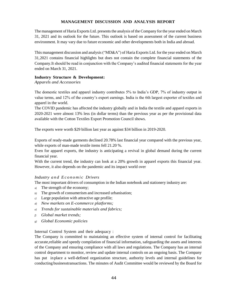# **MANAGEMENT DISCUSSION AND ANALYSIS REPORT**

The management of Haria Exports Ltd. presents the analysis of the Company for the year ended on March 31, 2021 and its outlook for the future. This outlook is based on assessment of the current business environment. It may vary due to future economic and other developments both in India and abroad.

This management discussion and analysis("MD&A") of Haria Exports Ltd. for the year ended on March 31,2021 contains financial highlights but does not contain the complete financial statements of the Company.It should be read in conjunction with the Company's audited financial statements for the year ended on March 31, 2021.

# **Industry Structure & Development:**

*Apparels and Accessories*

The domestic textiles and apparel industry contributes 5% to India's GDP, 7% of industry output in value terms, and 12% of the country's export earnings. India is the 6th largest exporter of textiles and apparel in the world.

The COVID pandemic has affected the industry globally and in India the textile and apparel exports in 2020-2021 were almost 13% less (in dollar terms) than the previous year as per the provisional data available with the Cotton Textiles Export Promotion Council shows.

The exports were worth \$29 billion last year as against \$34 billion in 2019-2020.

Exports of ready-made garments declined 20.78% last financial year compared with the previous year, while exports of man-made textile items fell 21.20 %.

Even for apparel exports, the industry is anticipating a revival in global demand during the current financial year.

With the current trend, the industry can look at a 20% growth in apparel exports this financial year. However, it also depends on the pandemic and its impact world over

# *Industry a n d E c o n o m i c Drivers*

The most important drivers of consumption in the Indian notebook and stationery industry are:

- a) The strength of the economy;
- *b)* The growth of consumerism and increased urbanisation;
- *c)* Large population with attractive age profile;
- *d) New markets on E-commerce platforms;*
- *e) Trends for sustainable materials and fabrics;*
- *f) Global market trends;*
- *g) Global Economic policies*

Internal Control System and their adequacy :

The Company is committed to maintaining an effective system of internal control for facilitating accurate,reliable and speedy compilation of financial information, safeguarding the assets and interests of the Company and ensuring compliance with all laws and regulations. The Company has an internal control department to monitor, review and update internal controls on an ongoing basis. The Company has put in place a well-defined organization structure, authority levels and internal guidelines for conducting businesstransactions. The minutes of Audit Committee would be reviewed by the Board for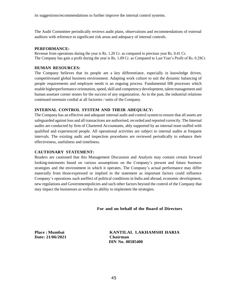its suggestions/recommendations to further improve the internal control systems.

The Audit Committee periodically reviews audit plans, observations and recommendations of external auditors with reference to significant risk areas and adequacy of internal controls.

# **PERFORMANCE:**

Revenue from operations during the year is Rs. 1.20 Cr. as compared to previous year Rs. 0.41 Cr. The Company has gain a profit during the year is Rs. 1.09 Cr. as Compared to Last Year's Profit of Rs. 0.28Cr.

# **HUMAN RESOURCES:**

The Company believes that its people are a key differentiator, especially in knowledge driven, competitiveand global business environment. Adapting work culture to suit the dynamic balancing of people requirements and employee needs is an ongoing process. Fundamental HR processes which enable higherperformance orientation, speed, skill and competency development, talent management and human assetare corner stones for the success of any organization. As in the past, the industrial relations continued toremain cordial at all factories / units of the Company.

# **INTERNAL CONTROL SYSTEM AND THEIR ADEQUACY:**

The Company has an effective and adequate internal audit and control system to ensure that all assets are safeguarded against loss and all transactions are authorised, recorded and reported correctly. The Internal audits are conducted by firm of Chartered Accountants, ably supported by an internal team staffed with qualified and experienced people. All operational activities are subject to internal audits at frequent intervals. The existing audit and inspection procedures are reviewed periodically to enhance their effectiveness, usefulness and timeliness.

# **CAUTIONARY STATEMENT:**

Readers are cautioned that this Management Discussion and Analysis may contain certain forward looking statements based on various assumptions on the Company's present and future business strategies and the environment in which it operates. The Company's actual performance may differ materially from those expressed or implied in the statement as important factors could influence Company's operations such aseffect of political conditions in India and abroad, economic development, new regulations and Governmentpolicies and such other factors beyond the control of the Company that may impact the businesses as wellas its ability to implement the strategies.

**For and on behalf of the Board of Directors**

**Date: 21/06/2021 Chairman**

**Place : Mumbai KANTILAL LAKHAMSHI HARIA DIN No. 00585400**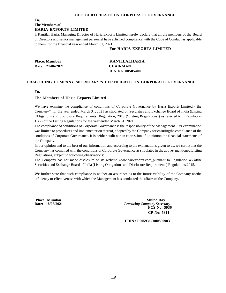### **CEO CERTIFICATE ON CORPORATE GOVERNANCE**

# **To,**

#### **The Members of HARIA EXPORTS LIMITED**

I, Kantilal Haria, Managing Director of Haria Exports Limited hereby declare that all the members of the Board of Directors and senior management personnel have affirmed compliance with the Code of Conduct,as applicable to them, for the financial year ended March 31, 2021.

### **For HARIA EXPORTS LIMITED**

**Place: Mumbai KANTILALHARIA Date : 21/06/2021 CHAIRMAN**

**DIN No. 00585400**

### **PRACTICING COMPANY SECRETARY'S CERTIFICATE ON CORPORATE GOVERNANCE**

### **To,**

### **The Members of Haria Exports Limited**

We have examine the compliance of conditions of Corporate Governance by Haria Exports Limited ('the Company') for the year ended March 31, 2021 as stipulated on Securities and Exchange Board of India (Listing Obligations and disclosure Requirements) Regulation, 2015 ('Listing Regulations') as referred to inRegulation 15(2) of the Listing Regulations for the year ended March 31, 2021.

The compliance of conditions of Corporate Governance is the responsibility of the Management. Our examination was limited to procedures and implementation thereof, adopted by the Company for ensuringthe compliance of the conditions of Corporate Governance. It is neither audit nor an expression of opinionon the financial statements of the Company.

In our opinion and to the best of our information and according to the explanations given to us, we certifythat the Company has complied with the conditions of Corporate Governance as stipulated in the above- mentioned Listing Regulations, subject to following observations:

The Company has not made disclosure on its website [www.hariexports.com](http://www.hariexports.com/) pursuant to Regulation 46 ofthe Securities and Exchange Board of India (Listing Obligations and Disclosure Requirements) Regulations,2015.

We further state that such compliance is neither an assurance as to the future viability of the Company northe efficiency or effectiveness with which the Management has conducted the affairs of the Company.

**Place: Mumbai Shilpa Ray**<br> **Date:** 18/08/2021 **Practicing Company Secret Date: 18/08/2021** *Practicing Company Secretary* **FCS No: 5936 CP No: 5311**

 **UDIN : F005936C000800983**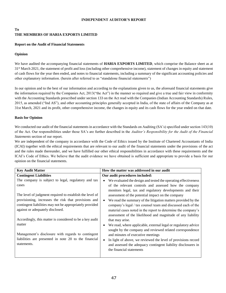### **INDEPENDENT AUDITOR'S REPORT**

# **To THE MEMBERS OF HARIA EXPORTS LIMITED**

### **Report on the Audit of Financial Statements**

## **Opinion**

We have audited the accompanying financial statements of **HARIA EXPORTS LIMITED**, which comprise the Balance sheet as at 31st March 2021, the statement of profit and loss (including other comprehensive income), statement of changes in equity and statement of cash flows for the year then ended, and notes to financial statements, including a summary of the significant accounting policies and other explanatory information. (herein after referred to as "standalone financial statements")

In our opinion and to the best of our information and according to the explanations given to us, the aforesaid financial statements give the information required by the Companies Act, 2013("the Act") in the manner so required and give a true and fair view in conformity with the Accounting Standards prescribed under section 133 on the Act read with the Companies (Indian Accounting Standards) Rules, 2015, as amended ("Ind AS"), and other accounting principles generally accepted in India, of the state of affairs of the Company as at 31st March, 2021 and its profit, other comprehensive income, the changes in equity and its cash flows for the year ended on that date.

# **Basis for Opinion**

We conducted our audit of the financial statements in accordance with the Standards on Auditing (SA's) specified under section 143(10) of the Act. Our responsibilities under those SA's are further described in the *Auditor's Responsibility for the Audit of the Financial Statements* section of our report.

We are independent of the company in accordance with the Code of Ethics issued by the Institute of Chartered Accountants of India (ICAI) together with the ethical requirements that are relevant to our audit of the financial statements under the provisions of the act and the rules made thereunder, and we have fulfilled our other ethical responsibilities in accordance with these requirements and the ICAI's Code of Ethics. We believe that the audit evidence we have obtained is sufficient and appropriate to provide a basis for our opinion on the financial statements.

| <b>Key Audit Matter</b>                                  | How the matter was addressed in our audit                                   |
|----------------------------------------------------------|-----------------------------------------------------------------------------|
| <b>Contingent Liabilities</b>                            | Our audit procedures included:                                              |
| The company is subject to legal, regulatory and tax      | We evaluated the design and tested the operating effectiveness<br>$\bullet$ |
| cases                                                    | of the relevant controls and assessed how the company                       |
|                                                          | monitors legal, tax and regulatory developments and their                   |
| The level of judgment required to establish the level of | assessment of the potential impact on the company                           |
| provisioning, increases the risk that provisions and     | We read the summary of the litigation matters provided by the<br>$\bullet$  |
| contingent liabilities may not be appropriately provided | company's legal / tax counsel team and discussed each of the                |
| against or adequately disclosed.                         | material cases noted in the report to determine the company's               |
|                                                          | assessment of the likelihood and magnitude of any liability                 |
| Accordingly, this matter is considered to be a key audit | that may arise.                                                             |
| matter                                                   | We read, where applicable, external legal or regulatory advice<br>٠         |
|                                                          | sought by the company and reviewed related correspondence                   |
| Management's disclosure with regards to contingent       | and minutes of executive meetings                                           |
| liabilities are presented in note 20 to the financial    | In light of above, we reviewed the level of provisions record<br>$\bullet$  |
| statements.                                              | and assessed the adequacy contingent liability disclosures in               |
|                                                          | the financial statements                                                    |
|                                                          |                                                                             |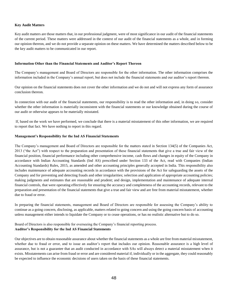### **Key Audit Matters**

Key audit matters are those matters that, in our professional judgment, were of most significance in our audit of the financial statements of the current period. These matters were addressed in the context of our audit of the financial statements as a whole, and in forming our opinion thereon, and we do not provide a separate opinion on these matters. We have determined the matters described below to be the key audit matters to be communicated in our report.

#### **Information Other than the Financial Statements and Auditor's Report Thereon**

The Company's management and Board of Directors are responsible for the other information. The other information comprises the information included in the Company's annual report, but does not include the financial statements and our auditor's report thereon.

Our opinion on the financial statements does not cover the other information and we do not and will not express any form of assurance conclusion thereon.

In connection with our audit of the financial statements, our responsibility is to read the other information and, in doing so, consider whether the other information is materially inconsistent with the financial statements or our knowledge obtained during the course of our audit or otherwise appears to be materially misstated.

If, based on the work we have performed, we conclude that there is a material misstatement of this other information, we are required to report that fact. We have nothing to report in this regard.

### **Management's Responsibility for the Ind AS Financial Statements**

The Company's management and Board of Directors are responsible for the matters stated in Section 134(5) of the Companies Act, 2013 ("the Act") with respect to the preparation and presentation of these financial statements that give a true and fair view of the financial position, financial performance including other comprehensive income, cash flows and changes in equity of the Company in accordance with Indian Accounting Standards (Ind AS) prescribed under Section 133 of the Act, read with Companies (Indian Accounting Standards) Rules, 2015, as amended and other accounting principles generally accepted in India. This responsibility also includes maintenance of adequate accounting records in accordance with the provisions of the Act for safeguarding the assets of the Company and for preventing and detecting frauds and other irregularities; selection and application of appropriate accounting policies; making judgments and estimates that are reasonable and prudent; and design, implementation and maintenance of adequate internal financial controls, that were operating effectively for ensuring the accuracy and completeness of the accounting records, relevant to the preparation and presentation of the financial statements that give a true and fair view and are free from material misstatement, whether due to fraud or error.

In preparing the financial statements, management and Board of Directors are responsible for assessing the Company's ability to continue as a going concern, disclosing, as applicable, matters related to going concern and using the going concern basis of accounting unless management either intends to liquidate the Company or to cease operations, or has no realistic alternative but to do so.

Board of Directors is also responsible for overseeing the Company's financial reporting process.

### **Auditor's Responsibility for the Ind AS Financial Statements**

Our objectives are to obtain reasonable assurance about whether the financial statements as a whole are free from material misstatement, whether due to fraud or error, and to issue an auditor's report that includes our opinion. Reasonable assurance is a high level of assurance, but is not a guarantee that an audit conducted in accordance with SAs will always detect a material misstatement when it exists. Misstatements can arise from fraud or error and are considered material if, individually or in the aggregate, they could reasonably be expected to influence the economic decisions of users taken on the basis of these financial statements.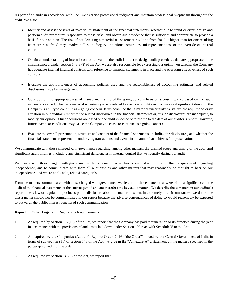As part of an audit in accordance with SAs, we exercise professional judgment and maintain professional skepticism throughout the audit. We also:

- Identify and assess the risks of material misstatement of the financial statements, whether due to fraud or error, design and perform audit procedures responsive to those risks, and obtain audit evidence that is sufficient and appropriate to provide a basis for our opinion. The risk of not detecting a material misstatement resulting from fraud is higher than for one resulting from error, as fraud may involve collusion, forgery, intentional omissions, misrepresentations, or the override of internal control.
- Obtain an understanding of internal control relevant to the audit in order to design audit procedures that are appropriate in the circumstances. Under section 143(3)(i) of the Act, we are also responsible for expressing our opinion on whether the Company has adequate internal financial controls with reference to financial statements in place and the operating effectiveness of such controls
- Evaluate the appropriateness of accounting policies used and the reasonableness of accounting estimates and related disclosures made by management.
- Conclude on the appropriateness of management's use of the going concern basis of accounting and, based on the audit evidence obtained, whether a material uncertainty exists related to events or conditions that may cast significant doubt on the Company's ability to continue as a going concern. If we conclude that a material uncertainty exists, we are required to draw attention in our auditor's report to the related disclosures in the financial statements or, if such disclosures are inadequate, to modify our opinion. Our conclusions are based on the audit evidence obtained up to the date of our auditor's report. However, future events or conditions may cause the Company to cease to continue as a going concern.
- Evaluate the overall presentation, structure and content of the financial statements, including the disclosures, and whether the financial statements represent the underlying transactions and events in a manner that achieves fair presentation.

We communicate with those charged with governance regarding, among other matters, the planned scope and timing of the audit and significant audit findings, including any significant deficiencies in internal control that we identify during our audit.

We also provide those charged with governance with a statement that we have complied with relevant ethical requirements regarding independence, and to communicate with them all relationships and other matters that may reasonably be thought to bear on our independence, and where applicable, related safeguards.

From the matters communicated with those charged with governance, we determine those matters that were of most significance in the audit of the financial statements of the current period and are therefore the key audit matters. We describe these matters in our auditor's report unless law or regulation precludes public disclosure about the matter or when, in extremely rare circumstances, we determine that a matter should not be communicated in our report because the adverse consequences of doing so would reasonably be expected to outweigh the public interest benefits of such communication.

### **Report on Other Legal and Regulatory Requirements**

- 1. As required by Section 197(16) of the Act, we report that the Company has paid remuneration to its directors during the year in accordance with the provisions of and limits laid down under Section 197 read with Schedule V to the Act.
- 2. As required by the Companies (Auditor's Report) Order, 2016 ("the Order") issued by the Central Government of India in terms of sub-section (11) of section 143 of the Act, we give in the "Annexure A" a statement on the matters specified in the paragraph 3 and 4 of the order.
- 3. As required by Section 143(3) of the Act, we report that: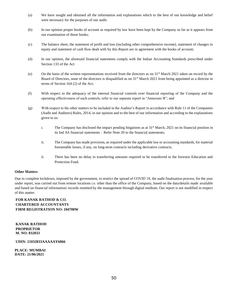- (a) We have sought and obtained all the information and explanations which to the best of our knowledge and belief were necessary for the purposes of our audit.
- (b) In our opinion proper books of account as required by law have been kept by the Company so far as it appears from our examination of those books;
- (c) The balance sheet, the statement of profit and loss (including other comprehensive income), statement of changes in equity and statement of cash flow dealt with by this Report are in agreement with the books of account;
- (d) In our opinion, the aforesaid financial statements comply with the Indian Accounting Standards prescribed under Section 133 of the Act
- (e) On the basis of the written representations received from the directors as on  $31<sup>st</sup>$  March 2021 taken on record by the Board of Directors, none of the directors is disqualified as on 31<sup>st</sup> March 2021 from being appointed as a director in terms of Section 164 (2) of the Act;
- (f) With respect to the adequacy of the internal financial controls over financial reporting of the Company and the operating effectiveness of such controls, refer to our separate report in "Annexure B"; and
- (g) With respect to the other matters to be included in the Auditor's Report in accordance with Rule 11 of the Companies (Audit and Auditors) Rules, 2014, in our opinion and to the best of our information and according to the explanations given to us:
	- i. The Company has disclosed the impact pending litigations as at  $31<sup>st</sup>$  March, 2021 on its financial position in its Ind AS financial statements – Refer Note 20 to the financial statements;
	- ii. The Company has made provision, as required under the applicable law or accounting standards, for material foreseeable losses, if any, on long-term contracts including derivative contracts.
	- ii. There has been no delay in transferring amounts required to be transferred to the Investor Education and Protection Fund.

### **Other Matters**

Due to complete lockdown, imposed by the government, to restrict the spread of COVID 19, the audit finalisation process, for the year under report, was carried out from remote locations i.e. other than the office of the Company, based on the data/details made available and based on financial information/ records remitted by the management through digital medium. Our report is not modified in respect of this matter.

**FOR KANAK RATHOD & CO. CHARTERED ACCOUNTANTS FIRM REGISTRATION NO: 104700W**

**KANAK RATHOD PROPRIETOR M. NO: 032833**

**UDIN: 21032833AAAAAY6066** 

**PLACE: MUMBAI DATE: 21/06/2021**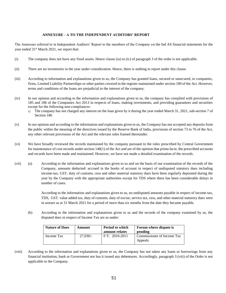## **ANNEXURE - A TO THE INDEPENDENT AUDITORS' REPORT**

The Annexure referred to in Independent Auditors' Report to the members of the Company on the Ind AS financial statements for the year ended  $31<sup>st</sup>$  March 2021, we report that:

- (i) The company does not have any fixed assets. Hence clause (ia) to (ic) of paragraph 3 of the order is not applicable.
- (ii) There are no inventories in the year under consideration. Hence, there is nothing to report under this clause.
- (iii) According to information and explanations given to us, the Company has granted loans, secured or unsecured, to companies, firms, Limited Liability Partnerships or other parties covered in the register maintained under section 189 of the Act. However, terms and conditions of the loans are prejudicial to the interest of the company.
- (iv) In our opinion and according to the information and explanations given to us, the company has complied with provisions of 185 and 186 of the Companies Act 2013 in respects of loans, making investments, and providing guarantees and securities except for the following non-compliances:
	- a) The company has not charged any interest on the loan given by it during the year ended March 31, 2021, sub-section 7 of Section 186
- (v) In our opinion and according to the information and explanations given to us, the Company has not accepted any deposits from the public within the meaning of the directives issued by the Reserve Bank of India, provisions of section 73 to 76 of the Act, any other relevant provisions of the Act and the relevant rules framed thereunder.
- (vi) We have broadly reviewed the records maintained by the company pursuant to the rules prescribed by Central Government for maintenance of cost records under section 148(1) of the Act and are of the opinion that prima facie, the prescribed accounts and records have been made and maintained. However, we have not made a detailed examination of the records.
- (vii) (a) According to the information and explanations given to us and on the basis of our examination of the records of the Company, amounts deducted/ accrued in the books of account in respect of undisputed statutory dues including income-tax, GST, duty of customs, cess and other material statutory dues have been regularly deposited during the year by the Company with the appropriate authorities except for TDS where there has been considerable delays in number of cases.

According to the information and explanations given to us, no undisputed amounts payable in respect of income-tax, TDS, GST. value added tax, duty of customs, duty of excise, service tax, cess, and other material statutory dues were in arrears as at 31 March 2021 for a period of more than six months from the date they became payable.

(b) According to the information and explanations given to us and the records of the company examined by us, the disputed dues in respect of Income Tax are as under:

| <b>Nature of Dues</b> | Amount     | <b>Period to which</b><br>amount relates | Forum where dispute is<br>pending     |
|-----------------------|------------|------------------------------------------|---------------------------------------|
| Income Tax            | $27.030/-$ | F.Y. 2010-2011                           | Commissioner of Income Tax<br>Appeals |

(viii) According to the information and explanations given to us, the Company has not taken any loans or borrowings from any financial institution, bank or Government nor has it issued any debentures. Accordingly, paragraph 3 (viii) of the Order is not applicable to the Company.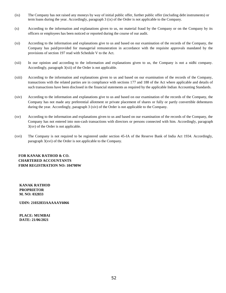- (ix) The Company has not raised any moneys by way of initial public offer, further public offer (including debt instruments) or term loans during the year. Accordingly, paragraph 3 (ix) of the Order is not applicable to the Company.
- (x) According to the information and explanations given to us, no material fraud by the Company or on the Company by its officers or employees has been noticed or reported during the course of our audit.
- (xi) According to the information and explanations give to us and based on our examination of the records of the Company, the Company has paid/provided for managerial remuneration in accordance with the requisite approvals mandated by the provisions of section 197 read with Schedule V to the Act.
- (xii) In our opinion and according to the information and explanations given to us, the Company is not a nidhi company. Accordingly, paragraph 3(xii) of the Order is not applicable.
- (xiii) According to the information and explanations given to us and based on our examination of the records of the Company, transactions with the related parties are in compliance with sections 177 and 188 of the Act where applicable and details of such transactions have been disclosed in the financial statements as required by the applicable Indian Accounting Standards.
- (xiv) According to the information and explanations give to us and based on our examination of the records of the Company, the Company has not made any preferential allotment or private placement of shares or fully or partly convertible debentures during the year. Accordingly, paragraph 3 (xiv) of the Order is not applicable to the Company.
- (xv) According to the information and explanations given to us and based on our examination of the records of the Company, the Company has not entered into non-cash transactions with directors or persons connected with him. Accordingly, paragraph 3(xv) of the Order is not applicable.
- (xvi) The Company is not required to be registered under section 45-IA of the Reserve Bank of India Act 1934. Accordingly, paragraph 3(xvi) of the Order is not applicable to the Company.

 **FOR KANAK RATHOD & CO. CHARTERED ACCOUNTANTS FIRM REGISTRATION NO: 104700W**

 **KANAK RATHOD PROPRIETOR M. NO: 032833**

 **UDIN: 21032833AAAAAY6066** 

 **PLACE: MUMBAI DATE: 21/06/2021**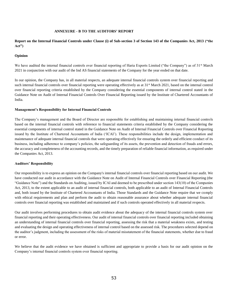### **ANNEXURE - B TO THE AUDITORS' REPORT**

## **Report on the Internal Financial Controls under Clause (i) of Sub-section 3 of Section 143 of the Companies Act, 2013 ("the Act")**

#### **Opinion**

We have audited the internal financial controls over financial reporting of Haria Exports Limited ("the Company") as of 31<sup>st</sup> March 2021 in conjunction with our audit of the Ind AS financial statements of the Company for the year ended on that date.

In our opinion, the Company has, in all material respects, an adequate internal financial controls system over financial reporting and such internal financial controls over financial reporting were operating effectively as at  $31<sup>st</sup>$  March 2021, based on the internal control over financial reporting criteria established by the Company considering the essential components of internal control stated in the Guidance Note on Audit of Internal Financial Controls Over Financial Reporting issued by the Institute of Chartered Accountants of India.

### **Management's Responsibility for Internal Financial Controls**

The Company's management and the Board of Director are responsible for establishing and maintaining internal financial controls based on the internal financial controls with reference to financial statements criteria established by the Company considering the essential components of internal control stated in the Guidance Note on Audit of Internal Financial Controls over Financial Reporting issued by the Institute of Chartered Accountants of India ('ICAI'). These responsibilities include the design, implementation and maintenance of adequate internal financial controls that were operating effectively for ensuring the orderly and efficient conduct of its business, including adherence to company's policies, the safeguarding of its assets, the prevention and detection of frauds and errors, the accuracy and completeness of the accounting records, and the timely preparation of reliable financial information, as required under the Companies Act, 2013.

### **Auditors' Responsibility**

Our responsibility is to express an opinion on the Company's internal financial controls over financial reporting based on our audit. We have conducted our audit in accordance with the Guidance Note on Audit of Internal Financial Controls over Financial Reporting (the "Guidance Note") and the Standards on Auditing, issued by ICAI and deemed to be prescribed under section 143(10) of the Companies Act, 2013, to the extent applicable to an audit of internal financial controls, both applicable to an audit of Internal Financial Controls and, both issued by the Institute of Chartered Accountants of India. Those Standards and the Guidance Note require that we comply with ethical requirements and plan and perform the audit to obtain reasonable assurance about whether adequate internal financial controls over financial reporting was established and maintained and if such controls operated effectively in all material respects.

Our audit involves performing procedures to obtain audit evidence about the adequacy of the internal financial controls system over financial reporting and their operating effectiveness. Our audit of internal financial controls over financial reporting included obtaining an understanding of internal financial controls over financial reporting, assessing the risk that a material weakness exists, and testing and evaluating the design and operating effectiveness of internal control based on the assessed risk. The procedures selected depend on the auditor's judgment, including the assessment of the risks of material misstatement of the financial statements, whether due to fraud or error.

We believe that the audit evidence we have obtained is sufficient and appropriate to provide a basis for our audit opinion on the Company's internal financial controls system over financial reporting.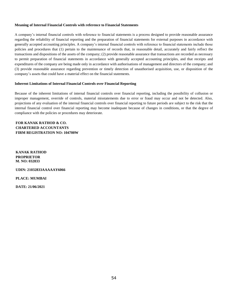### **Meaning of Internal Financial Controls with reference to Financial Statements**

A company's internal financial controls with reference to financial statements is a process designed to provide reasonable assurance regarding the reliability of financial reporting and the preparation of financial statements for external purposes in accordance with generally accepted accounting principles. A company's internal financial controls with reference to financial statements include those policies and procedures that (1) pertain to the maintenance of records that, in reasonable detail, accurately and fairly reflect the transactions and dispositions of the assets of the company; (2) provide reasonable assurance that transactions are recorded as necessary to permit preparation of financial statements in accordance with generally accepted accounting principles, and that receipts and expenditures of the company are being made only in accordance with authorisations of management and directors of the company; and (3) provide reasonable assurance regarding prevention or timely detection of unauthorised acquisition, use, or disposition of the company's assets that could have a material effect on the financial statements.

### **Inherent Limitations of Internal Financial Controls over Financial Reporting**

Because of the inherent limitations of internal financial controls over financial reporting, including the possibility of collusion or improper management, override of controls, material misstatements due to error or fraud may occur and not be detected. Also, projections of any evaluation of the internal financial controls over financial reporting to future periods are subject to the risk that the internal financial control over financial reporting may become inadequate because of changes in conditions, or that the degree of compliance with the policies or procedures may deteriorate.

**FOR KANAK RATHOD & CO. CHARTERED ACCOUNTANTS FIRM REGISTRATION NO: 104700W** 

**KANAK RATHOD PROPRIETOR M. NO: 032833**

**UDIN: 21032833AAAAAY6066** 

**PLACE: MUMBAI** 

**DATE: 21/06/2021**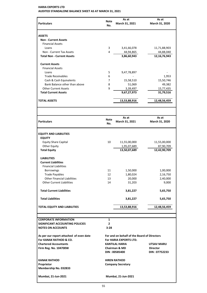# **HARIA EXPORTS LTD AUDITED STANDALONE BALANCE SHEET AS AT MARCH 31, 2021**

|                                         |                                             | As at                    | As at             |
|-----------------------------------------|---------------------------------------------|--------------------------|-------------------|
| <b>Particulars</b>                      | <b>Note</b>                                 | March 31, 2021           | March 31, 2020    |
|                                         | No.                                         |                          |                   |
|                                         |                                             |                          |                   |
| <b>ASSETS</b>                           |                                             |                          |                   |
| <b>Non - Current Assets</b>             |                                             |                          |                   |
| <b>Financial Assets</b>                 |                                             |                          |                   |
| Loans                                   | 3                                           | 3,41,66,078              | 11,71,88,903      |
| Non - Current Tax Assets                | 4                                           | 44,94,865                | 44,88,040         |
| <b>Total Non - Current Assets</b>       |                                             | 3,86,60,943              | 12,16,76,943      |
|                                         |                                             |                          |                   |
|                                         |                                             |                          |                   |
| <b>Current Assets</b>                   |                                             |                          |                   |
| <b>Financial Assets</b>                 |                                             |                          |                   |
| Loans                                   | 5                                           | 9,47,78,897              |                   |
| <b>Trade Receivables</b>                | 6                                           |                          | 1,953             |
| Cash & Cash Equivalents                 | 7                                           | 15,58,510                | 15,50,746         |
| Bank Balance other than above           | 8                                           | 51,069                   | 49,382            |
| <b>Other Current Assets</b>             | 9                                           | 3,39,497                 | 15,77,435         |
| <b>Total Current Assets</b>             |                                             | 9,67,27,973              | 31,79,516         |
|                                         |                                             |                          |                   |
|                                         |                                             |                          |                   |
| <b>TOTAL ASSETS</b>                     |                                             | 13,53,88,916             | 12,48,56,459      |
|                                         |                                             |                          |                   |
|                                         |                                             |                          |                   |
|                                         |                                             |                          |                   |
|                                         | <b>Note</b>                                 | As at                    | As at             |
| <b>Particulars</b>                      | No.                                         | March 31, 2021           | March 31, 2020    |
|                                         |                                             |                          |                   |
|                                         |                                             |                          |                   |
| <b>EQUITY AND LIABILITIES</b>           |                                             |                          |                   |
| <b>EQUITY</b>                           |                                             |                          |                   |
| <b>Equity Share Capital</b>             | 10                                          | 11,55,00,000             | 11,55,00,000      |
| Other Equity                            |                                             | 1,95,07,689              | 87,90,709         |
|                                         |                                             |                          |                   |
| <b>Total Equity</b>                     |                                             | 13,50,07,689             | 12,42,90,709      |
|                                         |                                             |                          |                   |
| <b>LIABILITIES</b>                      |                                             |                          |                   |
| <b>Current Liabilities</b>              |                                             |                          |                   |
| <b>Financial Liabilities</b>            |                                             |                          |                   |
| <b>Borrowings</b>                       | 11                                          | 1,50,000                 | 1,00,000          |
| <b>Trade Payables</b>                   | 12                                          | 1,80,024                 | 2,16,750          |
| <b>Other Financial Liabilities</b>      | 13                                          | 20,000                   | 2,40,000          |
| <b>Other Current Liabilities</b>        | 14                                          | 31,203                   | 9,000             |
|                                         |                                             |                          |                   |
|                                         |                                             |                          |                   |
| <b>Total Current Liabilities</b>        |                                             | 3,81,227                 | 5,65,750          |
|                                         |                                             |                          |                   |
| <b>Total Liabilities</b>                |                                             | 3,81,227                 | 5,65,750          |
|                                         |                                             |                          |                   |
| <b>TOTAL EQUITY AND LIABILITIES</b>     |                                             | 13,53,88,916             | 12,48,56,459      |
|                                         |                                             |                          |                   |
|                                         |                                             |                          |                   |
| <b>CORPORATE INFORMATION</b>            | $\mathbf{1}$                                |                          |                   |
| SIGNIFICANT ACCOUNTING POLICIES         | $\overline{2}$                              |                          |                   |
| <b>NOTES ON ACCOUNTS</b>                | $3 - 28$                                    |                          |                   |
|                                         |                                             |                          |                   |
|                                         |                                             |                          |                   |
| As per our report attached of even date | For and on behalf of the Board of Directors |                          |                   |
| For KANAK RATHOD & CO.                  | For HARIA EXPORTS LTD.                      |                          |                   |
| <b>Chartered Accountants</b>            |                                             | <b>KANTILAL HARIA</b>    | <b>UTSAV MARU</b> |
| <b>Firm Reg. No. 104700W</b>            |                                             | <b>Chairman &amp; MD</b> | <b>Director</b>   |
|                                         |                                             | DIN: 00585400            | DIN: 07752233     |
|                                         |                                             |                          |                   |
| <b>KANAK RATHOD</b>                     | <b>HIREN RATHOD</b>                         |                          |                   |
| Proprietor                              |                                             |                          |                   |
|                                         |                                             |                          |                   |
|                                         |                                             | <b>Company Secretary</b> |                   |
| Membership No. 032833                   |                                             |                          |                   |
| <b>Mumbai, 21-Jun-2021</b>              |                                             | Mumbai, 21-Jun-2021      |                   |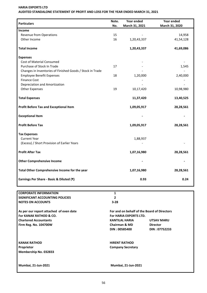# **HARIA EXPORTS LTD AUDITED STANDALONE STATEMENT OF PROFIT AND LOSS FOR THE YEAR ENDED MARCH 31, 2021**

| <b>Particulars</b>                                        |     | Year ended     | Year ended     |  |
|-----------------------------------------------------------|-----|----------------|----------------|--|
|                                                           | No. | March 31, 2021 | March 31, 2020 |  |
| Income                                                    |     |                |                |  |
| <b>Revenue from Operations</b>                            | 15  |                | 14,958         |  |
| Other Income                                              | 16  | 1,20,43,337    | 41,54,128      |  |
| <b>Total Income</b>                                       |     | 1,20,43,337    | 41,69,086      |  |
| <b>Expenses</b>                                           |     |                |                |  |
| <b>Cost of Material Consumed</b>                          |     |                |                |  |
| Purchase of Stock In Trade                                | 17  |                | 1,545          |  |
| Changes in Inventories of Finished Goods / Stock in Trade |     |                |                |  |
| <b>Employee Benefit Expenses</b>                          | 18  | 1,20,000       | 2,40,000       |  |
| <b>Finance Cost</b>                                       |     |                |                |  |
| Depreciation and Amortization                             |     |                |                |  |
| <b>Other Expenses</b>                                     | 19  | 10,17,420      | 10,98,980      |  |
| <b>Total Expenses</b>                                     |     | 11,37,420      | 13,40,525      |  |
| <b>Profit Before Tax and Exceptional Item</b>             |     | 1,09,05,917    | 28,28,561      |  |
| <b>Exceptional Item</b>                                   |     |                |                |  |
| <b>Profit Before Tax</b>                                  |     | 1,09,05,917    | 28,28,561      |  |
| <b>Tax Expenses</b>                                       |     |                |                |  |
| <b>Current Year</b>                                       |     | 1,88,937       |                |  |
| (Excess) / Short Provision of Earlier Years               |     |                |                |  |
| <b>Profit After Tax</b>                                   |     | 1,07,16,980    | 28,28,561      |  |
| <b>Other Comprehensive Income</b>                         |     |                |                |  |
| Total Other Comprehensive Income for the year             |     | 1,07,16,980    | 28,28,561      |  |
| Earnings Per Share - Basic & Diluted (₹)                  |     | 0.93           | 0.24           |  |

| <b>CORPORATE INFORMATION</b>            | 1                                           |                   |
|-----------------------------------------|---------------------------------------------|-------------------|
| SIGNIFICANT ACCOUNTING POLICIES         | 2                                           |                   |
| <b>NOTES ON ACCOUNTS</b>                | $3-28$                                      |                   |
|                                         |                                             |                   |
| As per our report attached of even date | For and on behalf of the Board of Directors |                   |
| For KANAK RATHOD & CO.                  | <b>For HARIA EXPORTS LTD.</b>               |                   |
| <b>Chartered Accountants</b>            | <b>KANTILAL HARIA</b>                       | <b>UTSAV MARU</b> |
| <b>Firm Reg. No. 104700W</b>            | <b>Chairman &amp; MD</b>                    | <b>Director</b>   |
|                                         | DIN: 00585400                               | DIN: 07752233     |
|                                         |                                             |                   |
| <b>KANAK RATHOD</b>                     | <b>HIRENT RATHOD</b>                        |                   |
| <b>Proprietor</b>                       | <b>Company Secretary</b>                    |                   |
| Membership No. 032833                   |                                             |                   |
|                                         |                                             |                   |
| <b>Mumbai, 21-Jun-2021</b>              | <b>Mumbai, 21-Jun-2021</b>                  |                   |
|                                         |                                             |                   |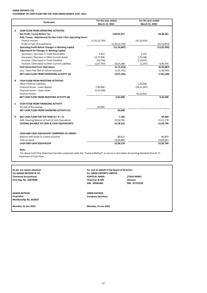# **HARIA EXPORTS LTD STATEMENT OF CASH FLOW FOR THE YEAR ENDED MARCH 31ST, 2021**

As per our report attached **As per our report attached For and on behalf of the Board of Directors For KANAK RATHOD & CO. For HARIA EXPORTS LIMITED Chartered Accountants KANTILAL HARIA UTSAV MARU Firm Reg. No. 104700W Chairman & MD Director DIN : 00585400 DIN : 07752233**

|   | <b>Particulars</b>                                             | For the year ended |                  | For the year ended |               |
|---|----------------------------------------------------------------|--------------------|------------------|--------------------|---------------|
|   |                                                                | March 31, 2021     |                  | March 31, 2020     |               |
| A | <b>CASH FLOW FROM OPERATING ACTIVITIES</b>                     |                    |                  |                    |               |
|   | Net Profit / (Loss) Before Tax                                 |                    | 1,09,05,917      |                    | 28,28,561     |
|   | Add / (Less):- Adjustments for Non-Cash / Non-Operating Items: |                    |                  |                    |               |
|   | Finance Income                                                 | (1, 20, 22, 759)   |                  | (41, 53, 953)      |               |
|   | Profit on Sale of Investments                                  |                    | (1, 20, 22, 759) |                    | (41, 53, 953) |
|   | <b>Operating Profit Before Changes in Working Capital</b>      |                    | (11, 16, 842)    |                    | (13, 25, 392) |
|   | <b>Adjustment for Changes in Working Capital</b>               |                    |                  |                    |               |
|   | (Increase) / Decrease in Trade Receivables                     | 1,953              |                  | 2,135              |               |
|   | (Increase) / Decrease in Other Current Assets                  | 12,37,938          |                  | 5,79,248           |               |
|   | Increase / (Decrease) in Trade Payables                        | (36, 726)          |                  | 1,10,679           |               |
|   | Increase / (Decrease) in Other Current Liabilities             | (1, 97, 797)       | 10,05,368        | (1, 357)           | 6,90,705      |
|   | <b>Cash Generated from Operations</b>                          |                    | (1, 11, 474)     |                    | (6, 34, 687)  |
|   | Less: Taxes Paid (Net of refund received)                      |                    | (1,95,762)       |                    | (1,48,493)    |
|   | NET CASH FLOW FROM OPERATING ACTIVITY (A)                      |                    | (3,07,236)       |                    | (7, 83, 180)  |
| B | <b>CASH FLOW FROM INVESTING ACTIVITIES</b>                     |                    |                  |                    |               |
|   | <b>Other Financial Liabilities</b>                             |                    |                  | 1,20,000           |               |
|   | Financial Assets - Loans Repaid                                | 7,90,000           |                  | (34, 41, 305)      |               |
|   | Financial Assets - Loans Given                                 | (5,25,000)         |                  |                    |               |
|   | Finance Income                                                 |                    |                  | 41,53,953          |               |
|   | NET CASH FLOW FROM INVESTING ACTIVITY (B)                      |                    | 2,65,000         |                    | 8,32,648      |
| C | <b>CASH FLOW FROM FINANCING ACTIVITY</b>                       |                    |                  |                    |               |
|   | <b>Reciept of Borrowings</b>                                   | 50,000             |                  |                    |               |
|   | NET CASH FLOW FROM FINANCING ACTIVITY (C)                      |                    | 50,000           |                    |               |
| D | NET CASH FLOW FOR THE YEAR $(A + B + C)$                       |                    | 7,764            |                    | 49,468        |
|   | Add: Opening Balance of Cash & Cash Equivalents                |                    | 15,50,746        |                    | 15,01,278     |
|   | <b>CLOSING BALANCE OF CASH &amp; CASH EQUIVALENTS</b>          |                    | 15,58,510        |                    | 15,50,746     |
|   |                                                                |                    |                  |                    |               |
|   | CASH AND CASH EQUIVALENT COMPRISES AS UNDER:                   |                    |                  |                    |               |
|   | Balance with banks in current accounts                         |                    | 88,621           |                    | 80,859        |
|   | Cash on Hand                                                   |                    | 14,69,889        |                    | 14,69,887     |
|   | <b>CASH AND CASH EQUIVALENT</b>                                |                    | 15,58,510        |                    | 15,50,746     |

**KANAK RATHOD HIREN RATHOD Proprietor Company Secretary Membership No. 032833**

**Mumbai, 21-Jun-2021 Mumbai, 21-Jun-2021**

Statement of Cash Flow.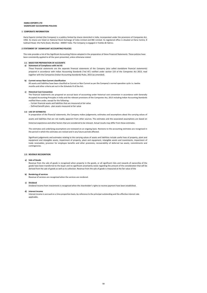# **HARIA EXPORTS LTD SIGNIFICANT ACCOUNTING POLICIES**

# **2 STATEMENT OF SIGNIFICANT ACCOUNTING POLICIES**

# **2.1 BASIS FOR PREPARATION OF ACCOUNTS**

### **2.2 USE OF ESTIMATES**

# **b) Current versus Non-Current classification**

## **c) Historical Cost Convention**

All assets and liabilities have been classified as Current or Non Current as per the Company's normal operation cycle i.e. twelve months and other criteria set out in the Schedule III of the Act.

# **1 CORPORATE INFORMATION**

The financial statements are prepared on accrual basis of accounting under historical cost convention in accordance with Generally Accepted Accounting Principles in India and the relevant provisions of the Companies Act, 2013 including Indian Accounting Standards notified there under, except for the following:

# **a) Statement of Compliance with Ind AS**

Haria Exports Limited (the Company) is a publicy limited by shares domiciled in India, incorporated under the provisions of Companies Act, 1956. Its shares are listed on National Stock Exchange of India Limited and BSE Limited. Its registered office is situated at Haria Centre, 8 Subhash Road, Vile Parle (East), Mumbai - 400057 India. The Company is engaged in Textiles & Fabrics.

# **2.3 REVENUE RECOGNITION**

This note provides a list of the Significant Accounting Policies adopted in the preparation of these Financial Statements. These policies have been consistently applied to all the years presented, unless otherwise stated.

### **c) Dividend**

These financial statements are the separate financial statements of the Company (also called standalone financial statements) prepared in accordance with Indian Accounting Standards ('Ind AS') notified under section 133 of the Companies Act 2013, read together with the Companies (Indian Accounting Standards) Rules, 2015 (as amended).

# **d) Interest Income**

# **a) Sale of Goods**

# **b) Rendering of services**

Significant judgements and estimates relating to the carrying values of assets and liabilities include useful lives of property, plant and equipment and intangible assets, impairment of property, plant and equipment, intangible assets and investments, impairment of trade receivables, provision for employee benefits and other provisions, recoverability of deferred tax assets, commitments and contingencies.

- Certain financial assets and liabilities that are measured at fair value
- Defined benefit plans plan assets measured at fair value

In preparation of the financial statements, the Company makes judgements, estimates and assumptions about the carrying values of

assets and liabilities that are not readily apparent from other sources. The estimates and the associated assumptions are based on

historical experience and other factors that are considered to be relevant. Actual results may differ from these estimates.

The estimates and underlying assumptions are reviewed on an ongoing basis. Revisions to the accounting estimates are recognised in the period in which the estimates are revised and in any future periods affected.

Dividend income from investments is recognised when the shareholder's rights to receive payment have been established.

Interest income is accrued on a time proportion basis, by reference to the principal outstanding and the effective interest rate applicable.

Revenue from the sale of goods is recognised when property in the goods, or all significant risks and rewards of ownership of the goods have been transferred to the buyer and no significant uncertainty exists regarding the amount of the consideration that will be derived from the sale of goods as well as its collection. Revenue from the sale of goods is measured at the fair value of the

Revenue of services are recognized when the services are rendered.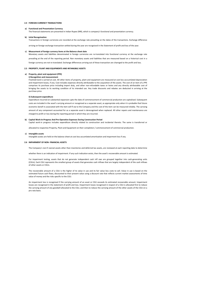# **2.4 FOREIGN CURRENCY TRANSACTIONS**

#### **c) Measurment of foreign currency items at the Balance sheet date**

### **2.5 PROPERTY, PLANT AND EQUIPMENTS AND INTANGIBLE ASSETS**

## **a) Functional and Presentation Currency**

Monetary assets and liabilities denominated in foreign currencies are re-translated into functional currency at the exchange rate prevailing at the end of the reporting period. Non monetary assets and liabilities that are measured based on a historical cost in a foreign currency are not re-translated. Exchange differences arrising out of these transaction are chanrged to the profit and loss.

# **b) Intial Recognisation**

# **b) Capital Work-In-Progress And Pre-Operative Expenses During Construction Period**

The financial statements are presented in Indian Rupee (INR), which is company's functional and presentation currency.

#### **c) Intangible assets**

### **a) Property, plant and equipment (PPE)**

Transactions in foreign currencies are recorded at the exchange rate prevailing on the dates of the transactions. Exchange difference

arrising on foreign exchange transaction settled during the year are recognized in the Statement of profit and loss of the year.

Capital work-in progress includes expenditure directly related to construction and incidental thereto. The same is transferred or

allocated to respective Property, Plant and Equipment on their completion / commencement of commercial production.

#### **2.6 IMPAIRMENT OF NON- FINANCIAL ASSETS**

Intangible asstes are held on the balance sheet at cost less accumlated amortisation and imparment loss if any.

# **i) Recognition and measurement**

Freehold land is carried at cost. All other items of property, plant and equipment are measured at cost less acccumlated depreciation and impairment losses, if any. Cost includes expenses directly attributable to the acquisition of the assets. The cost of an item of a PPE comprises its purchase price including import duty, and other non-refundable taxes or levies and any directly attributable cost of bringing the assets to its working condition of its intended use. Any trade discounts and rebates are deducted in arriving at the purchase price.

#### **ii) Subsequent expenditure**

Expenditure incurred on substantial expansion upto the date of commencement of commercial production are capitalised. Subsequent costs are included in the asset's carrying amount or recognised as a separate asset, as appropriate only when it is probable that future economic benefi ts associated with the item will fl ow to the Company and the cost of the item can be measured reliably. The carrying amount of any component accounted for as a separate asset is derecognised when replaced. All other repairs and maintenance are charged to profit or loss during the reporting period in which they are incurred.

The Company's non-fi nancial assets other than inventories and deferred tax assets, are reviewed at each reporting date to determine

whether there is an indication of impairment. If any such indication exists, then the asset's recoverable amount is estimated.

For impairment testing, assets that do not generate independent cash infl ows are grouped together into cash-generating units (CGUs). Each CGU represents the smallest group of assets that generates cash inflows that are largely independent of the cash inflows of other assets or CGUs.

The recoverable amount of a CGU is the higher of its value in use and its fair value less costs to sell. Value in use is based on the estimated future cash flows, discounted to their present value using a discount rate that reflects current market assessments of time value of money and the risks specific to the CGU.

An impairment loss is recognised if the carrying amount of an asset or CGU exceeds its estimated recoverable amount. Impairment losses are recognised in the statement of profit and loss. Impairment losses recognised in respect of a CGU is allocated first to reduce the carrying amount of any goodwill allocated to the CGU, and then to reduce the carrying amount of the other assets of the CGU on a pro rata basis.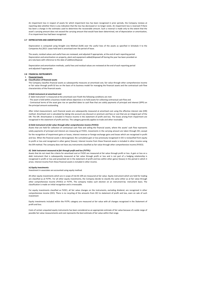An impairment loss in respect of assets for which impairment loss has been recognized in prior periods, the Company reviews at reporting date whether there is any indication that the loss has decreased or no longer exists. An impairment loss is reversed if there has been a change in the estimates used to determine the recoverable amount. Such a reversal is made only to the extent that the asset's carrying amount does not exceed the carrying amount that would have been determined, net of depreciation or amortization, if no impairment loss had been recognized.

# **2.7 DEPRECIATION AND AMORTISATION**

Depreciation is computed using Straight Line Method (SLM) over the useful lives of the assets as specified in Schedule II to the Companies Act,2013. Lease hold land is amortised over the period of lease.

The assets; residual values and useful lives are reviewed, and adjusted if appropriate, at the end of each reporting period. Depreciation and amortization on property, plant and equipment added/disposed off during the year has been provided on pro-rata basis with reference to the date of addition/disposal.

# **2.8 FINANCIAL INSTRUMENTS**

# **I. Financial Assets**

# *i) Debt instrument at amortised cost:*

# **a) Classification of financial assets**

A 'debt Instrument' is measured at the amortised cost if both the following conditions are met:

- The asset is held within a business model whose objectives is to hold assets for collecting contractual cash flow and

- Contractual terms of the asset give rise on specified dates to cash flow that are solely payments of principal and interest (SPPI) on the principal amount outstanding.

After initial measurement, such financial assets are subsequently measured at amortised cost using the effective interest rate (EIR) method. Amortised cost is calculated by taking into account any discount or premium and fees or cost that are an integral part of the EIR. The EIR. Amortisation is included in finance income in the statement of profit and loss. The losses arising from impairment are recognised in the statement of profit and loss. The category generally applies to trade and other receivable.

Depreciation and amortization methods, useful lives and residual values are reviewed at the end of each reporting period and adjusted if appropriate

The Company classifies financial assets as subsequently measures at amortised cost, fair value through other comprehensive income or fair value through profit & loss on the basis of its business model for managing the financial assets and the contractual cash flow characteristics of the financial assets.

# *iv) Equity investments:*

Investment in associates are accounted using equity method.

All other equity investments which are in scope of Ind-AS 109 are measured at fair value. Equity instrument which are held for trading are classified as at FVTPL. For all other equity investments, the Company decide to classify the same either as at fair value through other comprehensive income (FVOCI) or FVTPL. The company makes such election on an instrument-by- instrument basis. The classification is made on initial recognition and is irrevocable.

For equity investments classified as FVOCI, all fair value changes on the instruments, excluding dividend, are recognized in other comprehensive income (OCI). There is no recycling of the amounts from OCI to statement of profit and loss, even on sale of such investment

# *ii) Debt instrument at fair value through other comprehensive income (FVOCI):*

Assets that are held for collection of contractual cash flow and selling the financial assets, where the assets' cash flow represents solely payments of principal and interest are measuring at FVOCI, movements in the carrying amount are taken through OCI, except for the recognition of impairment gains or losses, interest revenue or foreign exchange gains and losses which are recognised in profit and loss. When the financial assets is derecognised, the cumulative gain or loss previously recognised in OCI is reclassified from equity to profit or loss and recognised in other gains/ (losses). Interest income from these financial assets is included in other income suing the EIR method. The company does not have any instruments classified as fair value through other comprehensive income (FVOCI).

# *iii) Debt instrument measured at fair through profit and loss (FVTPL):*

Assets that do not meet the criteria for amortised cost or FVOCI are measured at fair value through profit or loss. A gain or loss on a debt instrument that is subsequently measured at fair value through profit or loss and is not part of a hedging relationship is recognised in profit or loss and presented net in the statement of profit and loss within other gains/ (losses) in the period in which it arises. Interest income from these financial assets is included in other income.

Equity investments included within the FVTPL category are measured at fair value with all changes recognized in the Statement of profit and loss.

Costs of certain unquoted equity instruments has been considered as an appropriate estimate of fair value because of a wide range of possible fair value measurements and cost represents the best estimate of fair value within that range.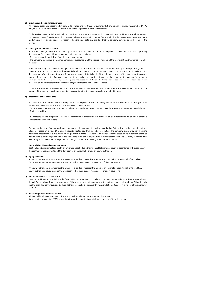Trade receivable are carried at original invoice price as the sales arrangements do not contain any significant financial component. Purchase or sales of financial assets that required delivery of assets within a time frame established by regulation or convention in the market place (regular way trades) are recognised on the trade date, i.e., the date that the company commits to purchase or sell the assets.

### **c) Derecognition of financial assets**

A financial asset (or, where applicable, a part of a financial asset or part of a company of similar financial assets) primarily derecognised (i.e. removed from the company's balance sheet) when :

- The rights to receive cash flows from the asset have expired, or

- The Company has neither transferred nor retained substantially all the risks and rewards all the assets, but has transferred control of the assets.

# **b) Initial recognition and measurement**

When the company has transferred its rights to receive cash flow from an asset or has entered into a pass-through arrangement, it evaluates whether it has transferred substantially all the risks and rewards of ownership. In such cases, the financial asset is derecognised. When it has neither transferred nor retained substantially all of the risks and rewards of the assets, nor transferred control of the assets, the Company continues to recognise the transferred asset to the extent of the company's continuing involvement. In the case, the company recognises and associated liability. The transferred asset and the associated liability are measured on a basis that reflect the rights and obligations that the company has retained.

### **II. Financial Liabilities and equity instruments**

## **d) Impairment of financial assets**

All financial assets are recognised initially at fair value and for those instruments that are not subsequently measured at FVTPL, plus/minus transaction cost that are attributable to the acquisition of the financial assets.

#### **b) Financial liabilities :- Classification**

The company follows 'simplified approach' for recognition of impairment loss allowance on trade receivables which do not contain a significant financing component.

# **c) Initial recognition and measurement:**

### **a)** *Equity instruments:*

The application simplified approach does not require the company to track change in risk. Rather, it recognises impairment loss allowance based on lifetime ECLs at each reporting date, right from its initial recognition. The company uses a provision matrix to determine impairment loss allowance on the portfolio of trade receivable. The provision matrix based on its historically observed default rates over the expected life of the trade receivable and is adjusted for forward looking estimates. At every reporting date, historically observed default rate updated and change in the forward looking estimates are analysed.

Debt and equity instruments issued by an entity are classified as either financial liability or as equity in accordance with substance of the contractual arrangements and the definition of a financial liability and an equity instrument.

Continuing involvement that takes the form of a guarantee over the transferred asset is measured at the lower of the original carrying amount of the asset and maximum amount of consideration that the company could be required to repay.

In accordance with Ind-AS 109, the Company applies Expected Credit Loss (ECL) model for measurement and recognition of impairment loss on following financial assets and credit risk exposure:

- Financial assets that are debt instruments, and are measured at amortised cost e.g., loan, debt security, deposits, and bank balance. - Trade Receivables

Financial liabilities are classified as either's at FVTPL' or' other financial liabilities consists of derivative financial instruments, wherein the gain/losses arising from remeasurement of these Instruments of recognized in the statements of profit and loss. Other financial liability (including borrowings and trade and other payables) are subsequently measured at amortised cost using the effective interest method.

All financial liability are recognised initially at fair value and for those instruments that are not Subsequently measured at FVTPL, plus/minus transaction cost that are attributable to issue of these instruments.

An equity instruments is any contact the evidences a residual interest in the assets of an entity after deducting all of its liabilities. Equity instruments issued by an entity are recognised at the proceeds received, net of direct issue costs.

An equity instruments is any contact the evidences a residual interest in the assets of an entity after deducting all of its liabilities. Equity instruments issued by an entity are recognised at the proceeds received, net of direct issue costs.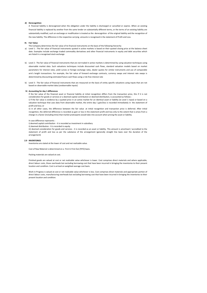### **III. Fair Value**

The Company determines the fair value of its financial instruments on the basis of the following hierarchy

## **d) Derecognition**

### **IV. Accounting for day 1 differences**

#### In case difference represents :

i) deemed capital contribution - it is recorded as investment in subsidiary

ii) deemed distribution - It is recorded in equity

## **2.9 INVENTORIES**

iii) deemed consideration for goods and services - it is recorded as an asset or liability. This amount is amortised / accredited to the statement of profit and loss as per the substance of the arrangement (generally straight line basis over the duration of the arrangement)

Inventories are stated at the lower of cost and net realizable value.

A financial liability is derecognized when the obligation under the liability is discharged or cancelled or expires .When an existing financial liability is replaced by another from the same lender on substantially different terms, or the terms of an existing liability are substantially modified, such an exchange or modification is treated as the derecognition of the original liability and the recognition of the new liability. The difference in the respective carrying amounts is recognised in the statement of Profit and Loss.

- a) Level 1 : The fair value of financial instruments quoted in active markets is based on their quoted closing price at the balance sheet date. Examples include exchange traded commodity derivatives and other financial instruments in equity and debt securities which are listed in a recognised stock exchange
- b) Level 2 : The fair value of financial instruments that are not traded in active markets is determined by using valuation techniques using observable market data. Such valuations techniques include discounted cash flows, standard valuation models based on market parameters for interest rates, yield curves or foreign exchange rates, dealer quotes for similar instruments and use of comparable arm's length transactions. For example, the fair value of forward exchange contracts, currency swaps and interest rate swaps is determined by discounting estimated future cash flows using a risk-free interest rate
- b) Level 3 : The fair value of financial instruments that are measured on the basis of entity specific valuations using inputs that are not based on observable market data (unobservable inputs)

If the fair value of the financial asset or financial liability at initial recognition differs from the transaction price, this if it is not consideration for goods or services or a deemed capital contribution or deemed distribution, is accounted as follows :

i) If the fair value is evidence by a quoted price in an active market for an identical asset or liability (ie Level 1 input) or based on a valuation technique that uses data from observable market, the entire day 1 gain/loss is recorded immediately in the statement of profit and loss; or

ii) in all other cases, the difference between the fair value at initial recognition and transaction price is deferred. After initial recognition, the deferred difference is recorded as gain or loss in the statement profit and loss only to the extent that is arises from a change in a factor (including time) that market praticipants would take into account when pricing the asset or liability.

Cost of Raw Material is determined on a First In First Out (FIFO) basis.

Packing materials are valued at cost.

Finished goods are valued at cost or net realizable value whichever is lower. Cost comprises direct materials and where applicable, direct labour costs, those overheads but excluding borrowing cost that have been incurred in bringing the inventories to their present location and condition. Cost is arrived on weighted average cost basis.

Work in Progress is valued at cost or net realizable value whichever is less. Cost comprises direct materials and appropriate portion of direct labour costs, manufacturing overheads but excluding borrowing cost that have been incurred in bringing the inventories to their present location and condition.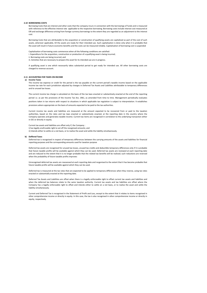Borrowing Costs that are attributable to the acquisition or construction of qualifying assets are capitalised as part of the cost of such assets, wherever applicable, till the assets are ready for their intended use. Such capitalisation is done only when it is probable that the asset will result in future economic benefits and the costs can be measured reliably. Capitalisation of borrowing cost is suspended

## **2.10 BORROWING COSTS**

Capitalisation of borrowing costs commences when all the following conditions are satisfied: i. Expenditure for the acquisition, construction or production of a qualifying asset is being incurred; ii. Borrowing costs are being incurred; and iii. Activities that are necessary to prepare the asset for its intended use are in progress.

A qualifying asset is one which necessarily takes substantial period to get ready for intended use. All other borrowing costs are charged to revenue account.

## **b) Deffered Taxes**

Borrowing Costs that are interest and other costs that the company incurs in connection with the borrowings of funds and is measured with reference to the effective interest rate applicable to the respective borrowing. Borrowing costs include interest cost measured at EIR and exchange difference arising from foreign currency borrowings to the extent they are regarded as an adjustment to the interest cost.

# **2.11 ACCOUNTING FOR TAXES ON INCOME**

#### **a) Income Taxes**

Current income tax assets and liabilities are measured at the amount expected to be recovered from or paid to the taxation authorities, based on the rates and tax laws enacted or substantively enacted, at the reporting date in the country where the Company operates and generates taxable income. Current tax items are recognised in correlation to the underlying transaction either in OCI or directly in equity.

Current tax assets and liabilities are offset only if, the Company : i) has legally enofrceable right to set off the reocgnised amounts; and ii) Intends either to settle on a net basis, or to realise the asset and settle the liability simultaenously.

Deferred tax is recognised in respect of temporary differences between the carrying amounts of the assets and liabilities for financial reporting purposes and the corresponding amounts used for taxation purpose

Deferred tax assets are recognised for unused tax losses, unused tax credits and deductible temporary differences only if it is probable that future taxable profits will be available against which they can be used. Deferred tax assets are reviewed at each reporting date and are reduced to the extent that it is no longer probable that the related tax benefits will be realised; such reductions are reversed when the probability of future taxable profits improves

Unrecognised deferred tax assets are reassessed at each reporting date and recgonised to the extent that it has become probable that future taxable profits will be available against which they can be used.

The income tax expense or credit for the period is the tax payable on the current period's taxable income based on the applicable income tax rate for each jurisdiction adjusted by changes in Deferred Tax Assets and Liabilities attributable to temporary differences and to unused tax losses.

The current income tax charge is calculated on the basis of the tax laws enacted or substantively enacted at the end of the reporting period i.e. as per the provisions of the Income Tax Act, 1961, as amended from time to time. Management periodically evaluates positions taken in tax returns with respect to situations in which applicable tax regulation is subject to interpretation. It establishes provisions where appropriate on the basis of amounts expected to be paid to the tax authorities.

Deferred tax is measured at the tax rates that are expected to be applied to temporary differences when they reverse, using tax rates enacted or substantially enacted at the reporting date.

Deferred Tax Assets and Liabilities are offset when there is a legally enforceable right to offset current tax assets and liabilities and when the deferred tax balances relate to the same taxation authority. Current tax assets and tax liabilities are offset where the Company has a legally enforceable right to offset and intends either to settle on a net basis, or to realise the asset and settle the liability simultaneously.

Current and Deferred Tax is recognised in the Statement of Profit and Loss, except to the extent that it relates to items recognised in other comprehensive income or directly in equity. In this case, the tax is also recognised in other comprehensive income or directly in equity, respectively.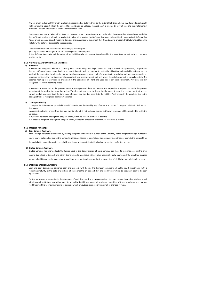# **2.12 PROVISIONS AND CONTINGENT LIABILITIES**

# **a) Provisions**

Provisions are recognised when the Company has a present obligation (legal or constructive) as a result of a past event, it is probable that an outflow of resources embodying economic benefits will be required to settle the obligation and a reliable estimate can be made of the amount of the obligation. When the Company expects some or all of a provision to be reimbursed, for example, under an insurance contract, the reimbursement is recognised as a separate asset, but only when the reimbursement is virtually certain. The expense relating to a provision is presented in the Statement of Profit and Loss net of any reimbursement. Provisions are not recognised for future operating losses.

# **b) Contingent Liability**

Provisions are measured at the present value of management's best estimate of the expenditure required to settle the present obligation at the end of the reporting period. The discount rate used to determine the present value is a pre-tax rate that reflects current market assessments of the time value of money and the risks specific to the liability. The increase in the provision due to the passage of time is recognised as interest expense.

Contingent liabilities are not provided for and if material, are disclosed by way of notes to accounts. Contingent Liability is disclosed in the case of:

# **b) Diluted Earnings Per Share**

Any tax credit including MAT credit available is recognised as Deferred Tax to the extent that it is probable that future taxable profit will be available against which the unused tax credits can be utilised. The said asset is created by way of credit to the Statement of Profit and Loss and shown under the head deferred tax asset

# **2.14 CASH AND CASH EQUIVALENTS**

The carrying amount of Deferred Tax Assets is reviewed at each reporting date and reduced to the extent that it is no longer probable that sufficient taxable profit will be available to allow all or part of the Deferred Tax Asset to be utilised. Unrecognised Deferred Tax Assets are re-assessed at each reporting date and are recognised to the extent that it has become probable that future taxable profits will allow the deferred tax asset to be recovered.

# **2.13 EARNING PER SHARE**

# **a) Basic Earnings Per Share**

Deferred tax assets and liabilities are offset only if, the Company :

i) has legally enofrceable right to set off the reocgnised amounts; and

ii) the deferred tax assets and the deferred tax liabilities relate to income taxes levied by the same taxation authority on the same taxable entity.

Basic Earnings Per Share is calculated by dividing the profit attributable to owners of the Company by the weighted average number of equity shares outstanding during the period. Earnings considered in ascertaining the company's earnings per share is the net profit for the period after deducting preference dividends, if any, and any attributable distribution tax thereto for the period.

Diluted Earnings Per Share adjusts the figures used in the determination of basic earnings per share to take into account the after income tax effect of interest and other financing costs associated with dilutive potential equity shares and the weighted average number of additional equity shares that would have been outstanding assuming the conversion of all dilutive potential equity shares

Cash and Cash Equivalents comprise cash and deposits with banks. The Company considers all highly liquid investments with a remaining maturity at the date of purchase of three months or less and that are readily convertible to known of cash to be cash equivalents.

For the purpose of presentation in the statement of cash flows, cash and cash equivalents includes cash on hand, deposits held at call with financial institutions and other short term, highly liquid investments with original maturities of three months or less that are readily convertible to known amounts of cash and which are subject to an insignificant risk of changes in value.

i. A present obligation arising from the past events, when it is not probable that an outflow of resources will be required to settle the obligation;

ii. A present obligation arising from the past events, when no reliable estimate is possible;

iii. A possible obligation arising from the past events, unless the probability of outflow of resources is remote.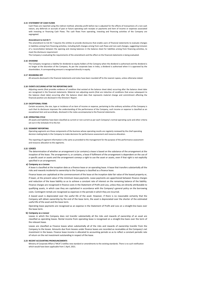# **2.22 LEASES**

### **a) Company as a Lessee**

# **b) Company as a Lessor**

### **2.17 ROUNDING OFF**

The Company recognises a liability for dividends to equity holders of the Company when the dividend is authorised and the dividend is no longer at the discretion of the Company. As per the corporate laws in India, a dividend is authorised when it is approved by the shareholders. A corresponding amount is recognised directly in equity.

### **2.18 EVENTS OCCURING AFTER THE REPORTING DATE**

# **2.15 STATEMENT OF CASH FLOWS**

All amounts disclosed in the financial statements and notes have been rounded off to the nearest rupees, unless otherwise stated.

## **2.16 DIVIDEND**

### **2.21 SEGMENT REPORTING**

Cash Flows are reported using the indirect method, whereby profit before tax is adjusted for the effects of transactions of a non-cash nature, any deferrals or accruals of past or future operating cash receipts or payments and item of income or expenses associated with investing or financing Cash Flows. The cash flows from operating, investing and financing activities of the Company are segregated.

### **Amendment to Ind AS 7:**

# **2.23 RECENT ACCOUNTING PRONOUNCEMENTS**

### **2.19 EXCEPTIONAL ITEMS**

The amendment to Ind AS 7 requires the entities to provide disclosures that enable users of financial statements to evaluate changes in liabilities arising from financing activities, including both changes arising from cash flows and non-cash changes, suggesting inclusion of a reconciliation between the opening and closing balances in the balance sheet for liabilities arising from financing activities, to meet the disclosure requirement

#### **2.20 OPERATING CYCLE**

The Company is evaluating the requirements of the amendment and the effect on the financial statements is being evaluated.

Operating segments are those components of the business whose operating results are regularly reviewed by the chief operating decision making body in the Company to make decisions for performance assessment and resource allocation.

The reporting of segment information is the same as provided to the management for the purpose of the performance assessment and resource allocation to the segments.

Adjusting events (that provides evidence of condition that existed at the balance sheet date) occurring after the balance sheet date are recognized in the financial statements. Material non adjusting events (that are inductive of conditions that arose subsequent to the balance sheet date) occurring after the balance sheet date that represents material change and commitment affecting the financial position are disclosed in the Directors' Report.

Certain occasions, the size, type or incidence of an item of income or expense, pertaining to the ordinary activities of the Company is such that its disclosure improves the understanding of the performance of the Company, such income or expense is classified as an exceptional item and accordingly, disclosed in the notes accompanying to the financial statements.

All assets and liabilities have been classified as current or non-current as per each Company's normal operating cycle and other criteria set out in the Schedule III to the Act

The determination of whether an arrangement is (or contains) a lease is based on the substance of the arrangement at the inception of the lease. The arrangement is, or contains, a lease if fulfilment of the arrangement is dependent on the use of a specific asset or assets and the arrangement conveys a right to use the asset or assets, even if that right is not explicitly specified in an arrangement.

A lease is classified at the inception date as a finance lease or an operating lease. A lease that transfers substantially all the risks and rewards incidental to ownership to the Company is classified as a finance lease.

Finance leases are capitalised at the commencement of the lease at the inception date fair value of the leased property or, if lower, at the present value of the minimum lease payments. Lease payments are apportioned between finance charges and reduction of the lease liability so as to achieve a constant rate of interest on the remaining balance of the liability. Finance charges are recognised in finance costs in the Statement of Profit and Loss, unless they are directly attributable to qualifying assets, in which case they are capitalized in accordance with the Company's general policy on the borrowing costs. Contingent rentals are recognised as expenses in the periods in which they are incurred.

A leased asset is depreciated over the useful life of the asset. However, if there is no reasonable certainty that the Company will obtain ownership by the end of the lease term, the asset is depreciated over the shorter of the estimated useful life of the asset and the lease term.

Operating lease payments are recognised as an expense in the Statement of Profit and Loss on a straight-line basis over the lease term.

Leases in which the Company does not transfer substantially all the risks and rewards of ownership of an asset are classified as operating leases. Rental income from operating lease is recognised on a straight-line basis over the term of the relevant lease.

Leases are classified as Finance leases when substantially all of the risks and rewards of ownership transfer from the Company to the lessee. Amounts due from lessees under finance leases are recorded as receivables at the Company's net investment in the leases. Finance lease income is allocated to accounting periods so as to reflect a constant periodic rate of return on the net investment outstanding in respect of the lease.

Ministry of Corporate Affairs ("MCA") notifies new standard or amendments to the existing standards. There is no such notification which would have been applicable from 1 April, 2021.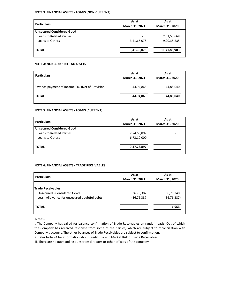### **NOTE 3: FINANCIAL ASSETS - LOANS (NON-CURRENT)**

| <b>Particulars</b>               | As at          | As at          |  |
|----------------------------------|----------------|----------------|--|
|                                  | March 31, 2021 | March 31, 2020 |  |
| <b>Unsecured Considered Good</b> |                |                |  |
| Loans to Related Parties         |                | 2,51,53,668    |  |
| Loans to Others                  | 3,41,66,078    | 9,20,35,235    |  |
| <b>TOTAL</b>                     | 3,41,66,078    | 11,71,88,903   |  |

#### **NOTE 4: NON-CURRENT TAX ASSETS**

| <b>Particulars</b>                               | As at<br>March 31, 2021 | As at<br>March 31, 2020 |
|--------------------------------------------------|-------------------------|-------------------------|
| Advance payment of Income Tax (Net of Provision) | 44,94,865               | 44,88,040               |
| I TOTAL                                          | 44,94,865               | 44,88,040               |

### **NOTE 5: FINANCIAL ASSETS - LOANS (CURRENT)**

| <b>Particulars</b>               | As at<br>March 31, 2021 | As at<br>March 31, 2020  |
|----------------------------------|-------------------------|--------------------------|
| <b>Unsecured Considered Good</b> |                         |                          |
| Loans to Related Parties         | 2,74,68,897             | $\overline{\phantom{0}}$ |
| Loans to Others                  | 6,73,10,000             |                          |
| <b>TOTAL</b>                     | 9,47,78,897             | -                        |

## **NOTE 6: FINANCIAL ASSETS - TRADE RECEIVABLES**

| <b>Particulars</b>                                                                                      | As at<br>March 31, 2021    | As at<br>March 31, 2020    |  |
|---------------------------------------------------------------------------------------------------------|----------------------------|----------------------------|--|
| <b>Trade Receivables</b><br>Unsecured - Considered Good<br>Less: Allowance for unsecured doubtful debts | 36,76,387<br>(36, 76, 387) | 36,78,340<br>(36, 76, 387) |  |
| <b>TOTAL</b>                                                                                            | -                          | 1,953                      |  |

Notes -

i. The Company has called for balance confirmation of Trade Receivables on random basis. Out of which the Company has received response from some of the parties, which are subject to reconciliation with Company's account. The other balances of Trade Receivables are subject to confirmation.

ii. Refer Note 24 for information about Credit Risk and Market Risk of Trade Receivables.

iii. There are no outstanding dues from directors or other officers of the company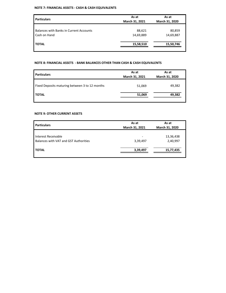### **NOTE 7: FINANCIAL ASSETS - CASH & CASH EQUIVALENTS**

| <b>Particulars</b>                                      | As at<br>March 31, 2021 | As at<br>March 31, 2020 |
|---------------------------------------------------------|-------------------------|-------------------------|
| Balances with Banks in Current Accounts<br>Cash on Hand | 88,621<br>14,69,889     | 80,859<br>14,69,887     |
| l τοτal                                                 | 15,58,510               | 15,50,746               |

### **NOTE 8: FINANCIAL ASSETS - BANK BALANCES OTHER THAN CASH & CASH EQUIVALENTS**

| <b>Particulars</b>                             | As at<br>March 31, 2021 | As at<br>March 31, 2020 |
|------------------------------------------------|-------------------------|-------------------------|
| Fixed Deposits maturing between 3 to 12 months | 51,069                  | 49,382                  |
| <b>TOTAL</b>                                   | 51,069                  | 49,382                  |

#### **NOTE 9: OTHER CURRENT ASSETS**

| <b>Particulars</b>                                           | As at<br>March 31, 2021 | As at<br>March 31, 2020 |  |
|--------------------------------------------------------------|-------------------------|-------------------------|--|
| Interest Receivable<br>Balances with VAT and GST Authorities | 3,39,497                | 13,36,438<br>2,40,997   |  |
| I TOTAL                                                      | 3,39,497                | 15,77,435               |  |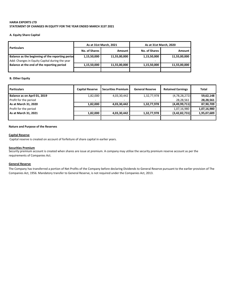#### **HARIA EXPORTS LTD STATEMENT OF CHANGES IN EQUITY FOR THE YEAR ENDED MARCH 31ST 2021**

#### **A. Equity Share Capital**

|                                                  |               | As at 31st March, 2021   |               | As at 31st March, 2020 |  |
|--------------------------------------------------|---------------|--------------------------|---------------|------------------------|--|
| <b>Particulars</b>                               | No. of Shares | <b>Amount</b>            | No. of Shares | Amount                 |  |
| Balance as the beginning of the reporting period | 1,15,50,000   | 11,55,00,000             | 1,15,50,000   | 11,55,00,000           |  |
| Add: Changes in Equity Capital during the year   | ۰             | $\overline{\phantom{a}}$ | ۰             |                        |  |
| Balance at the end of the reporting period       | 1,15,50,000   | 11,55,00,000             | 1,15,50,000   | 11,55,00,000           |  |
|                                                  |               |                          |               |                        |  |

#### **B. Other Equity**

| <b>Particulars</b>           | <b>Capital Reserve</b> | <b>Securities Premium I</b> | <b>General Reserve</b> | <b>Retained Earnings</b> | <b>Total</b> |
|------------------------------|------------------------|-----------------------------|------------------------|--------------------------|--------------|
| Balance as on April 01, 2019 | 1,82,000               | 4,03,30,442                 | 1,32,77,978            | (4, 78, 28, 272)         | 59,62,148    |
| Profit for the period        | ۰                      |                             |                        | 28,28,561                | 28,28,561    |
| As at March 31, 2020         | 1.82.000               | 4,03,30,442                 | 1,32,77,978            | (4,49,99,711)            | 87,90,709    |
| Profit for the period        | -                      |                             |                        | 1,07,16,980              | 1,07,16,980  |
| As at March 31, 2021         | 1.82.000               | 4,03,30,442                 | 1,32,77,978            | (3,42,82,731)            | 1,95,07,689  |
|                              |                        |                             |                        |                          |              |

#### **Nature and Purpose of the Reserves**

#### **Capital Reserve**

Capital reserve is created on account of forfeiture of share capital in earlier years.

#### **Securities Premium**

Security premium account is created when shares are issue at premium. A company may utilise the security premium reserve account as per the requirements of Companies Act.

#### **General Reserve**

The Company has transferred a portion of Net Profits of the Company before declaring Dividends to General Reserve pursuant to the earlier provision of The Companies Act, 1956. Mandatory transfer to General Reserve, is not required under the Companies Act, 2013.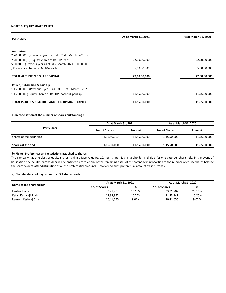#### **NOTE 10: EQUITY SHARE CAPITAL**

| <b>Particulars</b>                                         | As at March 31, 2021 | As at March 31, 2020 |
|------------------------------------------------------------|----------------------|----------------------|
| Authorised                                                 |                      |                      |
| 2,20,00,000 (Previous year as at 31st March 2020 -         |                      |                      |
| $2,20,00,000/$ - ) Equity Shares of Rs. 10/- each          | 22,00,00,000         | 22,00,00,000         |
| 50,00,000 (Previous year as at 31st March 2020 - 50,00,000 |                      |                      |
| ) Preference Shares of Rs. 10/- each                       | 5,00,00,000          | 5,00,00,000          |
| l TOTAL AUTHORIZED SHARE CAPITAL                           | 27,00,00,000         | 27,00,00,000         |
| Issued, Subscribed & Paid Up                               |                      |                      |
| 1,15,50,000 (Previous year as at 31st March 2020           |                      |                      |
| 1,15,50,000) Equity Shares of Rs. 10/- each full paid up   | 11,55,00,000         | 11,55,00,000         |
| TOTAL ISSUED, SUBSCRIBED AND PAID UP SHARE CAPITAL         | 11,55,00,000         | 11,55,00,000         |
|                                                            |                      |                      |

#### **a) Reconciliation of the number of shares outstanding :**

|                         | As at March 31, 2021 |              | As at March 31, 2020 |              |
|-------------------------|----------------------|--------------|----------------------|--------------|
| <b>Particulars</b>      | No. of Shares        | Amount       | <b>No. of Shares</b> | Amount       |
| Shares at the beginning | 1,15,50,000          | 11,55,00,000 | 1,15,50,000          | 11,55,00,000 |
| Shares at the end       | 1,15,50,000          | 11,55,00,000 | 1,15,50,000          | 11,55,00,000 |

#### **b) Rights, Preferences and restrictions attached to shares**

The company has one class of equity shares having a face value Rs. 10/- per share. Each shareholder is eligible for one vote per share held. In the event of liquidation, the equity shareholders will be entitled to receive any of the remaining asset of the company in proportion to the number of equity shares held by the shareholders, after distribution of all the preferential amounts. However no such preferential amount exist currently.

#### **c) Shareholders holding more than 5% shares each :**

| Name of the Shareholder | As at March 31, 2021 |        | As at March 31, 2020 |        |
|-------------------------|----------------------|--------|----------------------|--------|
|                         | No. of Shares        | %      | No. of Shares        | %      |
| Kantilal Haria          | 33,71,707            | 29.19% | 33,71,707            | 29.19% |
| Ketan Keshvaji Shah     | 11,83,842            | 10.25% | 11,83,842            | 10.25% |
| Ramesh Keshvaji Shah    | 10,41,650            | 9.02%  | 10,41,650            | 9.02%  |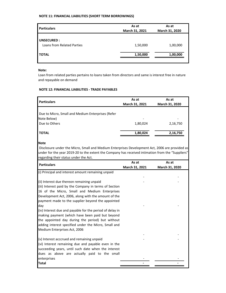# **NOTE 11: FINANCIAL LIABILITIES (SHORT TERM BORROWINGS)**

| <b>Particulars</b>                              | As at<br>March 31, 2021 | As at<br>March 31, 2020 |
|-------------------------------------------------|-------------------------|-------------------------|
| <b>UNSECURED:</b><br>Loans from Related Parties | 1,50,000                | 1,00,000                |
| <b>TOTAL</b>                                    | 1,50,000                | 1,00,000                |

#### **Note:**

Loan from related parties pertains to loans taken from directors and same is interest free in nature and repayable on demand

## **NOTE 12: FINANCIAL LIABILITIES - TRADE PAYABLES**

| <b>Particulars</b>                                               | As at<br>March 31, 2021 | As at<br>March 31, 2020 |  |
|------------------------------------------------------------------|-------------------------|-------------------------|--|
| Due to Micro, Small and Medium Enterprises (Refer<br>Note Below) | -                       |                         |  |
| Due to Others                                                    | 1,80,024                | 2,16,750                |  |
| <b>TOTAL</b>                                                     | 1,80,024                | 2,16,750                |  |

# **Note**

Disclosure under the Micro, Small and Medium Enterprises Development Act, 2006 are provided as under for the year 2019-20 to the extent the Company has received intimation from the "Suppliers" regarding their status under the Act.

| <b>Particulars</b>                                       | As at          | As at          |
|----------------------------------------------------------|----------------|----------------|
|                                                          | March 31, 2021 | March 31, 2020 |
| (i) Principal and interest amount remaining unpaid       |                |                |
|                                                          |                |                |
| (ii) Interest due thereon remaining unpaid               |                |                |
| (iii) Interest paid by the Company in terms of Section   |                |                |
| 16 of the Micro, Small and Medium Enterprises            |                |                |
| Development Act, 2006, along with the amount of the      |                |                |
| payment made to the supplier beyond the appointed        |                |                |
| day                                                      |                |                |
| (iv) Interest due and payable for the period of delay in |                |                |
| making payment (which have been paid but beyond          |                |                |
| the appointed day during the period) but without         |                |                |
| adding interest specified under the Micro, Small and     |                |                |
| Medium Enterprises Act, 2006                             |                |                |
|                                                          |                |                |
| (v) Interest acccrued and remaining unpaid               |                |                |
| (vi) Interest remaining due and payable even in the      |                |                |
| succeeding years, until such date when the interest      |                |                |
| dues as above are actually paid to the small             |                |                |
| enterprises                                              |                |                |
| <b>Total</b>                                             |                |                |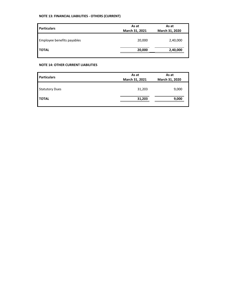# **NOTE 13: FINANCIAL LIABILITIES - OTHERS (CURRENT)**

| As at<br>March 31, 2020 |
|-------------------------|
| 2,40,000                |
| 2,40,000                |
|                         |

# **NOTE 14: OTHER CURRENT LIABILITIES**

| <b>Particulars</b>    | As at          | As at          |
|-----------------------|----------------|----------------|
|                       | March 31, 2021 | March 31, 2020 |
| <b>Statutory Dues</b> | 31,203         | 9,000          |
| I TOTAL               | 31,203         | 9,000          |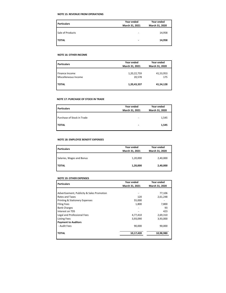## **NOTE 15: REVENUE FROM OPERATIONS**

| <b>Particulars</b> | Year ended<br>March 31, 2021 | Year ended<br>March 31, 2020 |
|--------------------|------------------------------|------------------------------|
| Sale of Products   | ۰                            | 14,958                       |
| <b>TOTAL</b>       |                              | 14,958                       |

## **NOTE 16: OTHER INCOME**

| <b>Particulars</b>                     | Year ended<br>March 31, 2021 | Year ended<br>March 31, 2020 |
|----------------------------------------|------------------------------|------------------------------|
| Finance Income<br>Miscelleneous Income | 1,20,22,759<br>20,578        | 41,53,953<br>175             |
| I TOTAL                                | 1,20,43,337                  | 41,54,128                    |

## **NOTE 17: PURCHASE OF STOCK IN TRADE**

| <b>Particulars</b>         | Year ended<br>March 31, 2021 | Year ended<br>March 31, 2020 |
|----------------------------|------------------------------|------------------------------|
| Purchase of Stock in Trade | ۰                            | 1,545                        |
| <b>TOTAL</b>               | -                            | 1,545                        |

## **NOTE 18: EMPLOYEE BENEFIT EXPENSES**

| <b>Particulars</b>        | Year ended<br>March 31, 2021 | Year ended<br>March 31, 2020 |
|---------------------------|------------------------------|------------------------------|
| Salaries, Wages and Bonus | 1,20,000                     | 2,40,000                     |
| <b>TOTAL</b>              | 1,20,000                     | 2,40,000                     |

## **NOTE 19: OTHER EXPENSES**

| <b>Particulars</b>                         | Year ended     | Year ended     |
|--------------------------------------------|----------------|----------------|
|                                            | March 31, 2021 | March 31, 2020 |
|                                            |                |                |
| Advertisement, Publicity & Sales Promotion | ۰              | 77,106         |
| Rates and Taxes                            | 120            | 2,61,248       |
| <b>Printing &amp; Stationery Expenses</b>  | 55,000         |                |
| <b>Filing Fees</b>                         | 1,800          | 7,800          |
| <b>Bank Charges</b>                        |                | 93             |
| Interest on TDS                            |                | 423            |
| Legal and Professional Fees                | 4,77,410       | 2,69,310       |
| <b>Listing Fees</b>                        | 3,93,090       | 3,93,000       |
| <b>Payment to Auditors</b>                 |                |                |
| - Audit Fees                               | 90,000         | 90,000         |
|                                            |                |                |
| <b>TOTAL</b>                               | 10,17,420      | 10,98,980      |
|                                            |                |                |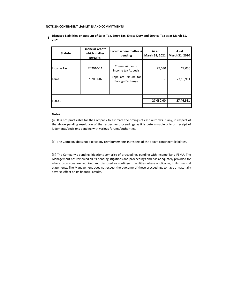## **NOTE 20: CONTINGENT LIABILITIES AND COMMITMENTS**

| <b>Statute</b> | <b>Financial Year to</b><br>which matter<br>pertains | Forum where matter is<br>pending           | As at<br>March 31, 2021 | As at<br>March 31, 2020 |
|----------------|------------------------------------------------------|--------------------------------------------|-------------------------|-------------------------|
| Income Tax     | FY 2010-11                                           | Commissioner of<br>Income tax Appeals      | 27,030                  | 27,030                  |
| Fema           | FY 2001-02                                           | Appellate Tribunal for<br>Foreign Exchange | ٠                       | 27,19,901               |
| <b>TOTAL</b>   |                                                      |                                            | 27,030.00               | 27,46,931               |
|                |                                                      |                                            |                         |                         |

**1 Disputed Liabilities on account of Sales Tax, Entry Tax, Excise Duty and Service Tax as at March 31, 2021**

## **Notes :**

(i) It is not practicable for the Company to estimate the timings of cash outflows, if any, in respect of the above pending resolution of the respective proceedings as it is determinable only on receipt of judgments/decisions pending with various forums/authorities.

(ii) The Company does not expect any reimbursements in respect of the above contingent liabilities.

(iii) The Company's pending litigations comprise of proceedings pending with Income Tax / FEMA. The Management has reviewed all its pending litigations and proceedings and has adequately provided for where provisions are required and disclosed as contingent liabilities where applicable, in its financial statements. The Management does not expect the outcome of these proceedings to have a materially adverse effect on its financial results.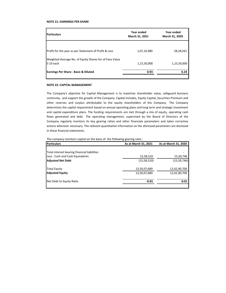### **NOTE 21: EARNINGS PER SHARE**

| <b>Particulars</b>                                      | Year ended<br>March 31, 2021 | Year ended<br>March 31, 2020 |
|---------------------------------------------------------|------------------------------|------------------------------|
|                                                         |                              |                              |
| Profit for the year as per Statement of Profit & Loss   | 1,07,16,980                  | 28,28,561                    |
| Weighted Average No. of Equity Shares for of Face Value |                              |                              |
| <b>图 10 each</b>                                        | 1,15,50,000                  | 1,15,50,000                  |
| Earnings Per Share - Basic & Diluted                    | 0.93                         | 0.24                         |
|                                                         |                              |                              |

## **NOTE 22: CAPITAL MANAGEMENT**

The Company's objective for Capital Management is to maximise shareholder value, safeguard business continuity, and support the growth of the Company. Capital includes, Equity Capital, Securities Premium and other reserves and surplus attributable to the equity shareholders of the Company. The Company determines the capital requirement based on annual operating plans and long term and strategic investment and capital expenditure plans. The funding requirements are met through a mix of equity, operating cash flows generated and debt. The operating management, supervised by the Board of Directors of the Company regularly monitors its key gearing ratios and other financials parameters and takes corrective actions wherever necessary. The relevant quantitative information on the aforesaid parameters are disclosed in these financial statements.

The company monitors capital on the basis of the following gearing ratio :

| <b>Particulars</b>                           | As at March 31, 2021 | As at March 31, 2020 |
|----------------------------------------------|----------------------|----------------------|
|                                              |                      |                      |
| Total interest bearing financial liabilities |                      |                      |
| Less: Cash and Cash Equivalents              | 15,58,510            | 15,50,746            |
| <b>Adjusted Net Debt</b>                     | (15,58,510)          | (15, 50, 746)        |
| <b>Total Equity</b>                          | 13,50,07,689         | 12,42,90,709         |
| <b>Adjusted Equity</b>                       | 13,50,07,689         | 12,42,90,709         |
| Net Debt to Equity Ratio                     | $-0.01$              | $-0.01$              |
|                                              |                      |                      |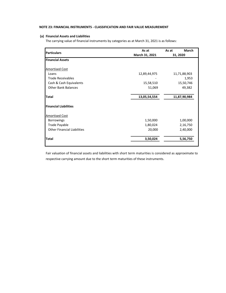## **NOTE 23: FINANCIAL INSTRUMENTS - CLASSIFICATION AND FAIR VALUE MEASUREMENT**

## **(a) Financial Assets and Liabilities**

The carrying value of financial instruments by categories as at March 31, 2021 is as follows:

|                                    | As at          | <b>March</b><br>As at |
|------------------------------------|----------------|-----------------------|
| <b>Particulars</b>                 | March 31, 2021 | 31, 2020              |
| <b>Financial Assets</b>            |                |                       |
| <b>Amortised Cost</b>              |                |                       |
| Loans                              | 12,89,44,975   | 11,71,88,903          |
| <b>Trade Receivables</b>           |                | 1,953                 |
| Cash & Cash Equivalents            | 15,58,510      | 15,50,746             |
| <b>Other Bank Balances</b>         | 51,069         | 49,382                |
| Total                              | 13,05,54,554   | 11,87,90,984          |
| <b>Financial Liabilities</b>       |                |                       |
| <b>Amortised Cost</b>              |                |                       |
| <b>Borrowings</b>                  | 1,50,000       | 1,00,000              |
| <b>Trade Payable</b>               | 1,80,024       | 2,16,750              |
| <b>Other Financial Liabilities</b> | 20,000         | 2,40,000              |
| Total                              | 3,50,024       | 5,56,750              |
|                                    |                |                       |

Fair valuation of financial assets and liabilities with short term maturities is considered as approximate to respective carrying amount due to the short term maturities of these instruments.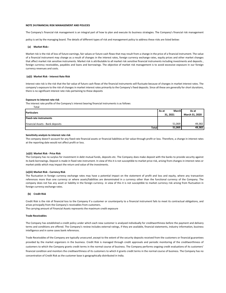#### **NOTE 24:FINANCIAL RISK MANAGEMENT AND POLICIES**

The Company's financial risk management is an integral part of how to plan and execute its business strategies. The Company's financial risk management

policy is set by the managing board. The details of different types of risk and management policy to address these risks are listed below:

#### **(a) Market Risk:-**

Market risk is the risk of loss of future earnings, fair values or future cash flows that may result from a change in the price of a financial instrument. The value of a financial instrument may change as a result of changes in the interest rates, foreign currency exchange rates, equity prices and other market changes that affect market risk sensitive instruments. Market risk is attributable to all market risk sensitive financial instruments including investments and deposits , foreign currency receivables, payables and loans and borrowings. The objective of market risk management is to avoid excessive expsoure in our foreign currency revenues and costs.

#### **(a)(i) Market Risk - Interest Rate Risk**

Interest rate risk is the risk that the fair value of future cash flows of the financial instruments will fluctuate because of changes in market interest rates. The company's exposure to the risk of changes in market interest rates primarily to the Company's fixed deposits. Since all these are generally for short durations, there is no significant interest rate risks pertaining to these deposits

#### **Exposure to interest rate risk**

The interest rate profile of the Company's interest bearing financial instruments is as follows

Total

| <b>Particulars</b>               | March<br>As at | As at          |
|----------------------------------|----------------|----------------|
|                                  | 31.2021        | March 31, 2020 |
| <b>Fixed-rate instruments</b>    |                |                |
| Financial Assets - Bank deposits | 51,069         | 49,382         |
| <b>Total</b>                     | 51,069         | 49,382         |

#### **Sensitivity analysis to interest rate risk**

The company doesn't account for any fixed rate financial assets or financial liabilities at fair value through profit or loss. Therefore, a change in interest rates at the reporting date would not affect profit or loss.

#### **(a)(ii) Market Risk - Price Risk**

The Company has no surplus for investment in debt mutual funds, deposits etc. The Company does make deposit with the banks to provide security against its bank borrowings. Deposit is made in fixed rate instrument. In view of this it is not susceptible to market price risk, arising from changes in interest rates or market yields which may impact the return and value of the investments.

#### **(a)(iii) Market Risk - Currency Risk**

The fluctuation in foreign currency exchange rates may have a potential impact on the statement of profit and loss and equity, where any transaction references more than one currency or where assets/liabilities are denominated in a currency other than the functional currency of the Company. The company does not has any asset or liability in the foreign currency. in view of this it is not susceptible to market currency risk arising from fluctuation in foreign currency exchange rates.

#### **(b) Credit Risk**

Credit Risk is the risk of financial loss to the Company if a customer or counterparty to a financial instrument fails to meet its contractual obligations, and arises principally from the Company's receivables from customers.

The carrying amount of Financial Assets represents the maximum credit exposure

#### **Trade Receivables**

The Company has established a credit policy under which each new customer is analysed individually for creditworthiness before the payment and delivery terms and conditions are offered. The Company's review includes external ratings, if they are available, financial statements, industry information, business intelligence and in some cases bank references.

Trade Receivables of the Company are typically unsecured ,except to the extent of the security deposits received from the customers or financial guarantees provided by the market organizers in the business. Credit Risk is managed through credit approvals and periodic monitoring of the creditworthiness of customers to which the Company grants credit terms in the normal course of business. The Company performs ongoing credit evaluations of its customers' financial condition and monitors the creditworthiness of its customers to which it grants credit terms in the normal course of business. The Company has no concentration of Credit Risk as the customer base is geographically distributed in India.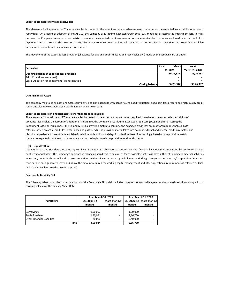#### **Expected credit loss for trade receivable:**

The allowance for impairment of Trade receivables is created to the extent and as and when required, based upon the expected collectability of accounts receivables. On account of adoption of Ind AS 109, the Company uses lifetime Expected Credit Loss (ECL) model for assessing the impariment loss. For this purpose, the Company uses a provision matrix to compute the expected credit loss amount for trade receivables. Loss rates are based on actual credit loss experience and past trends. The provision matrix takes into account external and internal credit risk factors and historical experience / current facts available in relation to defaults and delays in collection thereof

The movement of the expected loss provision (allowance for bad and doubtful loans and receivables etc.) made by the company are as under:

| <b>Particulars</b>                                | March<br>As at | As at          |
|---------------------------------------------------|----------------|----------------|
|                                                   | 31.2021        | March 31, 2020 |
| Opening balance of expected loss provision        | 36,76,387      | 36,76,387      |
| Add: Provisions made (net)                        |                |                |
| Less: Utilisation for impariment / de-recognition | -              |                |
| Closing balance                                   | 36,76,387      | 36,76,387      |

#### **Other Financial Assets**

The company maintains its Cash and Cash equivalents and Bank deposits with banks having good reputation, good past track record and high quality credit rating and also reviews their credit-worthiness on an on-going basis.

### **Expected credit loss on financial assets other than trade receivable:**

The allowance for impairment of Trade receivables is created to the extent and as and when required, based upon the expected collectability of accounts receivables. On account of adoption of Ind AS 109, the Company uses lifetime Expected Credit Loss (ECL) model for assessing the impairment loss. For this purpose, the Company uses a provision matrix to compute the expected credit loss amount for trade receivables. Loss rates are based on actual credit loss experience and past trends. The provision matrix takes into account external and internal credit risk factors and historical experience / current facts available in relation to defaults and delays in collection thereof. Accordingly based on the provision matrix there is no expected credit loss to the company and accordingly there is no provision for doubtful debts

#### **(c) Liquidity Risk**

Liquidity Risk is the risk that the Company will face in meeting its obligation associated with its financial liabilities that are settled by delivering cash or another financial asset. The Company's approach in managing liquidity is to ensure, as far as possible, that it will have sufficient liquidity to meet its liabilities when due, under both normal and stressed conditions, without incurring unacceptable losses or riskking damage to the Company's reputation. Any short term surplus cash generated, over and above the amount required for working capital management and other operational requirements is retained as Cash and Cash Equivalents (to the extent required).

#### **Exposure to Liquidity Risk**

The following table shows the maturity analysis of the Company's Financial Liabilities based on contractually agreed undiscounted cash flows along with its carrying value as at the Balance Sheet Date

|                                    | As at March 31, 2021 |              | As at March 31, 2020 |                           |
|------------------------------------|----------------------|--------------|----------------------|---------------------------|
| <b>Particulars</b>                 | Less than 12         | More than 12 |                      | Less than 12 More than 12 |
|                                    | months               | months       | months               | months                    |
|                                    |                      |              |                      |                           |
| <b>Borrowings</b>                  | 1,50,000             |              | 1,00,000             | ۰                         |
| <b>Trade Payables</b>              | 1,80,024             |              | 2,16,750             |                           |
| <b>Other Financial Liabilities</b> | 20.000               |              | 2,40,000             | -                         |
| Total                              | 3,50,024             |              | 5,56,750             |                           |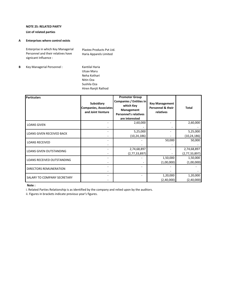# **NOTE 25: RELATED PARTY List of related parties**

## **A Enterprises where control exists**

| Enterprise in which Key Managerial<br>Plastex Products Pvt Ltd.<br>Personnel and their relatives have<br>Haria Apparels Limited<br>signicant Influence : |
|----------------------------------------------------------------------------------------------------------------------------------------------------------|
|----------------------------------------------------------------------------------------------------------------------------------------------------------|

**B** Key Managerial Personnel : Kantilal Haria

Utsav Maru Neha Kothari Nitin Oza Sushila Oza Hiren Ranjit Rathod

| <b>Particulars</b>                | Subsidiary<br><b>Companies, Associates</b><br>and Joint Venture | <b>Promoter Group</b><br>Companies / Entities in<br>which Key<br>Management<br><b>Personnel's relatives</b><br>are interested | <b>Key Management</b><br><b>Personnel &amp; their</b><br>relatives | Total                        |
|-----------------------------------|-----------------------------------------------------------------|-------------------------------------------------------------------------------------------------------------------------------|--------------------------------------------------------------------|------------------------------|
| <b>LOANS GIVEN</b>                |                                                                 | 2,60,000                                                                                                                      |                                                                    | 2,60,000                     |
| <b>LOANS GIVEN RECEIVED BACK</b>  |                                                                 | 5,25,000<br>(10, 24, 186)                                                                                                     |                                                                    | 5,25,000<br>(10, 24, 186)    |
| <b>LOANS RECEIVED</b>             |                                                                 |                                                                                                                               | 50,000                                                             | 50,000                       |
| <b>LOANS GIVEN OUTSTANDING</b>    |                                                                 | 2,74,68,897<br>(2,77,33,897)                                                                                                  |                                                                    | 2,74,68,897<br>(2,77,33,897) |
| <b>LOANS RECEIVED OUTSTANDING</b> |                                                                 |                                                                                                                               | 1,50,000<br>(1,00,000)                                             | 1,50,000<br>(1,00,000)       |
| DIRECTORS REMUNERATION            |                                                                 |                                                                                                                               |                                                                    |                              |
| SALARY TO COMPANY SECRETARY       |                                                                 |                                                                                                                               | 1,20,000<br>(2,40,000)                                             | 1,20,000<br>(2,40,000)       |

**Note :**

i. Related Parties Relationship is as identified by the company and relied upon by the auditors.

ii. Figures in brackets indicate previous year's figures.